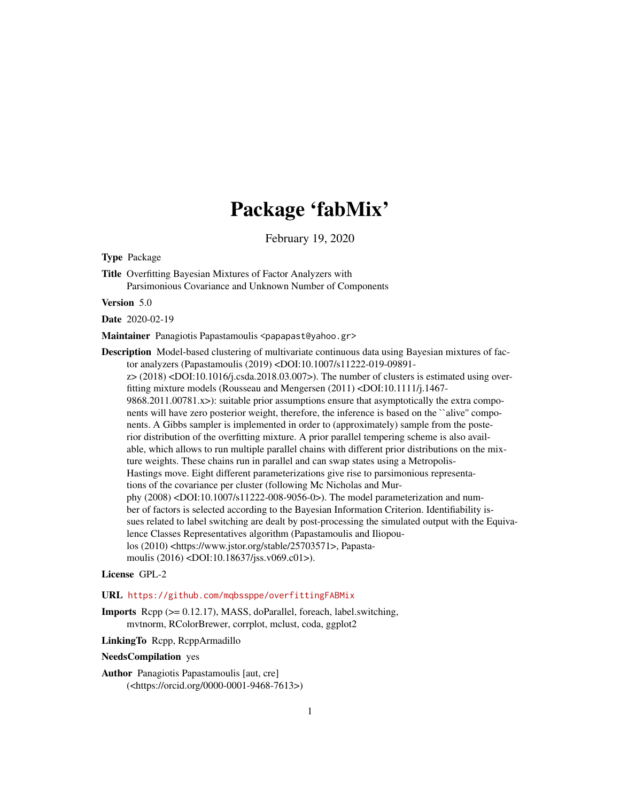# Package 'fabMix'

February 19, 2020

Type Package

Title Overfitting Bayesian Mixtures of Factor Analyzers with Parsimonious Covariance and Unknown Number of Components

Version 5.0

Date 2020-02-19

Maintainer Panagiotis Papastamoulis <papapast@yahoo.gr>

Description Model-based clustering of multivariate continuous data using Bayesian mixtures of factor analyzers (Papastamoulis (2019) <DOI:10.1007/s11222-019-09891  $z > (2018)$  <DOI:10.1016/j.csda.2018.03.007>). The number of clusters is estimated using overfitting mixture models (Rousseau and Mengersen (2011) <DOI:10.1111/j.1467- 9868.2011.00781.x>): suitable prior assumptions ensure that asymptotically the extra components will have zero posterior weight, therefore, the inference is based on the ``alive'' components. A Gibbs sampler is implemented in order to (approximately) sample from the posterior distribution of the overfitting mixture. A prior parallel tempering scheme is also available, which allows to run multiple parallel chains with different prior distributions on the mixture weights. These chains run in parallel and can swap states using a Metropolis-Hastings move. Eight different parameterizations give rise to parsimonious representations of the covariance per cluster (following Mc Nicholas and Murphy (2008) <DOI:10.1007/s11222-008-9056-0>). The model parameterization and number of factors is selected according to the Bayesian Information Criterion. Identifiability issues related to label switching are dealt by post-processing the simulated output with the Equivalence Classes Representatives algorithm (Papastamoulis and Iliopoulos (2010) <https://www.jstor.org/stable/25703571>, Papastamoulis (2016) <DOI:10.18637/jss.v069.c01>).

# License GPL-2

URL <https://github.com/mqbssppe/overfittingFABMix>

Imports Rcpp (>= 0.12.17), MASS, doParallel, foreach, label.switching, mvtnorm, RColorBrewer, corrplot, mclust, coda, ggplot2

LinkingTo Rcpp, RcppArmadillo

NeedsCompilation yes

Author Panagiotis Papastamoulis [aut, cre] (<https://orcid.org/0000-0001-9468-7613>)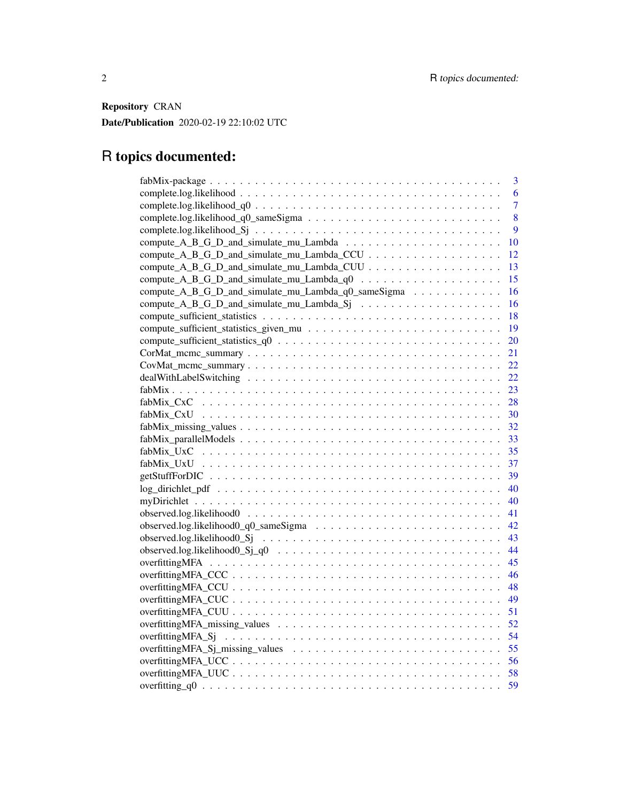Repository CRAN

Date/Publication 2020-02-19 22:10:02 UTC

# R topics documented:

| 3                                                                                                                  |
|--------------------------------------------------------------------------------------------------------------------|
| 6                                                                                                                  |
| $\overline{7}$                                                                                                     |
| 8                                                                                                                  |
| 9                                                                                                                  |
| 10                                                                                                                 |
| 12                                                                                                                 |
| 13                                                                                                                 |
| compute_A_B_G_D_and_simulate_mu_Lambda_q0 $\ldots \ldots \ldots \ldots \ldots \ldots$<br>15                        |
| compute_A_B_G_D_and_simulate_mu_Lambda_q0_sameSigma<br>16                                                          |
| 16                                                                                                                 |
| 18                                                                                                                 |
| 19                                                                                                                 |
| 20                                                                                                                 |
| 21                                                                                                                 |
| 22                                                                                                                 |
| 22                                                                                                                 |
| -23                                                                                                                |
| $fabMix CxC \dots \dots \dots \dots \dots \dots \dots \dots \dots \dots \dots \dots \dots \dots \dots \dots$<br>28 |
| 30                                                                                                                 |
| 32                                                                                                                 |
| 33                                                                                                                 |
| $fabMix_Uxc \t                $<br>35                                                                              |
| 37                                                                                                                 |
| 39                                                                                                                 |
| 40                                                                                                                 |
| 40                                                                                                                 |
| 41                                                                                                                 |
| 42                                                                                                                 |
| 43                                                                                                                 |
| 44                                                                                                                 |
| 45                                                                                                                 |
| 46                                                                                                                 |
| 48                                                                                                                 |
| 49                                                                                                                 |
| 51                                                                                                                 |
| 52                                                                                                                 |
| 54                                                                                                                 |
| 55                                                                                                                 |
| 56                                                                                                                 |
| 58                                                                                                                 |
| 59                                                                                                                 |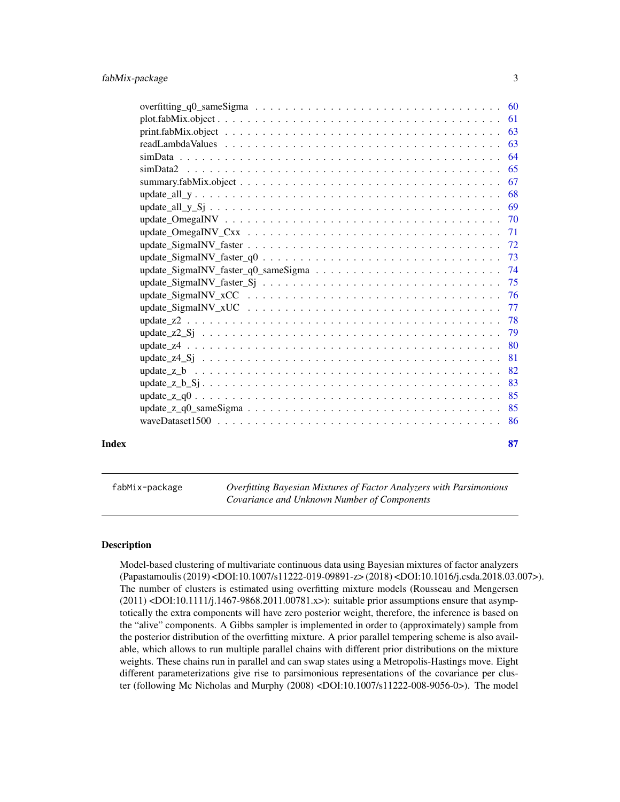<span id="page-2-0"></span>

|       |                                                                                                             | 63  |
|-------|-------------------------------------------------------------------------------------------------------------|-----|
|       |                                                                                                             | 64  |
|       |                                                                                                             | 65  |
|       |                                                                                                             | 67  |
|       |                                                                                                             | 68  |
|       |                                                                                                             | 69  |
|       |                                                                                                             |     |
|       |                                                                                                             | 71  |
|       |                                                                                                             |     |
|       |                                                                                                             |     |
|       |                                                                                                             |     |
|       |                                                                                                             |     |
|       |                                                                                                             |     |
|       |                                                                                                             |     |
|       |                                                                                                             |     |
|       |                                                                                                             |     |
|       |                                                                                                             | -80 |
|       |                                                                                                             | 81  |
|       |                                                                                                             | 82  |
|       |                                                                                                             | 83  |
|       |                                                                                                             | 85  |
|       | $update_z_q0_sameSigma \ldots \ldots \ldots \ldots \ldots \ldots \ldots \ldots \ldots \ldots \ldots \ldots$ | 85  |
|       |                                                                                                             | 86  |
| Index |                                                                                                             | 87  |

fabMix-package *Overfitting Bayesian Mixtures of Factor Analyzers with Parsimonious Covariance and Unknown Number of Components*

# **Description**

Model-based clustering of multivariate continuous data using Bayesian mixtures of factor analyzers (Papastamoulis (2019) <DOI:10.1007/s11222-019-09891-z> (2018) <DOI:10.1016/j.csda.2018.03.007>). The number of clusters is estimated using overfitting mixture models (Rousseau and Mengersen (2011) <DOI:10.1111/j.1467-9868.2011.00781.x>): suitable prior assumptions ensure that asymptotically the extra components will have zero posterior weight, therefore, the inference is based on the "alive" components. A Gibbs sampler is implemented in order to (approximately) sample from the posterior distribution of the overfitting mixture. A prior parallel tempering scheme is also available, which allows to run multiple parallel chains with different prior distributions on the mixture weights. These chains run in parallel and can swap states using a Metropolis-Hastings move. Eight different parameterizations give rise to parsimonious representations of the covariance per cluster (following Mc Nicholas and Murphy (2008) <DOI:10.1007/s11222-008-9056-0>). The model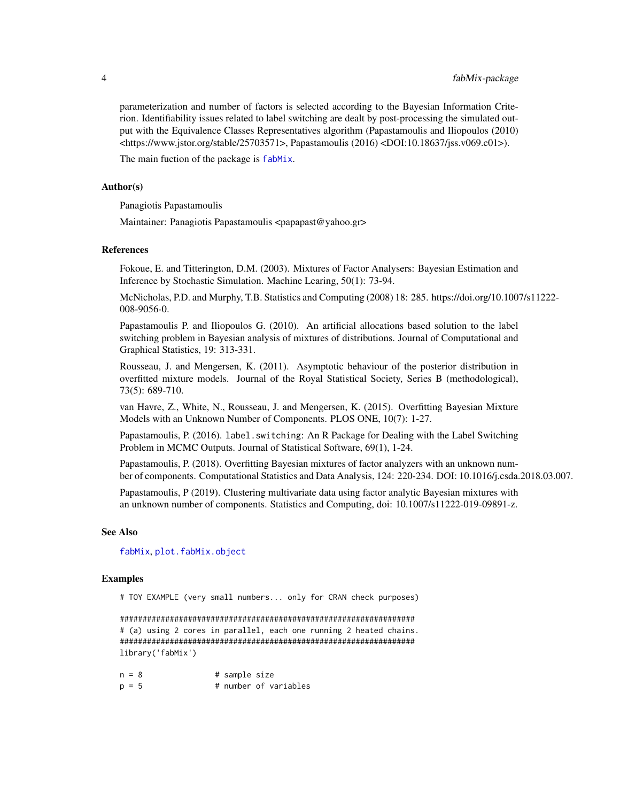parameterization and number of factors is selected according to the Bayesian Information Criterion. Identifiability issues related to label switching are dealt by post-processing the simulated output with the Equivalence Classes Representatives algorithm (Papastamoulis and Iliopoulos (2010) <https://www.jstor.org/stable/25703571>, Papastamoulis (2016) <DOI:10.18637/jss.v069.c01>).

The main fuction of the package is [fabMix](#page-22-1).

#### Author(s)

Panagiotis Papastamoulis

Maintainer: Panagiotis Papastamoulis <papapast@yahoo.gr>

# References

Fokoue, E. and Titterington, D.M. (2003). Mixtures of Factor Analysers: Bayesian Estimation and Inference by Stochastic Simulation. Machine Learing, 50(1): 73-94.

McNicholas, P.D. and Murphy, T.B. Statistics and Computing (2008) 18: 285. https://doi.org/10.1007/s11222- 008-9056-0.

Papastamoulis P. and Iliopoulos G. (2010). An artificial allocations based solution to the label switching problem in Bayesian analysis of mixtures of distributions. Journal of Computational and Graphical Statistics, 19: 313-331.

Rousseau, J. and Mengersen, K. (2011). Asymptotic behaviour of the posterior distribution in overfitted mixture models. Journal of the Royal Statistical Society, Series B (methodological), 73(5): 689-710.

van Havre, Z., White, N., Rousseau, J. and Mengersen, K. (2015). Overfitting Bayesian Mixture Models with an Unknown Number of Components. PLOS ONE, 10(7): 1-27.

Papastamoulis, P. (2016). label. switching: An R Package for Dealing with the Label Switching Problem in MCMC Outputs. Journal of Statistical Software, 69(1), 1-24.

Papastamoulis, P. (2018). Overfitting Bayesian mixtures of factor analyzers with an unknown number of components. Computational Statistics and Data Analysis, 124: 220-234. DOI: 10.1016/j.csda.2018.03.007.

Papastamoulis, P (2019). Clustering multivariate data using factor analytic Bayesian mixtures with an unknown number of components. Statistics and Computing, doi: 10.1007/s11222-019-09891-z.

#### See Also

[fabMix](#page-22-1), [plot.fabMix.object](#page-60-1)

#### Examples

# TOY EXAMPLE (very small numbers... only for CRAN check purposes)

################################################################# # (a) using 2 cores in parallel, each one running 2 heated chains. ################################################################# library('fabMix')

| $n = 8$ |  | # sample size |                       |
|---------|--|---------------|-----------------------|
| $p = 5$ |  |               | # number of variables |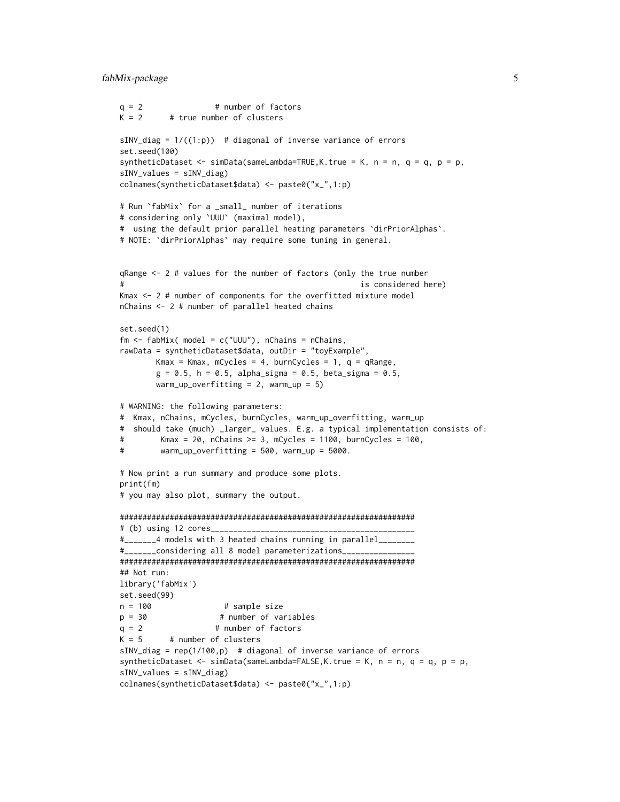# fabMix-package 5

```
q = 2 # number of factors
K = 2 # true number of clusters
sINV\_diag = 1/((1:p)) # diagonal of inverse variance of errors
set.seed(100)
syntheticDataset \le - simData(sameLambda=TRUE, K.true = K, n = n, q = q, p = p,
sINV_values = sINV_diag)
colnames(syntheticDataset$data) <- paste0("x_",1:p)
# Run `fabMix` for a _small_ number of iterations
# considering only `UUU` (maximal model),
# using the default prior parallel heating parameters `dirPriorAlphas`.
# NOTE: `dirPriorAlphas` may require some tuning in general.
qRange <- 2 # values for the number of factors (only the true number
# is considered here)
Kmax <- 2 # number of components for the overfitted mixture model
nChains <- 2 # number of parallel heated chains
set.seed(1)
fm \leq fabMix( model = c("UUU"), nChains = nChains,
rawData = syntheticDataset$data, outDir = "toyExample",
       Kmax = Kmax, mCycles = 4, burnCycles = 1, q = qRange,
       g = 0.5, h = 0.5, alpha_sigma = 0.5, beta_sigma = 0.5,
       warm_up_overfitting = 2, warm_up = 5)
# WARNING: the following parameters:
# Kmax, nChains, mCycles, burnCycles, warm_up_overfitting, warm_up
# should take (much) _larger_ values. E.g. a typical implementation consists of:
# Kmax = 20, nChains >= 3, mCycles = 1100, burnCycles = 100,
# warm_up_overfitting = 500, warm_up = 5000.
# Now print a run summary and produce some plots.
print(fm)
# you may also plot, summary the output.
#################################################################
# (b) using 12 cores____
#_______4 models with 3 heated chains running in parallel________
#_______considering all 8 model parameterizations________________
#################################################################
## Not run:
library('fabMix')
set.seed(99)
n = 100 # sample size
p = 30 # number of variables
q = 2 # number of factors
K = 5 # number of clusters
sINV\_diag = rep(1/100,p) # diagonal of inverse variance of errors
syntheticDataset <- simData(sameLambda=FALSE, K.true = K, n = n, q = q, p = p,
sINV_values = sINV_diag)
colnames(syntheticDataset$data) <- paste0("x_",1:p)
```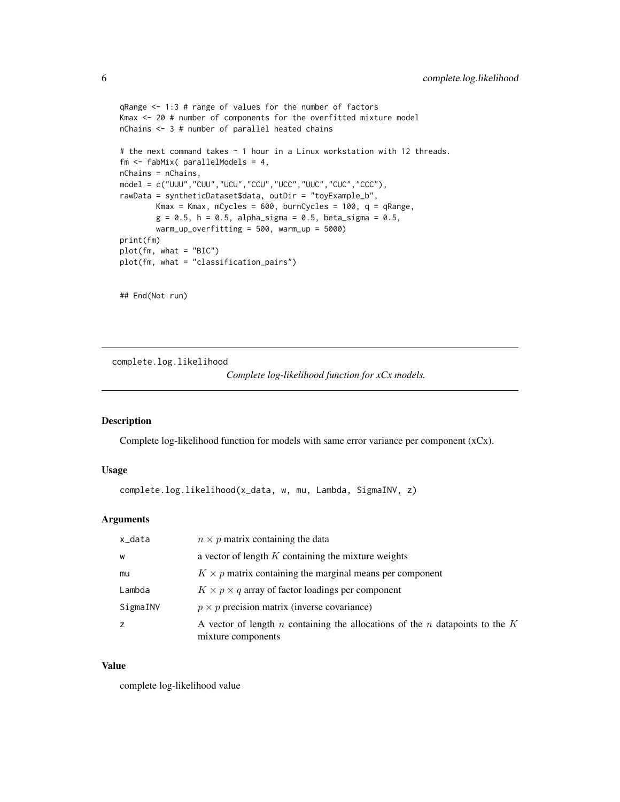```
qRange <- 1:3 # range of values for the number of factors
Kmax <- 20 # number of components for the overfitted mixture model
nChains <- 3 # number of parallel heated chains
# the next command takes ~ 1 hour in a Linux workstation with 12 threads.
fm <- fabMix( parallelModels = 4,
nChains = nChains,
model = c("UUU","CUU","UCU","CCU","UCC","UUC","CUC","CCC"),
rawData = syntheticDataset$data, outDir = "toyExample_b",
       Kmax = Kmax, mCycles = 600, burnCycles = 100, q = qRange,
        g = 0.5, h = 0.5, alpha_sigma = 0.5, beta_sigma = 0.5,
       warm_up_overfitting = 500, warm_up = 5000)
print(fm)
plot(fm, what = "BIC")
plot(fm, what = "classification_pairs")
```
## End(Not run)

complete.log.likelihood

```
Complete log-likelihood function for xCx models.
```
#### Description

Complete log-likelihood function for models with same error variance per component  $(xCx)$ .

#### Usage

```
complete.log.likelihood(x_data, w, mu, Lambda, SigmaINV, z)
```
# Arguments

| x_data   | $n \times p$ matrix containing the data                                                              |
|----------|------------------------------------------------------------------------------------------------------|
| W        | a vector of length $K$ containing the mixture weights                                                |
| mu       | $K \times p$ matrix containing the marginal means per component                                      |
| Lambda   | $K \times p \times q$ array of factor loadings per component                                         |
| SigmaINV | $p \times p$ precision matrix (inverse covariance)                                                   |
|          | A vector of length n containing the allocations of the n datapoints to the $K$<br>mixture components |

#### Value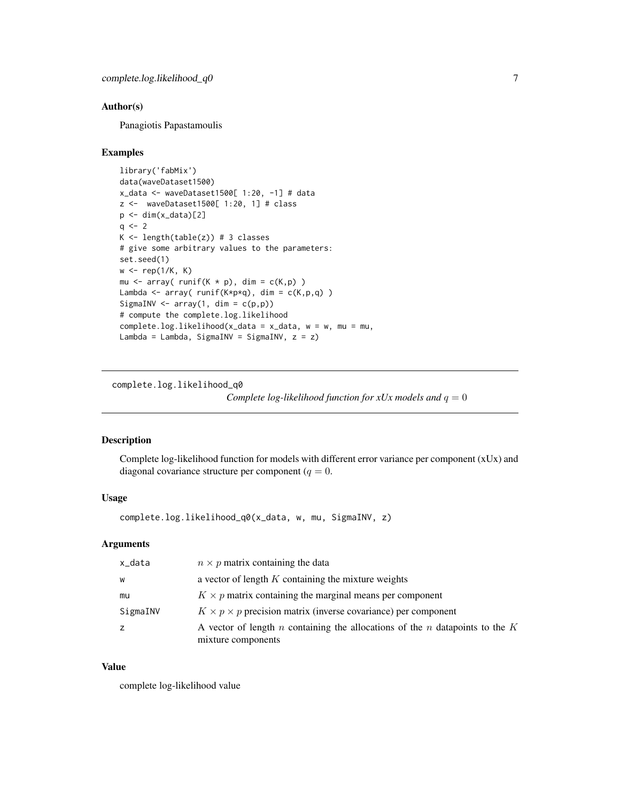<span id="page-6-0"></span>Panagiotis Papastamoulis

#### Examples

```
library('fabMix')
data(waveDataset1500)
x_data <- waveDataset1500[ 1:20, -1] # data
z <- waveDataset1500[ 1:20, 1] # class
p \leftarrow \text{dim}(x_data)[2]q \le -2K \leftarrow length(table(z)) # 3 classes
# give some arbitrary values to the parameters:
set.seed(1)
w \leftarrow \text{rep}(1/K, K)mu \leq array( runif(K * p), dim = c(K,p))
Lambda <- array( runif(K*p*q), dim = c(K,p,q) )
SigmaINV \leq array(1, dim = c(p, p))
# compute the complete.log.likelihood
complete.log.likelihood(x_data = x_data, w = w, mu = mu,
Lambda = Lambda, SigmaINV = SigmaINV, z = z)
```
complete.log.likelihood\_q0

*Complete log-likelihood function for xUx models and*  $q = 0$ 

# Description

Complete log-likelihood function for models with different error variance per component (xUx) and diagonal covariance structure per component ( $q = 0$ .

# Usage

complete.log.likelihood\_q0(x\_data, w, mu, SigmaINV, z)

#### Arguments

| x_data   | $n \times p$ matrix containing the data                                                              |
|----------|------------------------------------------------------------------------------------------------------|
| W        | a vector of length $K$ containing the mixture weights                                                |
| mu       | $K \times p$ matrix containing the marginal means per component                                      |
| SigmaINV | $K \times p \times p$ precision matrix (inverse covariance) per component                            |
|          | A vector of length n containing the allocations of the n datapoints to the $K$<br>mixture components |

#### Value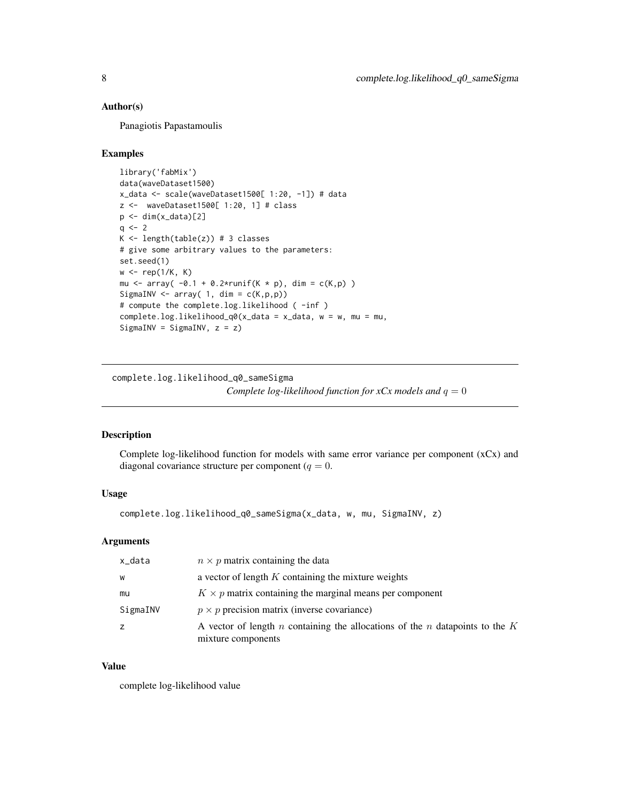<span id="page-7-0"></span>Panagiotis Papastamoulis

#### Examples

```
library('fabMix')
data(waveDataset1500)
x_data <- scale(waveDataset1500[ 1:20, -1]) # data
z <- waveDataset1500[ 1:20, 1] # class
p <- dim(x_data)[2]
q \le -2K \leftarrow length(table(z)) # 3 classes
# give some arbitrary values to the parameters:
set.seed(1)
w \leftarrow \text{rep}(1/K, K)mu <- array( -0.1 + 0.2*runif(K * p), dim = c(K,p))
SigmaINV \leq array( 1, dim = c(K, p, p))
# compute the complete.log.likelihood ( -inf )
complete.log.likelihood_q0(x_data = x_data, w = w, mu = mu,
SigmaINV = SigmaINV, z = z)
```
complete.log.likelihood\_q0\_sameSigma

*Complete log-likelihood function for xCx models and*  $q = 0$ 

# Description

Complete log-likelihood function for models with same error variance per component (xCx) and diagonal covariance structure per component ( $q = 0$ .

# Usage

```
complete.log.likelihood_q0_sameSigma(x_data, w, mu, SigmaINV, z)
```
# Arguments

| x_data   | $n \times p$ matrix containing the data                                                                  |
|----------|----------------------------------------------------------------------------------------------------------|
| W        | a vector of length $K$ containing the mixture weights                                                    |
| mu       | $K \times p$ matrix containing the marginal means per component                                          |
| SigmaINV | $p \times p$ precision matrix (inverse covariance)                                                       |
|          | A vector of length $n$ containing the allocations of the $n$ datapoints to the $K$<br>mixture components |

#### Value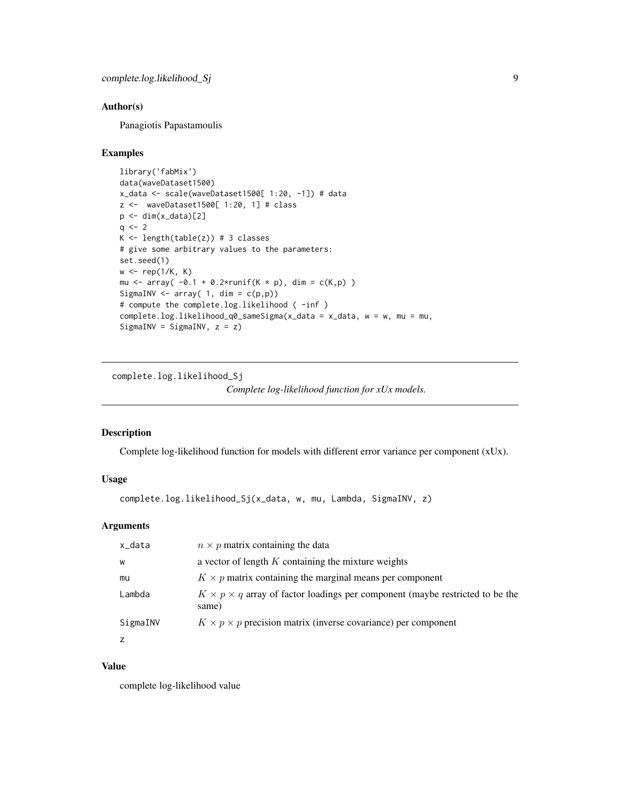<span id="page-8-0"></span>Panagiotis Papastamoulis

#### Examples

```
library('fabMix')
data(waveDataset1500)
x_data <- scale(waveDataset1500[ 1:20, -1]) # data
z <- waveDataset1500[ 1:20, 1] # class
p \leftarrow \text{dim}(x_data)[2]q \le -2K \leftarrow length(table(z)) # 3 classes
# give some arbitrary values to the parameters:
set.seed(1)
w \leftarrow rep(1/K, K)mu <- array( -0.1 + 0.2*runif(K * p), dim = c(K,p))
SigmaINV \leq array( 1, dim = c(p, p))
# compute the complete.log.likelihood ( -inf )
complete.log.likelihood_q0_sameSigma(x_data = x_data, w = w, mu = mu,
SigmaINV = SigmaINV, z = z)
```
complete.log.likelihood\_Sj

*Complete log-likelihood function for xUx models.*

#### Description

Complete log-likelihood function for models with different error variance per component (xUx).

# Usage

```
complete.log.likelihood_Sj(x_data, w, mu, Lambda, SigmaINV, z)
```
# Arguments

| x_data   | $n \times p$ matrix containing the data                                                           |
|----------|---------------------------------------------------------------------------------------------------|
| W        | a vector of length $K$ containing the mixture weights                                             |
| mu       | $K \times p$ matrix containing the marginal means per component                                   |
| Lambda   | $K \times p \times q$ array of factor loadings per component (maybe restricted to be the<br>same) |
| SigmaINV | $K \times p \times p$ precision matrix (inverse covariance) per component                         |
|          |                                                                                                   |

# Value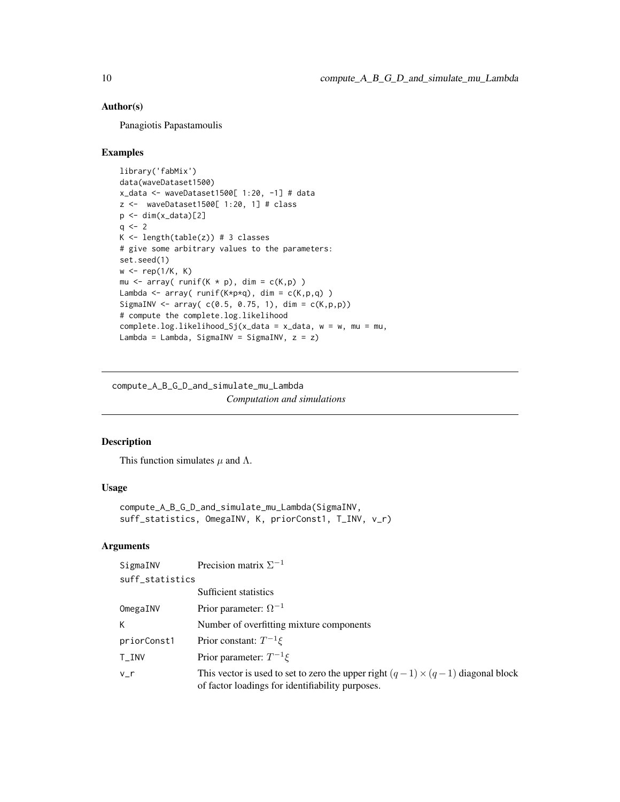<span id="page-9-0"></span>Panagiotis Papastamoulis

#### Examples

```
library('fabMix')
data(waveDataset1500)
x_data <- waveDataset1500[ 1:20, -1] # data
z <- waveDataset1500[ 1:20, 1] # class
p \leftarrow \text{dim}(x_data)[2]q \le -2K \leftarrow length(table(z)) # 3 classes
# give some arbitrary values to the parameters:
set.seed(1)
w \leftarrow \text{rep}(1/K, K)mu \leq array( runif(K * p), dim = c(K,p))
Lambda \leq array( runif(K*p*q), dim = c(K,p,q))
SigmaINV <- array( c(0.5, 0.75, 1), dim = c(K, p, p))# compute the complete.log.likelihood
complete.log.likelihood_Sj(x_data = x_data, w = w, mu = mu,
Lambda = Lambda, SigmaINV = SigmaINV, z = z)
```
compute\_A\_B\_G\_D\_and\_simulate\_mu\_Lambda *Computation and simulations*

# Description

This function simulates  $\mu$  and  $\Lambda$ .

# Usage

```
compute_A_B_G_D_and_simulate_mu_Lambda(SigmaINV,
suff_statistics, OmegaINV, K, priorConst1, T_INV, v_r)
```
# Arguments

```
SigmaINV Precision matrix \Sigma^{-1}suff_statistics
```

|             | Sufficient statistics                                                                                                                      |
|-------------|--------------------------------------------------------------------------------------------------------------------------------------------|
| OmegaINV    | Prior parameter: $\Omega^{-1}$                                                                                                             |
|             | Number of overfitting mixture components                                                                                                   |
| priorConst1 | Prior constant: $T^{-1}\xi$                                                                                                                |
| $T\_INV$    | Prior parameter: $T^{-1}\xi$                                                                                                               |
| v r         | This vector is used to set to zero the upper right $(q-1) \times (q-1)$ diagonal block<br>of factor loadings for identifiability purposes. |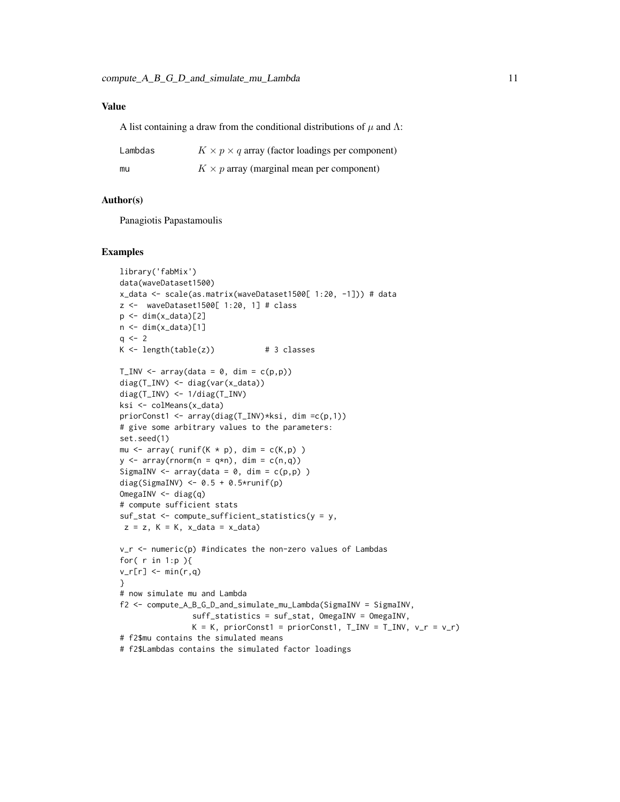# Value

A list containing a draw from the conditional distributions of  $\mu$  and  $\Lambda$ :

| Lambdas | $K \times p \times q$ array (factor loadings per component) |
|---------|-------------------------------------------------------------|
| mu      | $K \times p$ array (marginal mean per component)            |

#### Author(s)

Panagiotis Papastamoulis

#### Examples

```
library('fabMix')
data(waveDataset1500)
x_data <- scale(as.matrix(waveDataset1500[ 1:20, -1])) # data
z <- waveDataset1500[ 1:20, 1] # class
p \leftarrow \text{dim}(x_data)[2]n <- dim(x_data)[1]
q \le -2K \leftarrow \text{length}(\text{table}(z)) # 3 classes
T_I N V \leq T T T V (data = 0, dim = c(p,p))diag(T_INV) <- diag(var(x_data))
diag(T_INV) <- 1/diag(T_INV)
ksi <- colMeans(x_data)
priorConst1 <- array(diag(T_INV)*ksi, dim =c(p,1))
# give some arbitrary values to the parameters:
set.seed(1)
mu \leq array( runif(K * p), dim = c(K,p))
y \le -\arctan(\text{rnorm}(n = q*n), \text{dim} = c(n,q))SigmaINV \leq array(data = 0, dim = c(p, p))
diag(SigmaINV) \leq -0.5 + 0.5 \times \text{runif(p)}OmegaINV <- diag(q)
# compute sufficient stats
suf\_stat \leftarrow compute\_sufficient\_statistics(y = y,z = z, K = K, x_data = x_data)
v_r <- numeric(p) #indicates the non-zero values of Lambdas
for( r in 1:p ){
v_r[r] <- min(r,q)}
# now simulate mu and Lambda
f2 <- compute_A_B_G_D_and_simulate_mu_Lambda(SigmaINV = SigmaINV,
                 suff_statistics = suf_stat, OmegaINV = OmegaINV,
                 K = K, priorConst1 = priorConst1, T_I N = T_I NV, v_r = v_r)
# f2$mu contains the simulated means
# f2$Lambdas contains the simulated factor loadings
```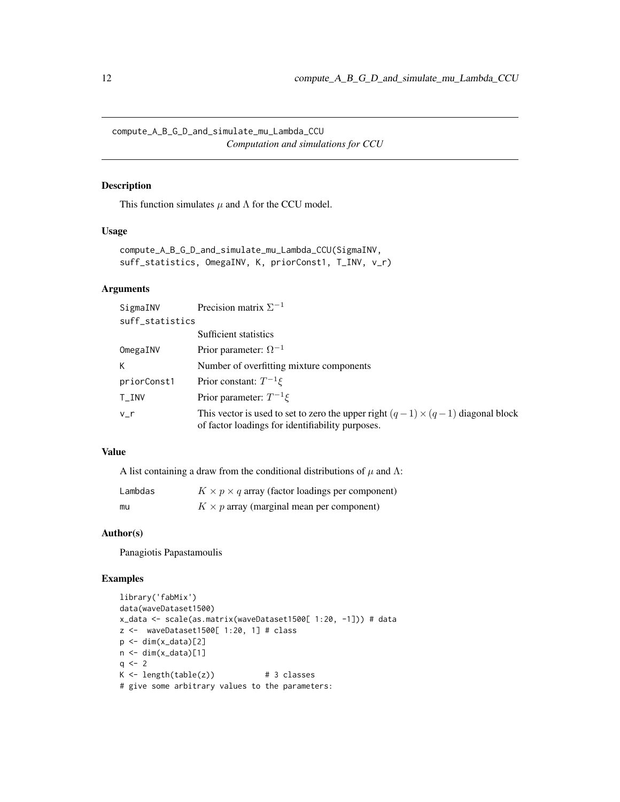<span id="page-11-0"></span>compute\_A\_B\_G\_D\_and\_simulate\_mu\_Lambda\_CCU *Computation and simulations for CCU*

# Description

This function simulates  $\mu$  and  $\Lambda$  for the CCU model.

#### Usage

```
compute_A_B_G_D_and_simulate_mu_Lambda_CCU(SigmaINV,
suff_statistics, OmegaINV, K, priorConst1, T_INV, v_r)
```
# Arguments

| SigmaINV        | Precision matrix $\Sigma^{-1}$                                                                                                             |
|-----------------|--------------------------------------------------------------------------------------------------------------------------------------------|
| suff_statistics |                                                                                                                                            |
|                 | Sufficient statistics                                                                                                                      |
| OmegaINV        | Prior parameter: $\Omega^{-1}$                                                                                                             |
| К               | Number of overfitting mixture components                                                                                                   |
| priorConst1     | Prior constant: $T^{-1}\xi$                                                                                                                |
| $T\_INV$        | Prior parameter: $T^{-1}\xi$                                                                                                               |
| $v_{-}r$        | This vector is used to set to zero the upper right $(q-1) \times (q-1)$ diagonal block<br>of factor loadings for identifiability purposes. |

# Value

A list containing a draw from the conditional distributions of  $\mu$  and  $\Lambda$ :

| Lambdas | $K \times p \times q$ array (factor loadings per component) |
|---------|-------------------------------------------------------------|
| mu      | $K \times p$ array (marginal mean per component)            |

# Author(s)

Panagiotis Papastamoulis

# Examples

```
library('fabMix')
data(waveDataset1500)
x_data <- scale(as.matrix(waveDataset1500[ 1:20, -1])) # data
z <- waveDataset1500[ 1:20, 1] # class
p \leftarrow \text{dim}(x_data)[2]n \leq -\dim(x_data)[1]q \le -2K \leftarrow \text{length}(\text{table}(z)) # 3 classes
# give some arbitrary values to the parameters:
```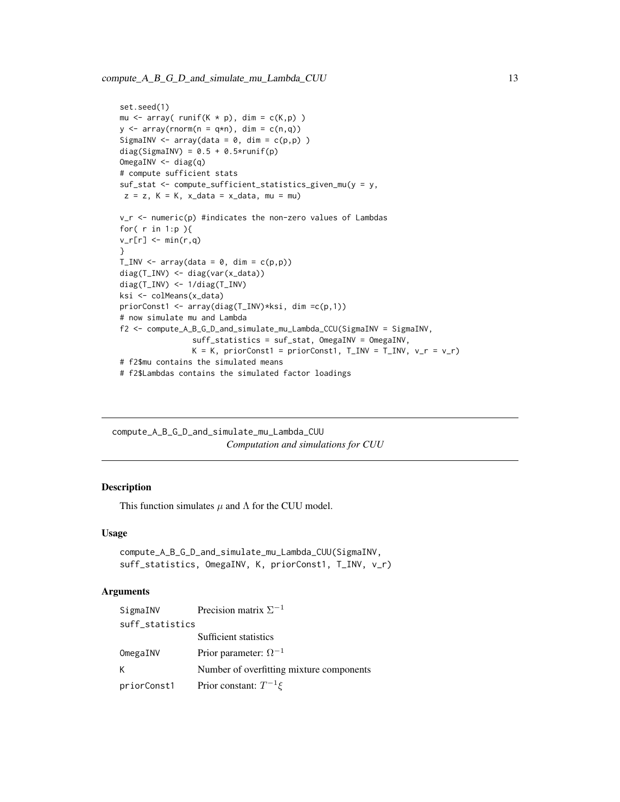```
set.seed(1)
mu \leq array( runif(K * p), dim = c(K,p))
y \le -\arctan(\text{rnorm}(n = q*n), \text{dim} = c(n,q))SigmaINV \leq array(data = 0, dim = c(p, p))
diag(SigmaINV) = 0.5 + 0.5*runif(p)
OmegaINV <- diag(q)
# compute sufficient stats
suf_stat <- compute_sufficient_statistics_given_mu(y = y,
z = z, K = K, x_data = x_data, mu = muv_r <- numeric(p) #indicates the non-zero values of Lambdas
for( r in 1:p ){
v_r[r] <- min(r, q)}
T_I N V \leftarrow array(data = 0, dim = c(p, p))diag(T_INV) <- diag(var(x_data))
diag(T_INV) <- 1/diag(T_INV)
ksi <- colMeans(x_data)
priorConst1 <- array(diag(T_INV)*ksi, dim =c(p,1))
# now simulate mu and Lambda
f2 <- compute_A_B_G_D_and_simulate_mu_Lambda_CCU(SigmaINV = SigmaINV,
                suff_statistics = suf_stat, OmegaINV = OmegaINV,
                K = K, priorConst1 = priorConst1, T_INV = T_INV, v_r = v_r)
# f2$mu contains the simulated means
# f2$Lambdas contains the simulated factor loadings
```
compute\_A\_B\_G\_D\_and\_simulate\_mu\_Lambda\_CUU *Computation and simulations for CUU*

# Description

This function simulates  $\mu$  and  $\Lambda$  for the CUU model.

#### Usage

```
compute_A_B_G_D_and_simulate_mu_Lambda_CUU(SigmaINV,
suff_statistics, OmegaINV, K, priorConst1, T_INV, v_r)
```
#### Arguments

| SigmaINV        | Precision matrix $\Sigma^{-1}$           |  |  |  |
|-----------------|------------------------------------------|--|--|--|
| suff_statistics |                                          |  |  |  |
|                 | Sufficient statistics                    |  |  |  |
| OmegaINV        | Prior parameter: $\Omega^{-1}$           |  |  |  |
| К               | Number of overfitting mixture components |  |  |  |
| priorConst1     | Prior constant: $T^{-1}\xi$              |  |  |  |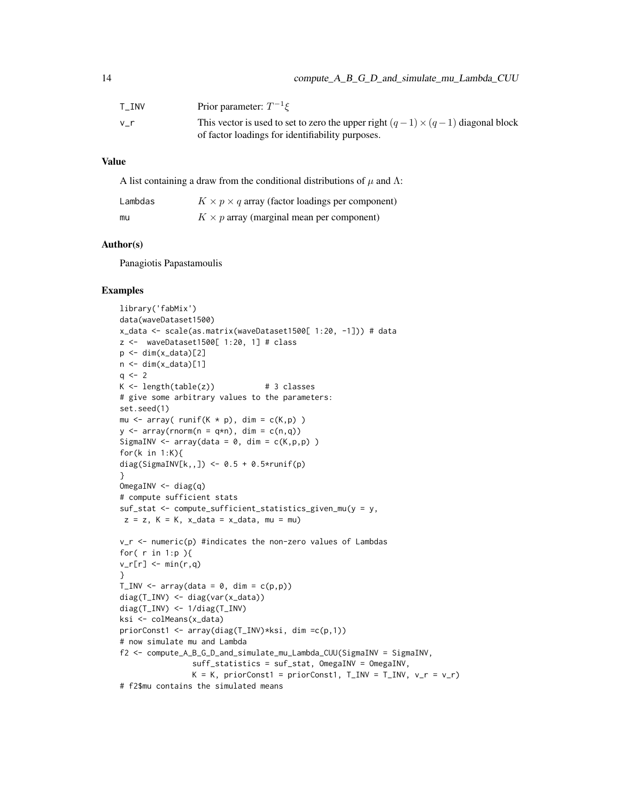| T INV | Prior parameter: $T^{-1}\xi$                                                                                                               |
|-------|--------------------------------------------------------------------------------------------------------------------------------------------|
| v r   | This vector is used to set to zero the upper right $(q-1) \times (q-1)$ diagonal block<br>of factor loadings for identifiability purposes. |

# Value

A list containing a draw from the conditional distributions of  $\mu$  and  $\Lambda$ :

| Lambdas | $K \times p \times q$ array (factor loadings per component) |
|---------|-------------------------------------------------------------|
| mu      | $K \times p$ array (marginal mean per component)            |

# Author(s)

Panagiotis Papastamoulis

# Examples

```
library('fabMix')
data(waveDataset1500)
x_data <- scale(as.matrix(waveDataset1500[ 1:20, -1])) # data
z <- waveDataset1500[ 1:20, 1] # class
p \leftarrow \text{dim}(x_data)[2]n \leq -\dim(x_data)[1]q \le -2K \leftarrow length(table(z)) # 3 classes
# give some arbitrary values to the parameters:
set.seed(1)
mu \leq array( runif(K * p), dim = c(K, p))
y \le -\arctan(\text{rnorm}(n = q*n), \text{dim} = c(n,q))SigmaINV \leq array(data = 0, dim = c(K,p,p))
for(k in 1:K){
diag(SigmaINV[k,,]) <- 0.5 + 0.5*runif(p)
}
OmegaINV <- diag(q)
# compute sufficient stats
suf\_stat \leq compute_sufficient_statistics_given_mu(y = y,
z = z, K = K, x_data = x_data, mu = muv_r <- numeric(p) #indicates the non-zero values of Lambdas
for( r in 1:p ){
v_r[r] <- min(r,q)}
T_IN < - array(data = 0, dim = c(p,p))diag(T_INV) <- diag(var(x_data))
diag(T_INV) <- 1/diag(T_INV)
ksi <- colMeans(x_data)
priorConst1 <- array(diag(T_INV)*ksi, dim =c(p,1))
# now simulate mu and Lambda
f2 <- compute_A_B_G_D_and_simulate_mu_Lambda_CUU(SigmaINV = SigmaINV,
                suff_statistics = suf_stat, OmegaINV = OmegaINV,
                K = K, priorConst1 = priorConst1, T_LINV = T_LINV, v_r = v_r)
# f2$mu contains the simulated means
```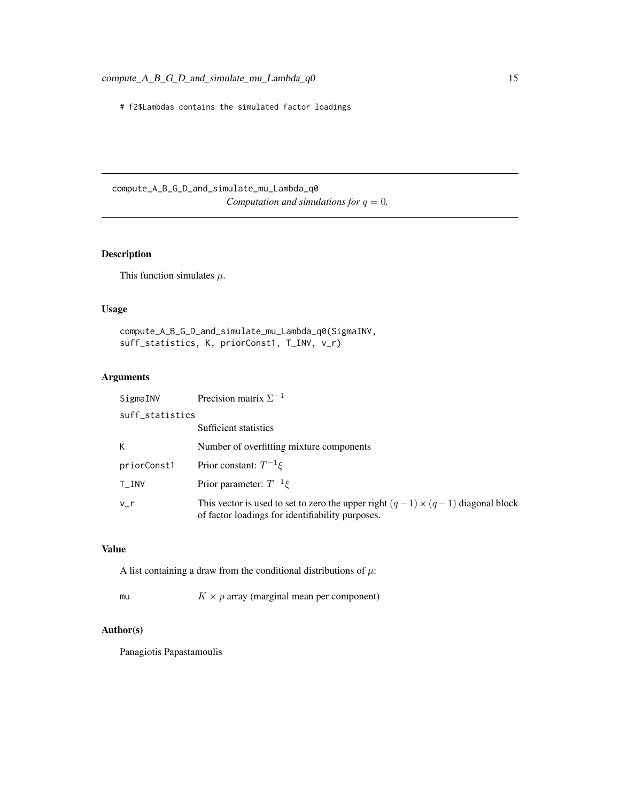<span id="page-14-0"></span># f2\$Lambdas contains the simulated factor loadings

compute\_A\_B\_G\_D\_and\_simulate\_mu\_Lambda\_q0 *Computation and simulations for*  $q = 0$ *.* 

# Description

This function simulates  $\mu$ .

# Usage

compute\_A\_B\_G\_D\_and\_simulate\_mu\_Lambda\_q0(SigmaINV, suff\_statistics, K, priorConst1, T\_INV, v\_r)

# Arguments

| SigmaINV        | Precision matrix $\Sigma^{-1}$                                                                                                             |
|-----------------|--------------------------------------------------------------------------------------------------------------------------------------------|
| suff_statistics |                                                                                                                                            |
|                 | Sufficient statistics                                                                                                                      |
| K.              | Number of overfitting mixture components                                                                                                   |
| priorConst1     | Prior constant: $T^{-1}\xi$                                                                                                                |
| $T_I$ NV        | Prior parameter: $T^{-1}\xi$                                                                                                               |
| v r             | This vector is used to set to zero the upper right $(q-1) \times (q-1)$ diagonal block<br>of factor loadings for identifiability purposes. |

# Value

A list containing a draw from the conditional distributions of  $\mu$ :

| mu |  | $K \times p$ array (marginal mean per component) |  |
|----|--|--------------------------------------------------|--|
|----|--|--------------------------------------------------|--|

# Author(s)

Panagiotis Papastamoulis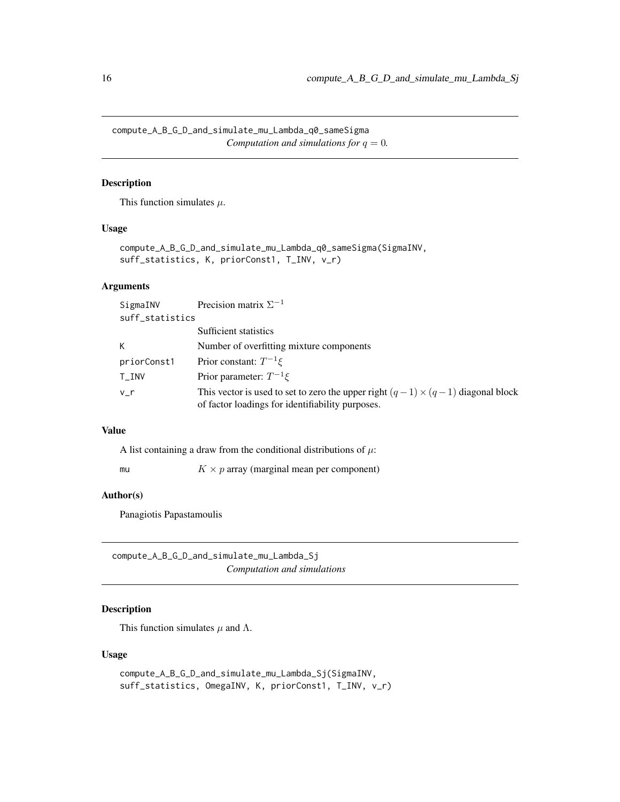<span id="page-15-0"></span>compute\_A\_B\_G\_D\_and\_simulate\_mu\_Lambda\_q0\_sameSigma *Computation and simulations for*  $q = 0$ *.* 

# Description

This function simulates  $\mu$ .

# Usage

```
compute_A_B_G_D_and_simulate_mu_Lambda_q0_sameSigma(SigmaINV,
suff_statistics, K, priorConst1, T_INV, v_r)
```
# Arguments

| SigmaINV                     | Precision matrix $\Sigma^{-1}$                                                                                                             |
|------------------------------|--------------------------------------------------------------------------------------------------------------------------------------------|
| suff_statistics              |                                                                                                                                            |
|                              | Sufficient statistics                                                                                                                      |
| K.                           | Number of overfitting mixture components                                                                                                   |
| priorConst1                  | Prior constant: $T^{-1}\xi$                                                                                                                |
| $\mathsf{T}\_{\mathsf{INV}}$ | Prior parameter: $T^{-1}\xi$                                                                                                               |
| v r                          | This vector is used to set to zero the upper right $(q-1) \times (q-1)$ diagonal block<br>of factor loadings for identifiability purposes. |

#### Value

A list containing a draw from the conditional distributions of  $\mu$ :

mu  $K \times p$  array (marginal mean per component)

# Author(s)

Panagiotis Papastamoulis

compute\_A\_B\_G\_D\_and\_simulate\_mu\_Lambda\_Sj *Computation and simulations*

# Description

This function simulates  $\mu$  and  $\Lambda$ .

# Usage

```
compute_A_B_G_D_and_simulate_mu_Lambda_Sj(SigmaINV,
suff_statistics, OmegaINV, K, priorConst1, T_INV, v_r)
```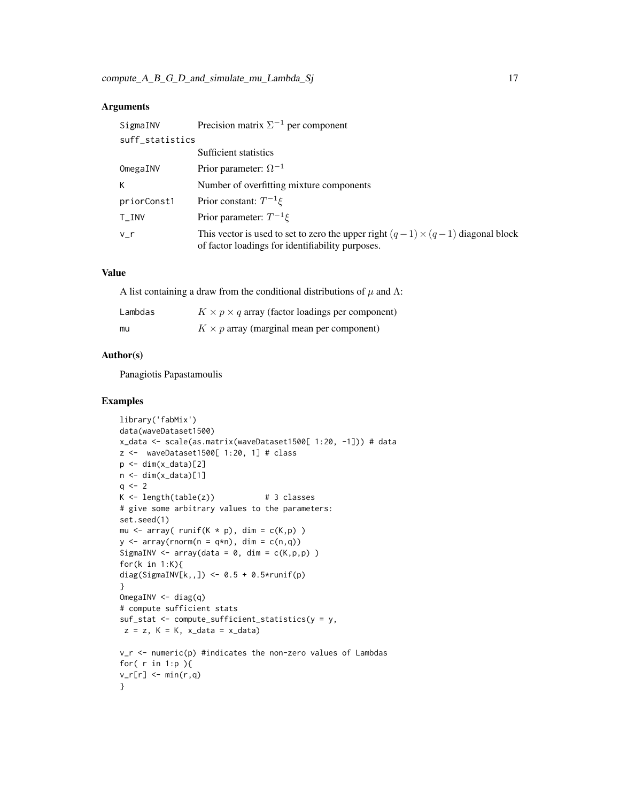# Arguments

| SigmaINV        | Precision matrix $\Sigma^{-1}$ per component                                                                                               |
|-----------------|--------------------------------------------------------------------------------------------------------------------------------------------|
| suff_statistics |                                                                                                                                            |
|                 | Sufficient statistics                                                                                                                      |
| OmegaINV        | Prior parameter: $\Omega^{-1}$                                                                                                             |
| K               | Number of overfitting mixture components                                                                                                   |
| priorConst1     | Prior constant: $T^{-1}\xi$                                                                                                                |
| $T_I$ INV       | Prior parameter: $T^{-1}\xi$                                                                                                               |
| v r             | This vector is used to set to zero the upper right $(q-1) \times (q-1)$ diagonal block<br>of factor loadings for identifiability purposes. |

# Value

A list containing a draw from the conditional distributions of  $\mu$  and  $\Lambda$ :

| Lambdas | $K \times p \times q$ array (factor loadings per component) |
|---------|-------------------------------------------------------------|
| mu      | $K \times p$ array (marginal mean per component)            |

# Author(s)

Panagiotis Papastamoulis

# Examples

```
library('fabMix')
data(waveDataset1500)
x_data <- scale(as.matrix(waveDataset1500[ 1:20, -1])) # data
z <- waveDataset1500[ 1:20, 1] # class
p \leftarrow \text{dim}(x_data)[2]n \leq -\dim(x_data)[1]q \le -2K \leftarrow length(table(z)) # 3 classes
# give some arbitrary values to the parameters:
set.seed(1)
mu \leq array( runif(K \neq p), dim = c(K,p))
y \le -\arctan(\text{rnorm}(n = q*n), \text{dim} = c(n,q))SigmaINV \leq array(data = 0, dim = c(K, p, p))
for(k in 1:K){
diag(SigmaINV[k,,]) <- 0.5 + 0.5*runif(p)
}
OmegaINV <- diag(q)
# compute sufficient stats
suf_stat <- compute_sufficient_statistics(y = y,
z = z, K = K, x_data = x_data)
v_r <- numeric(p) #indicates the non-zero values of Lambdas
for( r in 1:p ){
v_r[r] <- min(r,q)}
```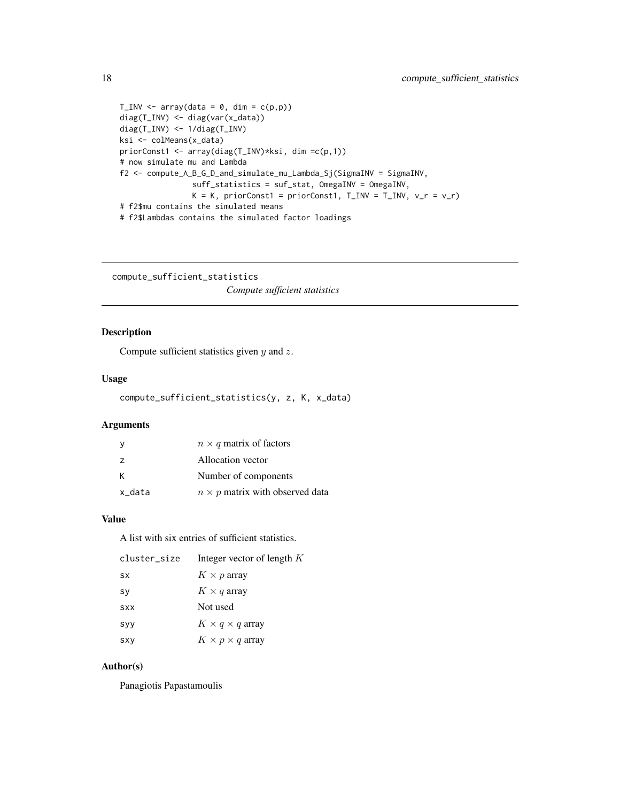```
T_INV <- array(data = 0, dim = c(p,p))
diag(T_INV) <- diag(var(x_data))
diag(T_INV) <- 1/diag(T_INV)
ksi <- colMeans(x_data)
priorConst1 <- array(diag(T_INV)*ksi, dim =c(p,1))
# now simulate mu and Lambda
f2 <- compute_A_B_G_D_and_simulate_mu_Lambda_Sj(SigmaINV = SigmaINV,
                suff_statistics = suf_stat, OmegaINV = OmegaINV,
                K = K, priorConst1 = priorConst1, T_LINV = T_LINV, v_r = v_r)
# f2$mu contains the simulated means
```
# f2\$Lambdas contains the simulated factor loadings

compute\_sufficient\_statistics *Compute sufficient statistics*

# Description

Compute sufficient statistics given  $y$  and  $z$ .

#### Usage

```
compute_sufficient_statistics(y, z, K, x_data)
```
# Arguments

|                | $n \times q$ matrix of factors         |
|----------------|----------------------------------------|
| $\overline{z}$ | Allocation vector                      |
| к              | Number of components                   |
| x_data         | $n \times p$ matrix with observed data |

#### Value

A list with six entries of sufficient statistics.

| cluster size | Integer vector of length K  |
|--------------|-----------------------------|
| <b>SX</b>    | $K \times p$ array          |
| sy           | $K \times q$ array          |
| <b>SXX</b>   | Not used                    |
| syy          | $K \times q \times q$ array |
| <b>SXY</b>   | $K \times p \times q$ array |

# Author(s)

Panagiotis Papastamoulis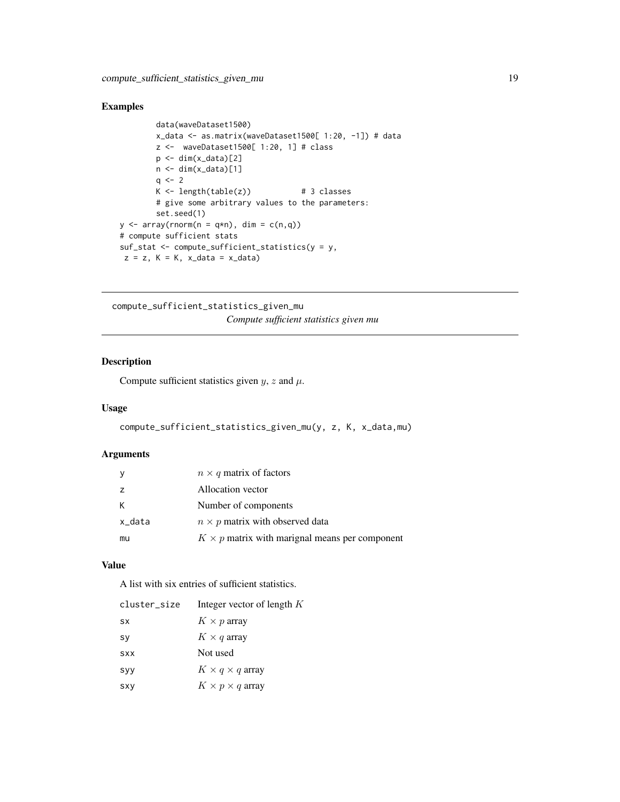# <span id="page-18-0"></span>Examples

```
data(waveDataset1500)
        x_data <- as.matrix(waveDataset1500[ 1:20, -1]) # data
        z <- waveDataset1500[ 1:20, 1] # class
        p \leftarrow \text{dim}(x_data)[2]n \leq -\dim(x_data)[1]q \le -2K \leftarrow length(table(z)) # 3 classes
        # give some arbitrary values to the parameters:
        set.seed(1)
y \le -\arctan(\text{rnorm}(n = q*n), \text{dim} = \text{c}(n,q))# compute sufficient stats
suf_stat <- compute_sufficient_statistics(y = y,
z = z, K = K, x_data = x_data
```
compute\_sufficient\_statistics\_given\_mu *Compute sufficient statistics given mu*

# Description

Compute sufficient statistics given  $y$ , z and  $\mu$ .

#### Usage

```
compute_sufficient_statistics_given_mu(y, z, K, x_data,mu)
```
#### Arguments

| y      | $n \times q$ matrix of factors                        |
|--------|-------------------------------------------------------|
| z      | Allocation vector                                     |
| К      | Number of components                                  |
| x_data | $n \times p$ matrix with observed data                |
| mu     | $K \times p$ matrix with marignal means per component |

#### Value

A list with six entries of sufficient statistics.

| cluster_size | Integer vector of length K  |
|--------------|-----------------------------|
| <b>SX</b>    | $K \times p$ array          |
| sy           | $K \times q$ array          |
| <b>SXX</b>   | Not used                    |
| syy          | $K \times q \times q$ array |
| <b>SXY</b>   | $K \times p \times q$ array |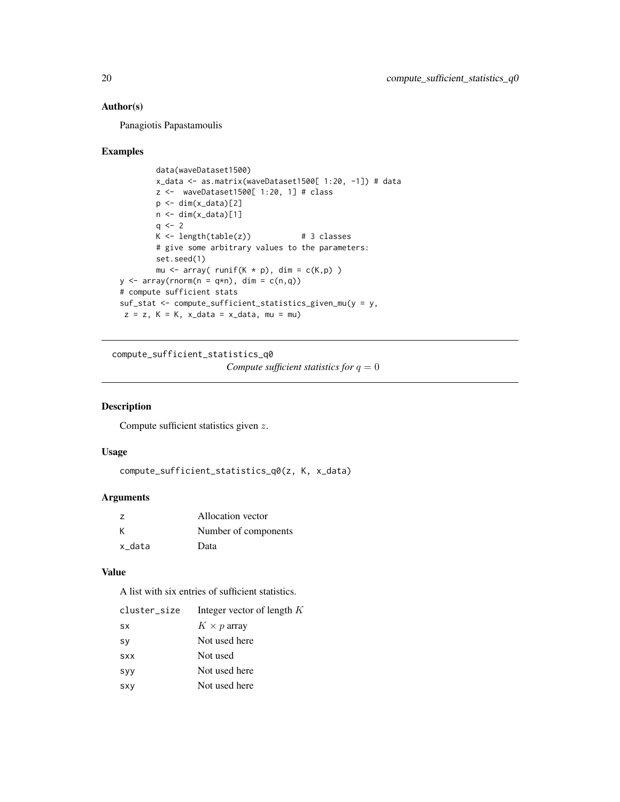<span id="page-19-0"></span>Panagiotis Papastamoulis

#### Examples

```
data(waveDataset1500)
        x_data <- as.matrix(waveDataset1500[ 1:20, -1]) # data
        z <- waveDataset1500[ 1:20, 1] # class
        p \leftarrow \text{dim}(x_data)[2]n \leq -\dim(x_data)[1]q \le -2K \leq -\text{length}(\text{table}(z)) # 3 classes
        # give some arbitrary values to the parameters:
        set.seed(1)
        mu \leq array( runif(K * p), dim = c(K,p))
y \le -\arctan(\text{rnorm}(n = q*n), \text{dim} = \text{c}(n,q))# compute sufficient stats
suf_stat <- compute_sufficient_statistics_given_mu(y = y,
z = z, K = K, x_data = x_data, mu = mu
```
compute\_sufficient\_statistics\_q0

*Compute sufficient statistics for* q = 0

# Description

Compute sufficient statistics given z.

# Usage

```
compute_sufficient_statistics_q0(z, K, x_data)
```
#### Arguments

| $\overline{z}$ | Allocation vector    |
|----------------|----------------------|
| К              | Number of components |
| x data         | Data                 |

#### Value

A list with six entries of sufficient statistics.

| cluster_size | Integer vector of length K |
|--------------|----------------------------|
| <b>SX</b>    | $K \times p$ array         |
| <b>Sy</b>    | Not used here              |
| <b>SXX</b>   | Not used                   |
| syy          | Not used here              |
| <b>SXY</b>   | Not used here              |
|              |                            |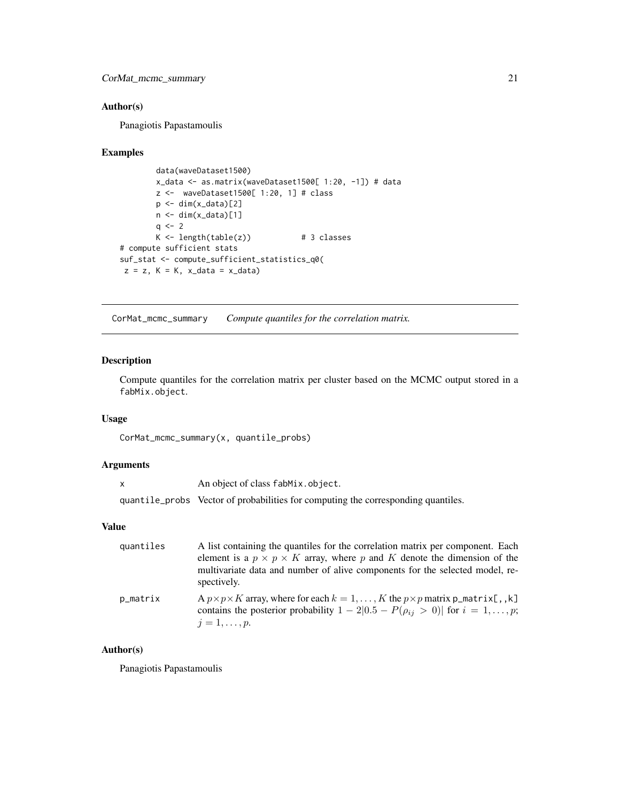<span id="page-20-0"></span>Panagiotis Papastamoulis

#### Examples

```
data(waveDataset1500)
        x_data <- as.matrix(waveDataset1500[ 1:20, -1]) # data
        z <- waveDataset1500[ 1:20, 1] # class
        p \leftarrow \text{dim}(x_data)[2]n \leftarrow \text{dim}(x_data)[1]q \le -2K \leftarrow length(table(z)) # 3 classes
# compute sufficient stats
suf_stat <- compute_sufficient_statistics_q0(
z = z, K = K, x_data = x_data
```
CorMat\_mcmc\_summary *Compute quantiles for the correlation matrix.*

#### Description

Compute quantiles for the correlation matrix per cluster based on the MCMC output stored in a fabMix.object.

#### Usage

CorMat\_mcmc\_summary(x, quantile\_probs)

#### Arguments

| An object of class fabMix.object.                                                 |
|-----------------------------------------------------------------------------------|
| quantile_probs Vector of probabilities for computing the corresponding quantiles. |

# Value

| quantiles | A list containing the quantiles for the correlation matrix per component. Each<br>element is a $p \times p \times K$ array, where p and K denote the dimension of the<br>multivariate data and number of alive components for the selected model, re-<br>spectively. |
|-----------|----------------------------------------------------------------------------------------------------------------------------------------------------------------------------------------------------------------------------------------------------------------------|
| p_matrix  | A $p \times p \times K$ array, where for each $k = 1, , K$ the $p \times p$ matrix $p_{\text{matrix}[t, k]}$<br>contains the posterior probability $1 - 2[0.5 - P(\rho_{ij} > 0)]$ for $i = 1, , p$ ;<br>$i=1,\ldots,p.$                                             |

# Author(s)

Panagiotis Papastamoulis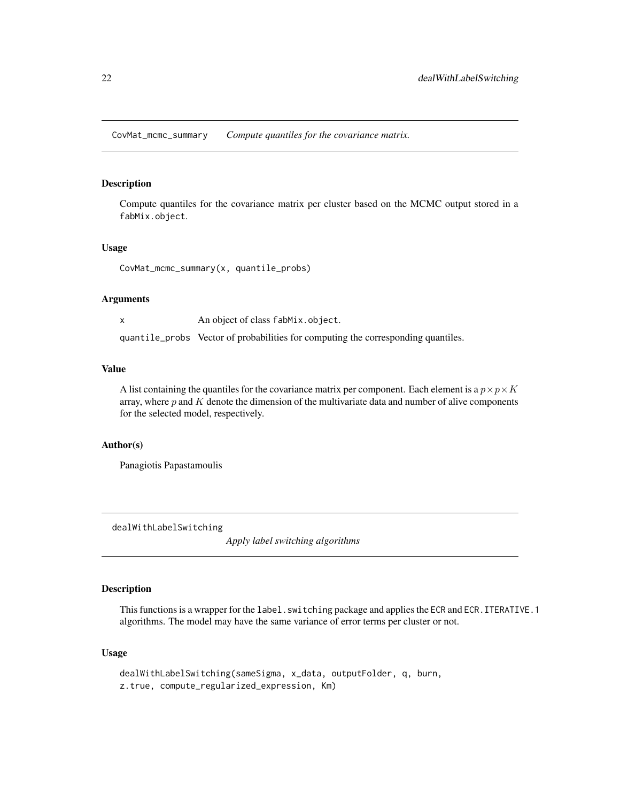<span id="page-21-0"></span>CovMat\_mcmc\_summary *Compute quantiles for the covariance matrix.*

# Description

Compute quantiles for the covariance matrix per cluster based on the MCMC output stored in a fabMix.object.

#### Usage

CovMat\_mcmc\_summary(x, quantile\_probs)

#### Arguments

x An object of class fabMix.object.

quantile\_probs Vector of probabilities for computing the corresponding quantiles.

# Value

A list containing the quantiles for the covariance matrix per component. Each element is a  $p \times p \times K$ array, where  $p$  and  $K$  denote the dimension of the multivariate data and number of alive components for the selected model, respectively.

# Author(s)

Panagiotis Papastamoulis

<span id="page-21-1"></span>dealWithLabelSwitching

*Apply label switching algorithms*

# Description

This functions is a wrapper for the label. switching package and applies the ECR and ECR. ITERATIVE. 1 algorithms. The model may have the same variance of error terms per cluster or not.

#### Usage

```
dealWithLabelSwitching(sameSigma, x_data, outputFolder, q, burn,
z.true, compute_regularized_expression, Km)
```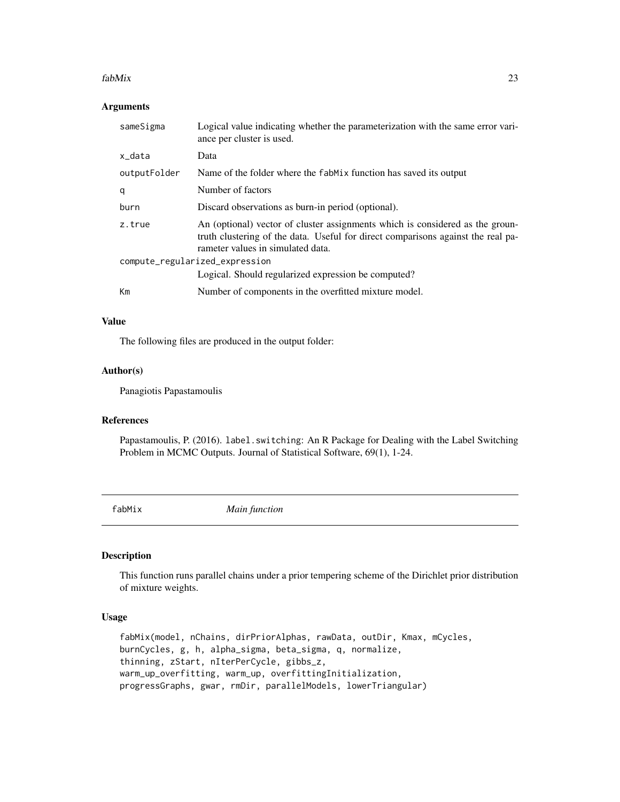#### <span id="page-22-0"></span>fabMix 23

# Arguments

| sameSigma                      | Logical value indicating whether the parameterization with the same error vari-<br>ance per cluster is used.                                                                                           |
|--------------------------------|--------------------------------------------------------------------------------------------------------------------------------------------------------------------------------------------------------|
| x_data                         | Data                                                                                                                                                                                                   |
| outputFolder                   | Name of the folder where the fabMix function has saved its output                                                                                                                                      |
| q                              | Number of factors                                                                                                                                                                                      |
| burn                           | Discard observations as burn-in period (optional).                                                                                                                                                     |
| z.true                         | An (optional) vector of cluster assignments which is considered as the groun-<br>truth clustering of the data. Useful for direct comparisons against the real pa-<br>rameter values in simulated data. |
| compute_regularized_expression |                                                                                                                                                                                                        |
|                                | Logical. Should regularized expression be computed?                                                                                                                                                    |
| Km                             | Number of components in the overfitted mixture model.                                                                                                                                                  |

#### Value

The following files are produced in the output folder:

#### Author(s)

Panagiotis Papastamoulis

# References

Papastamoulis, P. (2016). label. switching: An R Package for Dealing with the Label Switching Problem in MCMC Outputs. Journal of Statistical Software, 69(1), 1-24.

<span id="page-22-1"></span>fabMix *Main function*

#### Description

This function runs parallel chains under a prior tempering scheme of the Dirichlet prior distribution of mixture weights.

# Usage

fabMix(model, nChains, dirPriorAlphas, rawData, outDir, Kmax, mCycles, burnCycles, g, h, alpha\_sigma, beta\_sigma, q, normalize, thinning, zStart, nIterPerCycle, gibbs\_z, warm\_up\_overfitting, warm\_up, overfittingInitialization, progressGraphs, gwar, rmDir, parallelModels, lowerTriangular)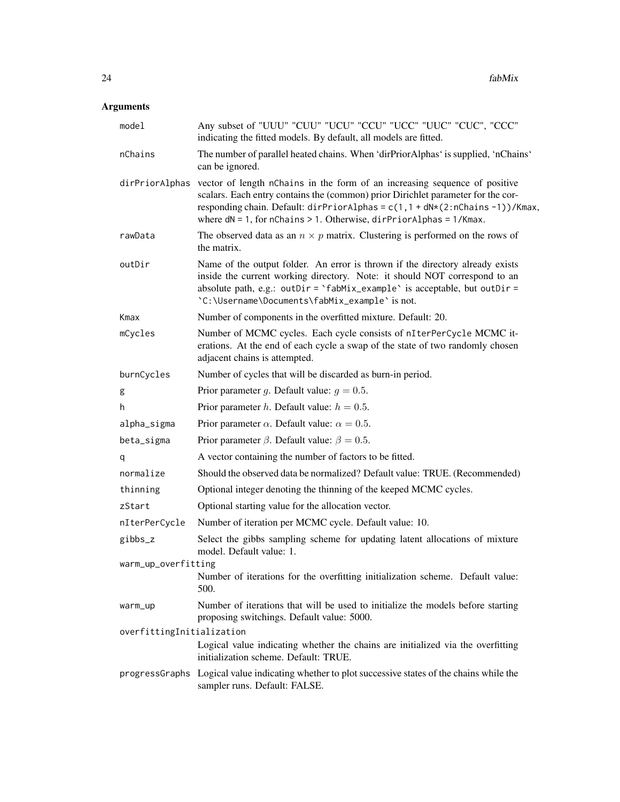# Arguments

| model                     | Any subset of "UUU" "CUU" "UCU" "CCU" "UCC" "UUC" "CUC", "CCC"<br>indicating the fitted models. By default, all models are fitted.                                                                                                                                                                                                        |
|---------------------------|-------------------------------------------------------------------------------------------------------------------------------------------------------------------------------------------------------------------------------------------------------------------------------------------------------------------------------------------|
| nChains                   | The number of parallel heated chains. When 'dirPriorAlphas' is supplied, 'nChains'<br>can be ignored.                                                                                                                                                                                                                                     |
|                           | dirPriorAlphas vector of length nChains in the form of an increasing sequence of positive<br>scalars. Each entry contains the (common) prior Dirichlet parameter for the cor-<br>responding chain. Default: dirPriorAlphas = c(1,1 + dN*(2:nChains -1))/Kmax,<br>where $dN = 1$ , for nChains > 1. Otherwise, $dirPriorAlphas = 1/Kmax$ . |
| rawData                   | The observed data as an $n \times p$ matrix. Clustering is performed on the rows of<br>the matrix.                                                                                                                                                                                                                                        |
| outDir                    | Name of the output folder. An error is thrown if the directory already exists<br>inside the current working directory. Note: it should NOT correspond to an<br>absolute path, e.g.: outDir = $\hat{\ }$ fabMix_example $\hat{\ }$ is acceptable, but outDir =<br>'C:\Username\Documents\fabMix_example' is not.                           |
| Kmax                      | Number of components in the overfitted mixture. Default: 20.                                                                                                                                                                                                                                                                              |
| mCycles                   | Number of MCMC cycles. Each cycle consists of nIterPerCycle MCMC it-<br>erations. At the end of each cycle a swap of the state of two randomly chosen<br>adjacent chains is attempted.                                                                                                                                                    |
| burnCycles                | Number of cycles that will be discarded as burn-in period.                                                                                                                                                                                                                                                                                |
| g                         | Prior parameter g. Default value: $g = 0.5$ .                                                                                                                                                                                                                                                                                             |
| h.                        | Prior parameter <i>h</i> . Default value: $h = 0.5$ .                                                                                                                                                                                                                                                                                     |
| alpha_sigma               | Prior parameter $\alpha$ . Default value: $\alpha = 0.5$ .                                                                                                                                                                                                                                                                                |
| beta_sigma                | Prior parameter $\beta$ . Default value: $\beta = 0.5$ .                                                                                                                                                                                                                                                                                  |
| q                         | A vector containing the number of factors to be fitted.                                                                                                                                                                                                                                                                                   |
| normalize                 | Should the observed data be normalized? Default value: TRUE. (Recommended)                                                                                                                                                                                                                                                                |
| thinning                  | Optional integer denoting the thinning of the keeped MCMC cycles.                                                                                                                                                                                                                                                                         |
| zStart                    | Optional starting value for the allocation vector.                                                                                                                                                                                                                                                                                        |
| nIterPerCycle             | Number of iteration per MCMC cycle. Default value: 10.                                                                                                                                                                                                                                                                                    |
| gibbs_z                   | Select the gibbs sampling scheme for updating latent allocations of mixture<br>model. Default value: 1.                                                                                                                                                                                                                                   |
| warm_up_overfitting       | Number of iterations for the overfitting initialization scheme. Default value:<br>500.                                                                                                                                                                                                                                                    |
| warm_up                   | Number of iterations that will be used to initialize the models before starting<br>proposing switchings. Default value: 5000.                                                                                                                                                                                                             |
| overfittingInitialization |                                                                                                                                                                                                                                                                                                                                           |
|                           | Logical value indicating whether the chains are initialized via the overfitting<br>initialization scheme. Default: TRUE.                                                                                                                                                                                                                  |
|                           | progressGraphs Logical value indicating whether to plot successive states of the chains while the<br>sampler runs. Default: FALSE.                                                                                                                                                                                                        |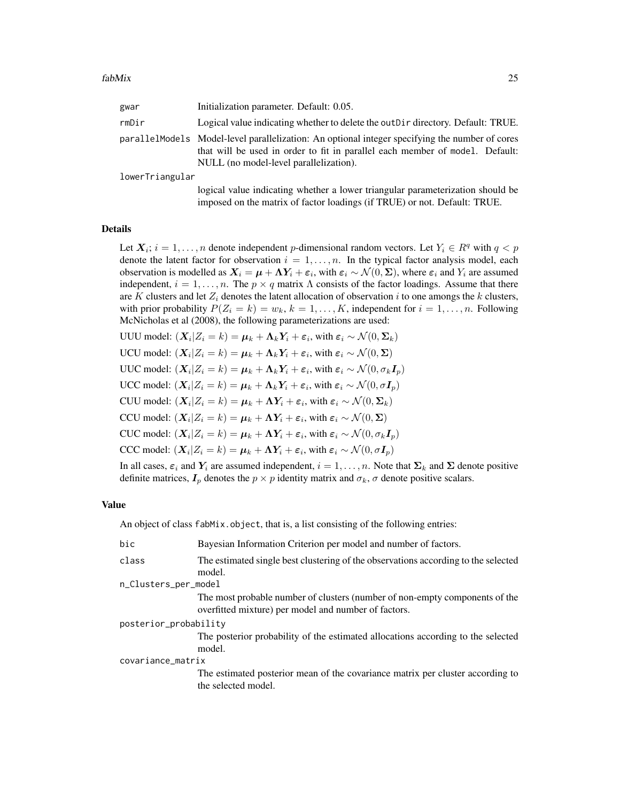| gwar            | Initialization parameter. Default: 0.05.                                                                                                                                                                                 |
|-----------------|--------------------------------------------------------------------------------------------------------------------------------------------------------------------------------------------------------------------------|
| rmDir           | Logical value indicating whether to delete the out D ir directory. Default: TRUE.                                                                                                                                        |
|                 | parallelModels Model-level parallelization: An optional integer specifying the number of cores<br>that will be used in order to fit in parallel each member of model. Default:<br>NULL (no model-level parallelization). |
| lowerTriangular |                                                                                                                                                                                                                          |
|                 |                                                                                                                                                                                                                          |

logical value indicating whether a lower triangular parameterization should be imposed on the matrix of factor loadings (if TRUE) or not. Default: TRUE.

#### Details

Let  $X_i$ ;  $i = 1, ..., n$  denote independent p-dimensional random vectors. Let  $Y_i \in R^q$  with  $q < p$ denote the latent factor for observation  $i = 1, \ldots, n$ . In the typical factor analysis model, each observation is modelled as  $X_i = \mu + \Lambda Y_i + \varepsilon_i$ , with  $\varepsilon_i \sim \mathcal{N}(0, \Sigma)$ , where  $\varepsilon_i$  and  $Y_i$  are assumed independent,  $i = 1, \ldots, n$ . The  $p \times q$  matrix  $\Lambda$  consists of the factor loadings. Assume that there are K clusters and let  $Z_i$  denotes the latent allocation of observation i to one amongs the k clusters, with prior probability  $P(Z_i = k) = w_k, k = 1, \ldots, K$ , independent for  $i = 1, \ldots, n$ . Following McNicholas et al (2008), the following parameterizations are used:

- UUU model:  $(X_i | Z_i = k) = \mu_k + \Lambda_k Y_i + \varepsilon_i$ , with  $\varepsilon_i \sim \mathcal{N}(0, \Sigma_k)$
- UCU model:  $(X_i | Z_i = k) = \mu_k + \Lambda_k Y_i + \varepsilon_i$ , with  $\varepsilon_i \sim \mathcal{N}(0, \Sigma)$
- UUC model:  $(X_i | Z_i = k) = \mu_k + \Lambda_k Y_i + \varepsilon_i$ , with  $\varepsilon_i \sim \mathcal{N}(0, \sigma_k \mathbf{I}_p)$
- UCC model:  $(X_i | Z_i = k) = \mu_k + \Lambda_k Y_i + \varepsilon_i$ , with  $\varepsilon_i \sim \mathcal{N}(0, \sigma I_p)$
- CUU model:  $(X_i | Z_i = k) = \mu_k + \Lambda Y_i + \varepsilon_i$ , with  $\varepsilon_i \sim \mathcal{N}(0, \Sigma_k)$
- CCU model:  $(X_i | Z_i = k) = \mu_k + \Lambda Y_i + \varepsilon_i$ , with  $\varepsilon_i \sim \mathcal{N}(0, \Sigma)$
- CUC model:  $(X_i | Z_i = k) = \mu_k + \Lambda Y_i + \varepsilon_i$ , with  $\varepsilon_i \sim \mathcal{N}(0, \sigma_k \mathbf{I}_p)$
- CCC model:  $(X_i | Z_i = k) = \mu_k + \Lambda Y_i + \varepsilon_i$ , with  $\varepsilon_i \sim \mathcal{N}(0, \sigma I_p)$

In all cases,  $\varepsilon_i$  and  $Y_i$  are assumed independent,  $i = 1, \ldots, n$ . Note that  $\Sigma_k$  and  $\Sigma$  denote positive definite matrices,  $I_p$  denotes the  $p \times p$  identity matrix and  $\sigma_k$ ,  $\sigma$  denote positive scalars.

#### Value

An object of class fabMix.object, that is, a list consisting of the following entries:

| bic                   | Bayesian Information Criterion per model and number of factors.                                                                     |  |
|-----------------------|-------------------------------------------------------------------------------------------------------------------------------------|--|
| class                 | The estimated single best clustering of the observations according to the selected<br>model.                                        |  |
| n_Clusters_per_model  |                                                                                                                                     |  |
|                       | The most probable number of clusters (number of non-empty components of the<br>overfitted mixture) per model and number of factors. |  |
| posterior_probability |                                                                                                                                     |  |
|                       | The posterior probability of the estimated allocations according to the selected<br>model.                                          |  |
| covariance_matrix     |                                                                                                                                     |  |
|                       | The estimated posterior mean of the covariance matrix per cluster according to<br>the selected model.                               |  |
|                       |                                                                                                                                     |  |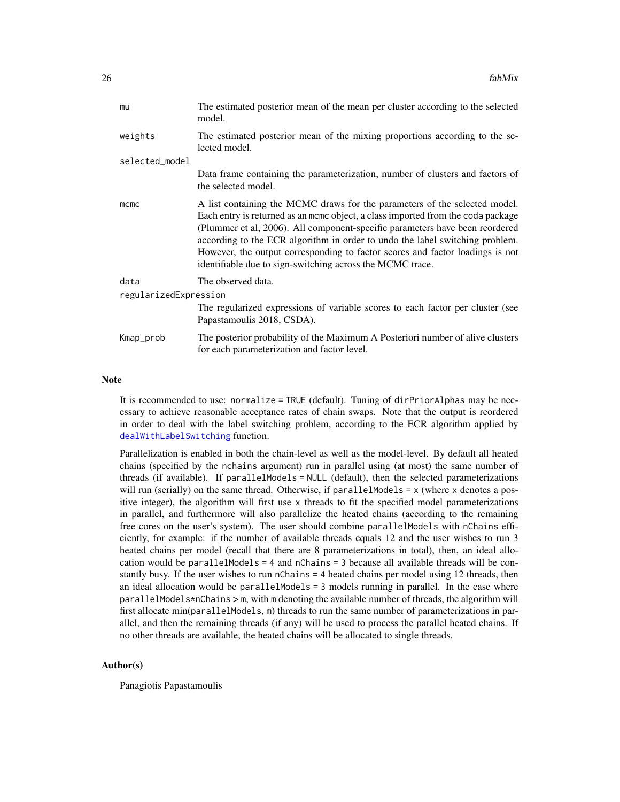| mu                    | The estimated posterior mean of the mean per cluster according to the selected<br>model.                                                                                                                                                                                                                                                                                                                                                                                     |
|-----------------------|------------------------------------------------------------------------------------------------------------------------------------------------------------------------------------------------------------------------------------------------------------------------------------------------------------------------------------------------------------------------------------------------------------------------------------------------------------------------------|
| weights               | The estimated posterior mean of the mixing proportions according to the se-<br>lected model.                                                                                                                                                                                                                                                                                                                                                                                 |
| selected_model        |                                                                                                                                                                                                                                                                                                                                                                                                                                                                              |
|                       | Data frame containing the parameterization, number of clusters and factors of<br>the selected model.                                                                                                                                                                                                                                                                                                                                                                         |
| mcmc                  | A list containing the MCMC draws for the parameters of the selected model.<br>Each entry is returned as an momo object, a class imported from the coda package<br>(Plummer et al, 2006). All component-specific parameters have been reordered<br>according to the ECR algorithm in order to undo the label switching problem.<br>However, the output corresponding to factor scores and factor loadings is not<br>identifiable due to sign-switching across the MCMC trace. |
| data                  | The observed data.                                                                                                                                                                                                                                                                                                                                                                                                                                                           |
| regularizedExpression | The regularized expressions of variable scores to each factor per cluster (see                                                                                                                                                                                                                                                                                                                                                                                               |
|                       | Papastamoulis 2018, CSDA).                                                                                                                                                                                                                                                                                                                                                                                                                                                   |
| Kmap_prob             | The posterior probability of the Maximum A Posteriori number of alive clusters<br>for each parameterization and factor level.                                                                                                                                                                                                                                                                                                                                                |
|                       |                                                                                                                                                                                                                                                                                                                                                                                                                                                                              |

#### **Note**

It is recommended to use: normalize = TRUE (default). Tuning of dirPriorAlphas may be necessary to achieve reasonable acceptance rates of chain swaps. Note that the output is reordered in order to deal with the label switching problem, according to the ECR algorithm applied by [dealWithLabelSwitching](#page-21-1) function.

Parallelization is enabled in both the chain-level as well as the model-level. By default all heated chains (specified by the nchains argument) run in parallel using (at most) the same number of threads (if available). If parallelModels = NULL (default), then the selected parameterizations will run (serially) on the same thread. Otherwise, if parallelModels = x (where x denotes a positive integer), the algorithm will first use x threads to fit the specified model parameterizations in parallel, and furthermore will also parallelize the heated chains (according to the remaining free cores on the user's system). The user should combine parallelModels with nChains efficiently, for example: if the number of available threads equals 12 and the user wishes to run 3 heated chains per model (recall that there are 8 parameterizations in total), then, an ideal allocation would be parallelModels = 4 and nChains = 3 because all available threads will be constantly busy. If the user wishes to run nChains = 4 heated chains per model using 12 threads, then an ideal allocation would be parallelModels = 3 models running in parallel. In the case where parallelModels\*nChains > m, with m denoting the available number of threads, the algorithm will first allocate min(parallelModels, m) threads to run the same number of parameterizations in parallel, and then the remaining threads (if any) will be used to process the parallel heated chains. If no other threads are available, the heated chains will be allocated to single threads.

#### Author(s)

Panagiotis Papastamoulis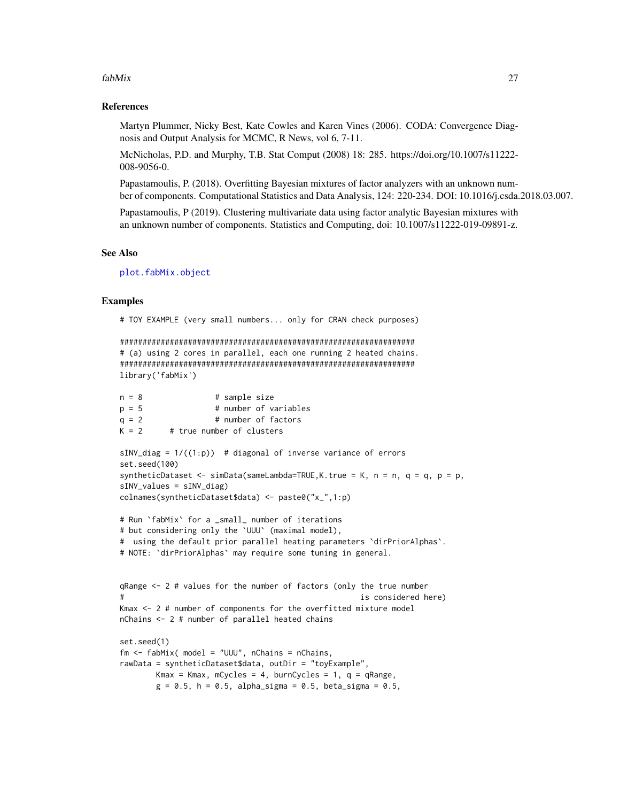#### fabMix 27

#### References

Martyn Plummer, Nicky Best, Kate Cowles and Karen Vines (2006). CODA: Convergence Diagnosis and Output Analysis for MCMC, R News, vol 6, 7-11.

McNicholas, P.D. and Murphy, T.B. Stat Comput (2008) 18: 285. https://doi.org/10.1007/s11222- 008-9056-0.

Papastamoulis, P. (2018). Overfitting Bayesian mixtures of factor analyzers with an unknown number of components. Computational Statistics and Data Analysis, 124: 220-234. DOI: 10.1016/j.csda.2018.03.007.

Papastamoulis, P (2019). Clustering multivariate data using factor analytic Bayesian mixtures with an unknown number of components. Statistics and Computing, doi: 10.1007/s11222-019-09891-z.

#### See Also

[plot.fabMix.object](#page-60-1)

#### Examples

# TOY EXAMPLE (very small numbers... only for CRAN check purposes)

```
#################################################################
# (a) using 2 cores in parallel, each one running 2 heated chains.
#################################################################
library('fabMix')
```

```
n = 8 # sample size
p = 5 # number of variables
q = 2 # number of factors
K = 2 # true number of clusters
sINV\_diag = 1/((1:p)) # diagonal of inverse variance of errors
set.seed(100)
syntheticDataset \leq simData(sameLambda=TRUE, K.true = K, n = n, q = q, p = p,
sINV_values = sINV_diag)
colnames(syntheticDataset$data) <- paste0("x_",1:p)
# Run `fabMix` for a _small_ number of iterations
# but considering only the `UUU` (maximal model),
# using the default prior parallel heating parameters `dirPriorAlphas`.
# NOTE: `dirPriorAlphas` may require some tuning in general.
qRange <- 2 # values for the number of factors (only the true number
# is considered here)
Kmax <- 2 # number of components for the overfitted mixture model
nChains <- 2 # number of parallel heated chains
set.seed(1)
fm \leq fabMix( model = "UUU", nChains = nChains,rawData = syntheticDataset$data, outDir = "toyExample",
       Kmax = Kmax, mCycles = 4, burnCycles = 1, q = qRange,
       g = 0.5, h = 0.5, alpha_sigma = 0.5, beta_sigma = 0.5,
```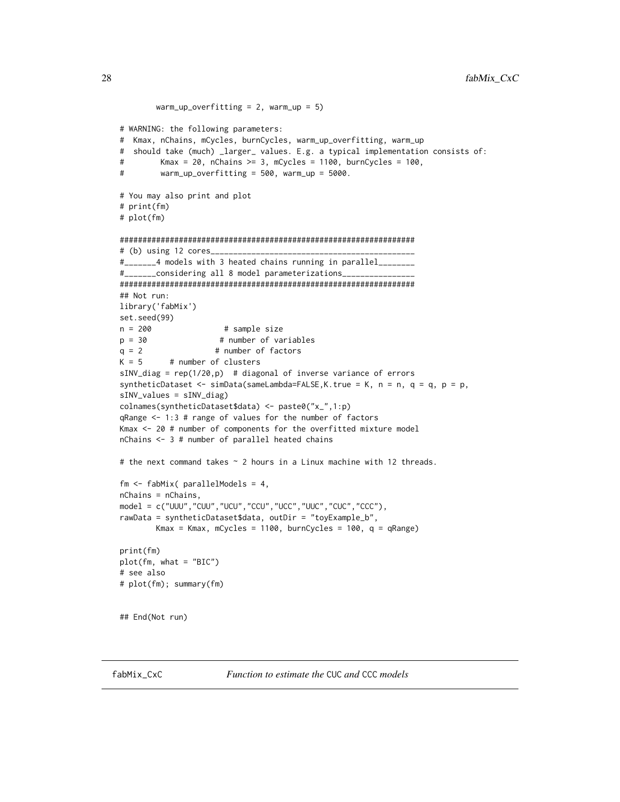```
warm_up_overfitting = 2, warm_up = 5)
# WARNING: the following parameters:
# Kmax, nChains, mCycles, burnCycles, warm_up_overfitting, warm_up
# should take (much) _larger_ values. E.g. a typical implementation consists of:
# Kmax = 20, nChains >= 3, mCycles = 1100, burnCycles = 100,
# warm_up_overfitting = 500, warm_up = 5000.
# You may also print and plot
# print(fm)
# plot(fm)
#################################################################
# (b) using 12 cores____
#_______4 models with 3 heated chains running in parallel________
#_______considering all 8 model parameterizations________________
#################################################################
## Not run:
library('fabMix')
set.seed(99)
n = 200 # sample size
p = 30 # number of variables
q = 2 # number of factors
K = 5 # number of clusters
sINV_diag = rep(1/20,p) # diagonal of inverse variance of errors
syntheticDataset <- simData(sameLambda=FALSE, K.true = K, n = n, q = q, p = p,
sINV_values = sINV_diag)
colnames(syntheticDataset$data) <- paste0("x_",1:p)
qRange <- 1:3 # range of values for the number of factors
Kmax <- 20 # number of components for the overfitted mixture model
nChains <- 3 # number of parallel heated chains
# the next command takes ~ 2 hours in a Linux machine with 12 threads.
fm <- fabMix( parallelModels = 4,
nChains = nChains,
model = c("UUU","CUU","UCU","CCU","UCC","UUC","CUC","CCC"),
rawData = syntheticDataset$data, outDir = "toyExample_b",
       Kmax = Kmax, mCycles = 1100, burnCycles = 100, q = qRange)
print(fm)
plot(fm, what = "BIC")
# see also
# plot(fm); summary(fm)
## End(Not run)
```
fabMix\_CxC *Function to estimate the* CUC *and* CCC *models*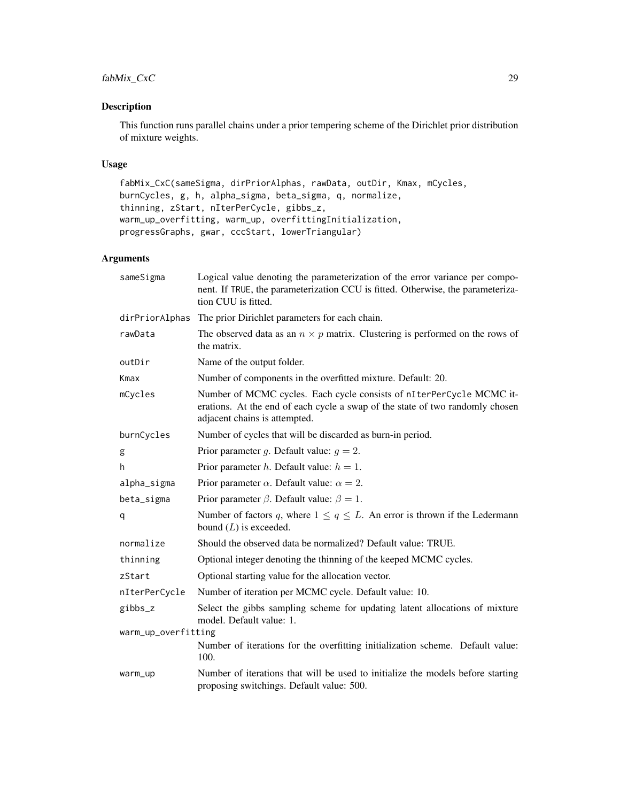# fabMix\_CxC 29

# Description

This function runs parallel chains under a prior tempering scheme of the Dirichlet prior distribution of mixture weights.

# Usage

```
fabMix_CxC(sameSigma, dirPriorAlphas, rawData, outDir, Kmax, mCycles,
burnCycles, g, h, alpha_sigma, beta_sigma, q, normalize,
thinning, zStart, nIterPerCycle, gibbs_z,
warm_up_overfitting, warm_up, overfittingInitialization,
progressGraphs, gwar, cccStart, lowerTriangular)
```
# Arguments

| sameSigma           | Logical value denoting the parameterization of the error variance per compo-<br>nent. If TRUE, the parameterization CCU is fitted. Otherwise, the parameteriza-<br>tion CUU is fitted. |
|---------------------|----------------------------------------------------------------------------------------------------------------------------------------------------------------------------------------|
| dirPriorAlphas      | The prior Dirichlet parameters for each chain.                                                                                                                                         |
| rawData             | The observed data as an $n \times p$ matrix. Clustering is performed on the rows of<br>the matrix.                                                                                     |
| outDir              | Name of the output folder.                                                                                                                                                             |
| Kmax                | Number of components in the overfitted mixture. Default: 20.                                                                                                                           |
| mCycles             | Number of MCMC cycles. Each cycle consists of nIterPerCycle MCMC it-<br>erations. At the end of each cycle a swap of the state of two randomly chosen<br>adjacent chains is attempted. |
| burnCycles          | Number of cycles that will be discarded as burn-in period.                                                                                                                             |
| g                   | Prior parameter g. Default value: $g = 2$ .                                                                                                                                            |
| h                   | Prior parameter <i>h</i> . Default value: $h = 1$ .                                                                                                                                    |
| alpha_sigma         | Prior parameter $\alpha$ . Default value: $\alpha = 2$ .                                                                                                                               |
| beta_sigma          | Prior parameter $\beta$ . Default value: $\beta = 1$ .                                                                                                                                 |
| q                   | Number of factors q, where $1 \le q \le L$ . An error is thrown if the Ledermann<br>bound $(L)$ is exceeded.                                                                           |
| normalize           | Should the observed data be normalized? Default value: TRUE.                                                                                                                           |
| thinning            | Optional integer denoting the thinning of the keeped MCMC cycles.                                                                                                                      |
| zStart              | Optional starting value for the allocation vector.                                                                                                                                     |
| nIterPerCycle       | Number of iteration per MCMC cycle. Default value: 10.                                                                                                                                 |
| gibbs_z             | Select the gibbs sampling scheme for updating latent allocations of mixture<br>model. Default value: 1.                                                                                |
| warm_up_overfitting |                                                                                                                                                                                        |
|                     | Number of iterations for the overfitting initialization scheme. Default value:<br>100.                                                                                                 |
| warm_up             | Number of iterations that will be used to initialize the models before starting<br>proposing switchings. Default value: 500.                                                           |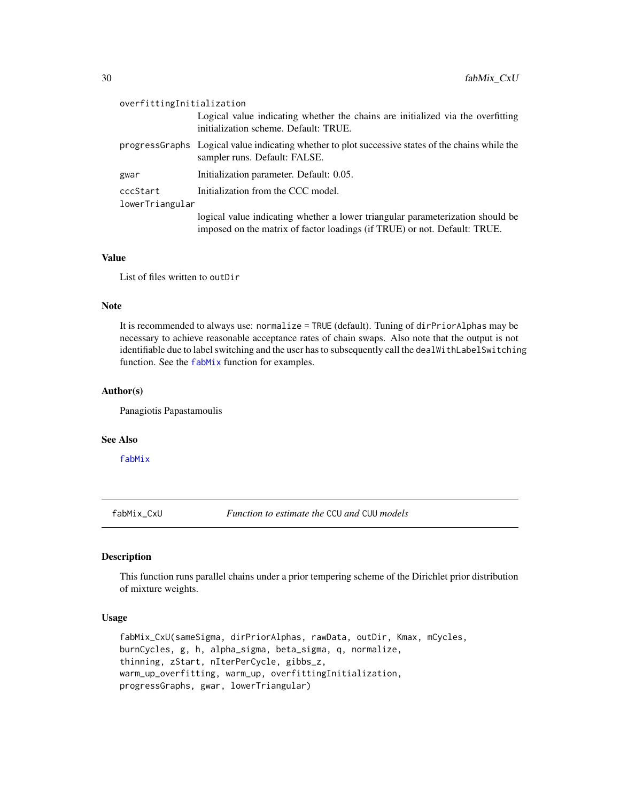<span id="page-29-0"></span>

| overfittingInitialization |                                                                                                                                                             |  |
|---------------------------|-------------------------------------------------------------------------------------------------------------------------------------------------------------|--|
|                           | Logical value indicating whether the chains are initialized via the overfitting<br>initialization scheme. Default: TRUE.                                    |  |
|                           | progress Graphs Logical value indicating whether to plot successive states of the chains while the<br>sampler runs. Default: FALSE.                         |  |
| gwar                      | Initialization parameter. Default: 0.05.                                                                                                                    |  |
| cccStart                  | Initialization from the CCC model.                                                                                                                          |  |
| lowerTriangular           |                                                                                                                                                             |  |
|                           | logical value indicating whether a lower triangular parameterization should be<br>imposed on the matrix of factor loadings (if TRUE) or not. Default: TRUE. |  |

#### Value

List of files written to outDir

# Note

It is recommended to always use: normalize = TRUE (default). Tuning of dirPriorAlphas may be necessary to achieve reasonable acceptance rates of chain swaps. Also note that the output is not identifiable due to label switching and the user has to subsequently call the dealWithLabelSwitching function. See the [fabMix](#page-22-1) function for examples.

# Author(s)

Panagiotis Papastamoulis

# See Also

[fabMix](#page-22-1)

fabMix\_CxU *Function to estimate the* CCU *and* CUU *models*

# Description

This function runs parallel chains under a prior tempering scheme of the Dirichlet prior distribution of mixture weights.

# Usage

```
fabMix_CxU(sameSigma, dirPriorAlphas, rawData, outDir, Kmax, mCycles,
burnCycles, g, h, alpha_sigma, beta_sigma, q, normalize,
thinning, zStart, nIterPerCycle, gibbs_z,
warm_up_overfitting, warm_up, overfittingInitialization,
progressGraphs, gwar, lowerTriangular)
```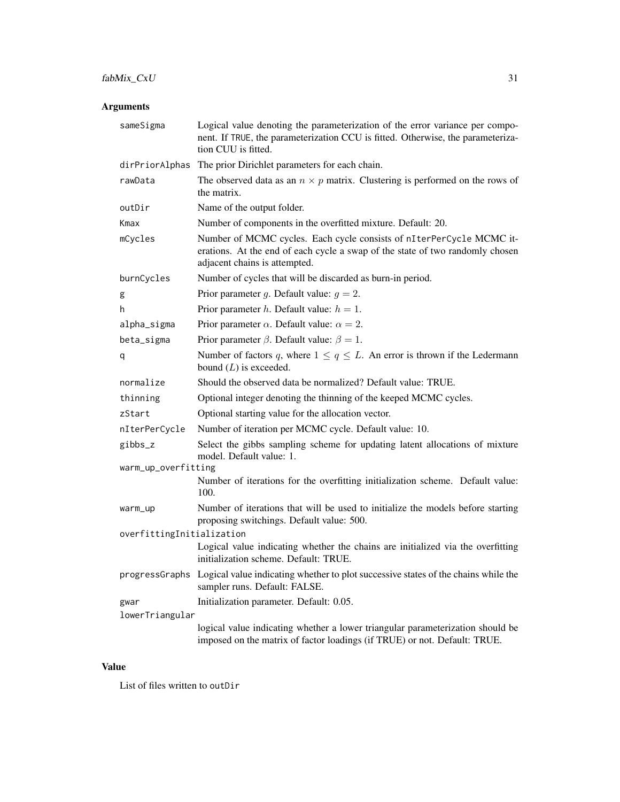# fabMix\_CxU 31

# Arguments

| sameSigma                 | Logical value denoting the parameterization of the error variance per compo-<br>nent. If TRUE, the parameterization CCU is fitted. Otherwise, the parameteriza-<br>tion CUU is fitted. |
|---------------------------|----------------------------------------------------------------------------------------------------------------------------------------------------------------------------------------|
| dirPriorAlphas            | The prior Dirichlet parameters for each chain.                                                                                                                                         |
| rawData                   | The observed data as an $n \times p$ matrix. Clustering is performed on the rows of<br>the matrix.                                                                                     |
| outDir                    | Name of the output folder.                                                                                                                                                             |
| Kmax                      | Number of components in the overfitted mixture. Default: 20.                                                                                                                           |
| mCycles                   | Number of MCMC cycles. Each cycle consists of nIterPerCycle MCMC it-<br>erations. At the end of each cycle a swap of the state of two randomly chosen<br>adjacent chains is attempted. |
| burnCycles                | Number of cycles that will be discarded as burn-in period.                                                                                                                             |
| g                         | Prior parameter g. Default value: $g = 2$ .                                                                                                                                            |
| h                         | Prior parameter h. Default value: $h = 1$ .                                                                                                                                            |
| alpha_sigma               | Prior parameter $\alpha$ . Default value: $\alpha = 2$ .                                                                                                                               |
| beta_sigma                | Prior parameter $\beta$ . Default value: $\beta = 1$ .                                                                                                                                 |
| q                         | Number of factors q, where $1 \le q \le L$ . An error is thrown if the Ledermann<br>bound $(L)$ is exceeded.                                                                           |
| normalize                 | Should the observed data be normalized? Default value: TRUE.                                                                                                                           |
| thinning                  | Optional integer denoting the thinning of the keeped MCMC cycles.                                                                                                                      |
| zStart                    | Optional starting value for the allocation vector.                                                                                                                                     |
| nIterPerCycle             | Number of iteration per MCMC cycle. Default value: 10.                                                                                                                                 |
| gibbs_z                   | Select the gibbs sampling scheme for updating latent allocations of mixture<br>model. Default value: 1.                                                                                |
| warm_up_overfitting       |                                                                                                                                                                                        |
|                           | Number of iterations for the overfitting initialization scheme. Default value:<br>100.                                                                                                 |
| warm_up                   | Number of iterations that will be used to initialize the models before starting<br>proposing switchings. Default value: 500.                                                           |
| overfittingInitialization |                                                                                                                                                                                        |
|                           | Logical value indicating whether the chains are initialized via the overfitting<br>initialization scheme. Default: TRUE.                                                               |
|                           | progressGraphs Logical value indicating whether to plot successive states of the chains while the<br>sampler runs. Default: FALSE.                                                     |
| gwar                      | Initialization parameter. Default: 0.05.                                                                                                                                               |
| lowerTriangular           |                                                                                                                                                                                        |
|                           | logical value indicating whether a lower triangular parameterization should be<br>imposed on the matrix of factor loadings (if TRUE) or not. Default: TRUE.                            |

# Value

List of files written to outDir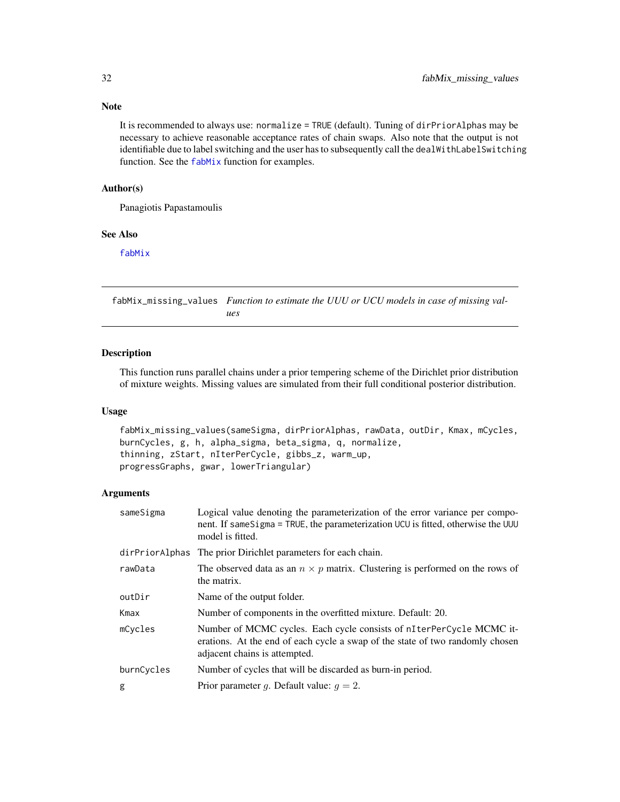# Note

It is recommended to always use: normalize = TRUE (default). Tuning of dirPriorAlphas may be necessary to achieve reasonable acceptance rates of chain swaps. Also note that the output is not identifiable due to label switching and the user has to subsequently call the dealWithLabelSwitching function. See the [fabMix](#page-22-1) function for examples.

# Author(s)

Panagiotis Papastamoulis

# See Also

[fabMix](#page-22-1)

fabMix\_missing\_values *Function to estimate the UUU or UCU models in case of missing values*

#### Description

This function runs parallel chains under a prior tempering scheme of the Dirichlet prior distribution of mixture weights. Missing values are simulated from their full conditional posterior distribution.

#### Usage

```
fabMix_missing_values(sameSigma, dirPriorAlphas, rawData, outDir, Kmax, mCycles,
burnCycles, g, h, alpha_sigma, beta_sigma, q, normalize,
thinning, zStart, nIterPerCycle, gibbs_z, warm_up,
progressGraphs, gwar, lowerTriangular)
```
#### Arguments

| sameSigma      | Logical value denoting the parameterization of the error variance per compo-<br>nent. If same Sigma = TRUE, the parameterization UCU is fitted, otherwise the UUU<br>model is fitted.  |
|----------------|----------------------------------------------------------------------------------------------------------------------------------------------------------------------------------------|
| dirPriorAlphas | The prior Dirichlet parameters for each chain.                                                                                                                                         |
| rawData        | The observed data as an $n \times p$ matrix. Clustering is performed on the rows of<br>the matrix.                                                                                     |
| outDir         | Name of the output folder.                                                                                                                                                             |
| Kmax           | Number of components in the overfitted mixture. Default: 20.                                                                                                                           |
| mCycles        | Number of MCMC cycles. Each cycle consists of nIterPerCycle MCMC it-<br>erations. At the end of each cycle a swap of the state of two randomly chosen<br>adjacent chains is attempted. |
| burnCycles     | Number of cycles that will be discarded as burn-in period.                                                                                                                             |
| g              | Prior parameter g. Default value: $q = 2$ .                                                                                                                                            |

<span id="page-31-0"></span>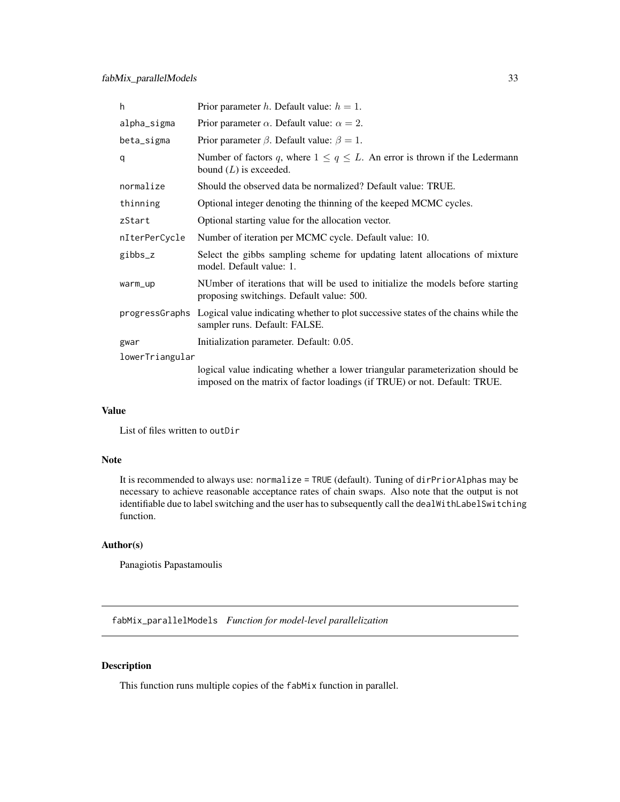<span id="page-32-0"></span>

| h.              | Prior parameter h. Default value: $h = 1$ .                                                                                                                 |  |
|-----------------|-------------------------------------------------------------------------------------------------------------------------------------------------------------|--|
| alpha_sigma     | Prior parameter $\alpha$ . Default value: $\alpha = 2$ .                                                                                                    |  |
| beta_sigma      | Prior parameter $\beta$ . Default value: $\beta = 1$ .                                                                                                      |  |
| q               | Number of factors q, where $1 \leq q \leq L$ . An error is thrown if the Ledermann<br>bound $(L)$ is exceeded.                                              |  |
| normalize       | Should the observed data be normalized? Default value: TRUE.                                                                                                |  |
| thinning        | Optional integer denoting the thinning of the keeped MCMC cycles.                                                                                           |  |
| zStart          | Optional starting value for the allocation vector.                                                                                                          |  |
| nIterPerCycle   | Number of iteration per MCMC cycle. Default value: 10.                                                                                                      |  |
| gibbs_z         | Select the gibbs sampling scheme for updating latent allocations of mixture<br>model. Default value: 1.                                                     |  |
| warm_up         | NUmber of iterations that will be used to initialize the models before starting<br>proposing switchings. Default value: 500.                                |  |
|                 | progressGraphs Logical value indicating whether to plot successive states of the chains while the<br>sampler runs. Default: FALSE.                          |  |
| gwar            | Initialization parameter. Default: 0.05.                                                                                                                    |  |
| lowerTriangular |                                                                                                                                                             |  |
|                 | logical value indicating whether a lower triangular parameterization should be<br>imposed on the matrix of factor loadings (if TRUE) or not. Default: TRUE. |  |

# Value

List of files written to outDir

#### Note

It is recommended to always use: normalize = TRUE (default). Tuning of dirPriorAlphas may be necessary to achieve reasonable acceptance rates of chain swaps. Also note that the output is not identifiable due to label switching and the user has to subsequently call the dealWithLabelSwitching function.

# Author(s)

Panagiotis Papastamoulis

fabMix\_parallelModels *Function for model-level parallelization*

# Description

This function runs multiple copies of the fabMix function in parallel.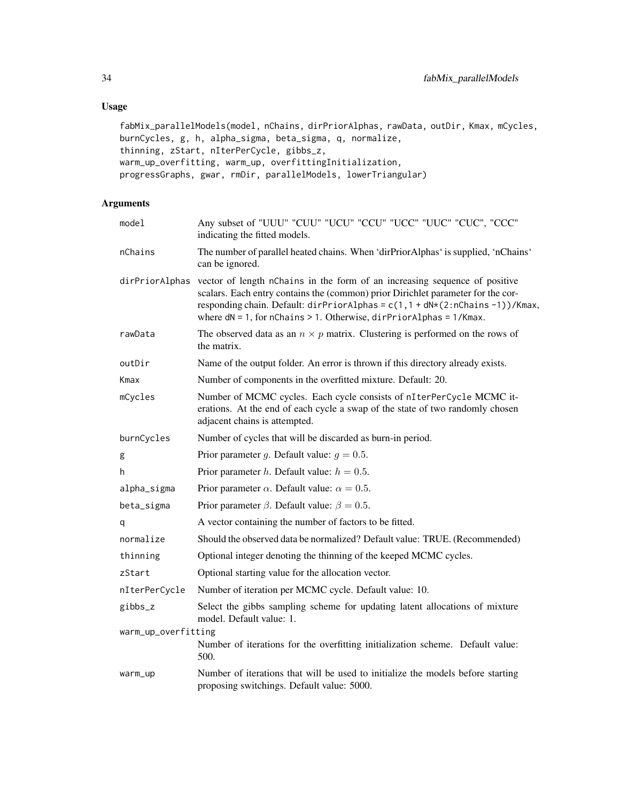# Usage

```
fabMix_parallelModels(model, nChains, dirPriorAlphas, rawData, outDir, Kmax, mCycles,
burnCycles, g, h, alpha_sigma, beta_sigma, q, normalize,
thinning, zStart, nIterPerCycle, gibbs_z,
warm_up_overfitting, warm_up, overfittingInitialization,
progressGraphs, gwar, rmDir, parallelModels, lowerTriangular)
```
# Arguments

| model               | Any subset of "UUU" "CUU" "UCU" "CCU" "UCC" "UUC" "CUC", "CCC"<br>indicating the fitted models.                                                                                                                                                                                                                                             |
|---------------------|---------------------------------------------------------------------------------------------------------------------------------------------------------------------------------------------------------------------------------------------------------------------------------------------------------------------------------------------|
| nChains             | The number of parallel heated chains. When 'dirPriorAlphas' is supplied, 'nChains'<br>can be ignored.                                                                                                                                                                                                                                       |
|                     | dirPriorAlphas vector of length nChains in the form of an increasing sequence of positive<br>scalars. Each entry contains the (common) prior Dirichlet parameter for the cor-<br>responding chain. Default: dirPriorAlphas = c(1,1 + dN*(2:nChains -1))/Kmax,<br>where $dN = 1$ , for nChains > 1. Otherwise, $dirPrincipalphas = 1/Kmax$ . |
| rawData             | The observed data as an $n \times p$ matrix. Clustering is performed on the rows of<br>the matrix.                                                                                                                                                                                                                                          |
| outDir              | Name of the output folder. An error is thrown if this directory already exists.                                                                                                                                                                                                                                                             |
| Kmax                | Number of components in the overfitted mixture. Default: 20.                                                                                                                                                                                                                                                                                |
| mCycles             | Number of MCMC cycles. Each cycle consists of nIterPerCycle MCMC it-<br>erations. At the end of each cycle a swap of the state of two randomly chosen<br>adjacent chains is attempted.                                                                                                                                                      |
| burnCycles          | Number of cycles that will be discarded as burn-in period.                                                                                                                                                                                                                                                                                  |
| g                   | Prior parameter g. Default value: $g = 0.5$ .                                                                                                                                                                                                                                                                                               |
| h                   | Prior parameter <i>h</i> . Default value: $h = 0.5$ .                                                                                                                                                                                                                                                                                       |
| alpha_sigma         | Prior parameter $\alpha$ . Default value: $\alpha = 0.5$ .                                                                                                                                                                                                                                                                                  |
| beta_sigma          | Prior parameter $\beta$ . Default value: $\beta = 0.5$ .                                                                                                                                                                                                                                                                                    |
| q                   | A vector containing the number of factors to be fitted.                                                                                                                                                                                                                                                                                     |
| normalize           | Should the observed data be normalized? Default value: TRUE. (Recommended)                                                                                                                                                                                                                                                                  |
| thinning            | Optional integer denoting the thinning of the keeped MCMC cycles.                                                                                                                                                                                                                                                                           |
| zStart              | Optional starting value for the allocation vector.                                                                                                                                                                                                                                                                                          |
| nIterPerCycle       | Number of iteration per MCMC cycle. Default value: 10.                                                                                                                                                                                                                                                                                      |
| gibbs_z             | Select the gibbs sampling scheme for updating latent allocations of mixture<br>model. Default value: 1.                                                                                                                                                                                                                                     |
| warm_up_overfitting |                                                                                                                                                                                                                                                                                                                                             |
|                     | Number of iterations for the overfitting initialization scheme. Default value:<br>500.                                                                                                                                                                                                                                                      |
| warm_up             | Number of iterations that will be used to initialize the models before starting<br>proposing switchings. Default value: 5000.                                                                                                                                                                                                               |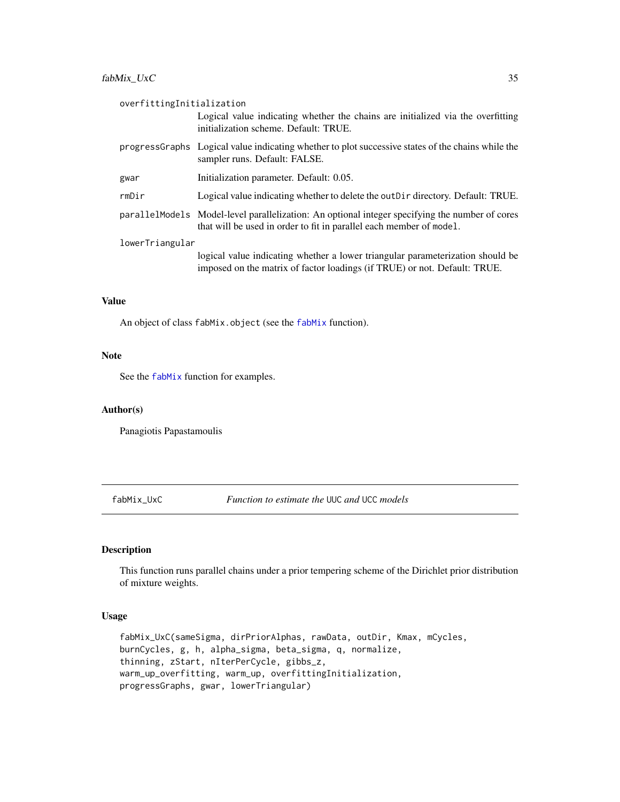<span id="page-34-0"></span>

| overfittingInitialization |                                                                                                                                                                        |  |
|---------------------------|------------------------------------------------------------------------------------------------------------------------------------------------------------------------|--|
|                           | Logical value indicating whether the chains are initialized via the overfitting<br>initialization scheme. Default: TRUE.                                               |  |
|                           | progress Graphs Logical value indicating whether to plot successive states of the chains while the<br>sampler runs. Default: FALSE.                                    |  |
| gwar                      | Initialization parameter. Default: 0.05.                                                                                                                               |  |
| rmDir                     | Logical value indicating whether to delete the out D ir directory. Default: TRUE.                                                                                      |  |
|                           | parallel Models Model-level parallelization: An optional integer specifying the number of cores<br>that will be used in order to fit in parallel each member of model. |  |
| lowerTriangular           |                                                                                                                                                                        |  |
|                           | logical value indicating whether a lower triangular parameterization should be<br>imposed on the matrix of factor loadings (if TRUE) or not. Default: TRUE.            |  |

#### Value

An object of class fabMix.object (see the [fabMix](#page-22-1) function).

# Note

See the [fabMix](#page-22-1) function for examples.

#### Author(s)

Panagiotis Papastamoulis

fabMix\_UxC *Function to estimate the* UUC *and* UCC *models*

# Description

This function runs parallel chains under a prior tempering scheme of the Dirichlet prior distribution of mixture weights.

#### Usage

```
fabMix_UxC(sameSigma, dirPriorAlphas, rawData, outDir, Kmax, mCycles,
burnCycles, g, h, alpha_sigma, beta_sigma, q, normalize,
thinning, zStart, nIterPerCycle, gibbs_z,
warm_up_overfitting, warm_up, overfittingInitialization,
progressGraphs, gwar, lowerTriangular)
```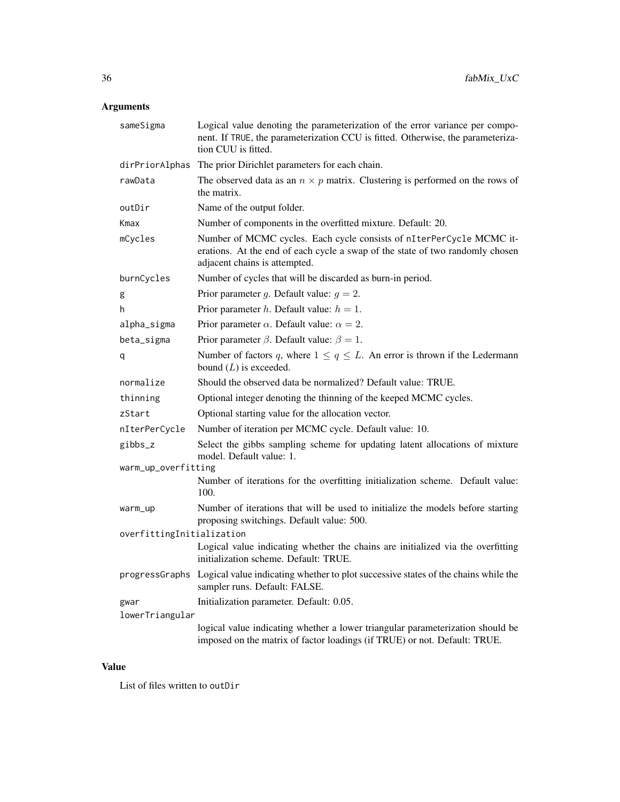# Arguments

| sameSigma                 | Logical value denoting the parameterization of the error variance per compo-<br>nent. If TRUE, the parameterization CCU is fitted. Otherwise, the parameteriza-<br>tion CUU is fitted. |
|---------------------------|----------------------------------------------------------------------------------------------------------------------------------------------------------------------------------------|
| dirPriorAlphas            | The prior Dirichlet parameters for each chain.                                                                                                                                         |
| rawData                   | The observed data as an $n \times p$ matrix. Clustering is performed on the rows of<br>the matrix.                                                                                     |
| outDir                    | Name of the output folder.                                                                                                                                                             |
| Kmax                      | Number of components in the overfitted mixture. Default: 20.                                                                                                                           |
| mCycles                   | Number of MCMC cycles. Each cycle consists of nIterPerCycle MCMC it-<br>erations. At the end of each cycle a swap of the state of two randomly chosen<br>adjacent chains is attempted. |
| burnCycles                | Number of cycles that will be discarded as burn-in period.                                                                                                                             |
| g                         | Prior parameter g. Default value: $g = 2$ .                                                                                                                                            |
| h                         | Prior parameter h. Default value: $h = 1$ .                                                                                                                                            |
| alpha_sigma               | Prior parameter $\alpha$ . Default value: $\alpha = 2$ .                                                                                                                               |
| beta_sigma                | Prior parameter $\beta$ . Default value: $\beta = 1$ .                                                                                                                                 |
| q                         | Number of factors q, where $1 \le q \le L$ . An error is thrown if the Ledermann<br>bound $(L)$ is exceeded.                                                                           |
| normalize                 | Should the observed data be normalized? Default value: TRUE.                                                                                                                           |
| thinning                  | Optional integer denoting the thinning of the keeped MCMC cycles.                                                                                                                      |
| zStart                    | Optional starting value for the allocation vector.                                                                                                                                     |
| nIterPerCycle             | Number of iteration per MCMC cycle. Default value: 10.                                                                                                                                 |
| gibbs_z                   | Select the gibbs sampling scheme for updating latent allocations of mixture<br>model. Default value: 1.                                                                                |
| warm_up_overfitting       |                                                                                                                                                                                        |
|                           | Number of iterations for the overfitting initialization scheme. Default value:<br>100.                                                                                                 |
| warm_up                   | Number of iterations that will be used to initialize the models before starting<br>proposing switchings. Default value: 500.                                                           |
| overfittingInitialization |                                                                                                                                                                                        |
|                           | Logical value indicating whether the chains are initialized via the overfitting<br>initialization scheme. Default: TRUE.                                                               |
|                           | progressGraphs Logical value indicating whether to plot successive states of the chains while the<br>sampler runs. Default: FALSE.                                                     |
| gwar                      | Initialization parameter. Default: 0.05.                                                                                                                                               |
| lowerTriangular           |                                                                                                                                                                                        |
|                           | logical value indicating whether a lower triangular parameterization should be<br>imposed on the matrix of factor loadings (if TRUE) or not. Default: TRUE.                            |

# Value

List of files written to outDir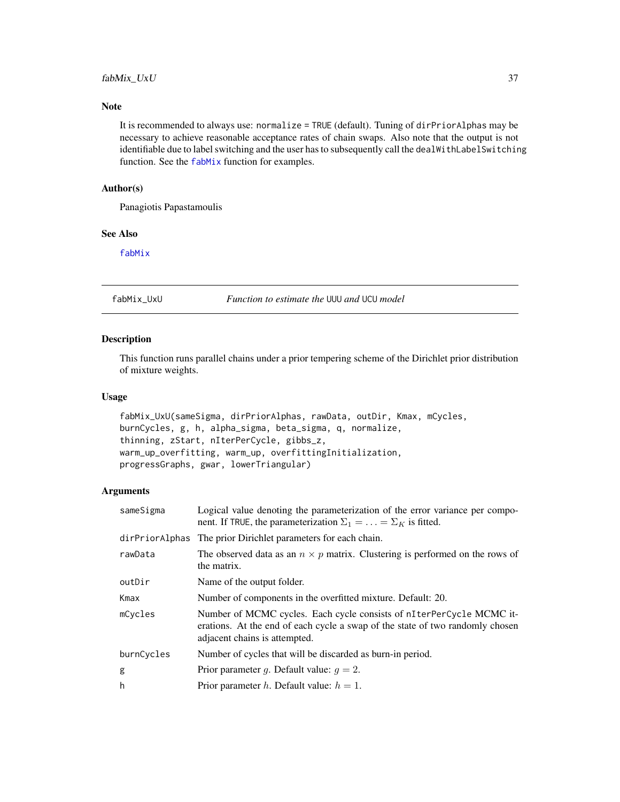# fabMix\_UxU 37

### Note

It is recommended to always use: normalize = TRUE (default). Tuning of dirPriorAlphas may be necessary to achieve reasonable acceptance rates of chain swaps. Also note that the output is not identifiable due to label switching and the user has to subsequently call the dealWithLabelSwitching function. See the [fabMix](#page-22-0) function for examples.

### Author(s)

Panagiotis Papastamoulis

### See Also

[fabMix](#page-22-0)

fabMix\_UxU *Function to estimate the* UUU *and* UCU *model*

### Description

This function runs parallel chains under a prior tempering scheme of the Dirichlet prior distribution of mixture weights.

#### Usage

```
fabMix_UxU(sameSigma, dirPriorAlphas, rawData, outDir, Kmax, mCycles,
burnCycles, g, h, alpha_sigma, beta_sigma, q, normalize,
thinning, zStart, nIterPerCycle, gibbs_z,
warm_up_overfitting, warm_up, overfittingInitialization,
progressGraphs, gwar, lowerTriangular)
```
#### Arguments

| sameSigma      | Logical value denoting the parameterization of the error variance per compo-<br>nent. If TRUE, the parameterization $\Sigma_1 = \ldots = \Sigma_K$ is fitted.                          |
|----------------|----------------------------------------------------------------------------------------------------------------------------------------------------------------------------------------|
| dirPriorAlphas | The prior Dirichlet parameters for each chain.                                                                                                                                         |
| rawData        | The observed data as an $n \times p$ matrix. Clustering is performed on the rows of<br>the matrix.                                                                                     |
| outDir         | Name of the output folder.                                                                                                                                                             |
| Kmax           | Number of components in the overfitted mixture. Default: 20.                                                                                                                           |
| mCycles        | Number of MCMC cycles. Each cycle consists of nIterPerCycle MCMC it-<br>erations. At the end of each cycle a swap of the state of two randomly chosen<br>adjacent chains is attempted. |
| burnCycles     | Number of cycles that will be discarded as burn-in period.                                                                                                                             |
| g              | Prior parameter g. Default value: $q = 2$ .                                                                                                                                            |
| h              | Prior parameter h. Default value: $h = 1$ .                                                                                                                                            |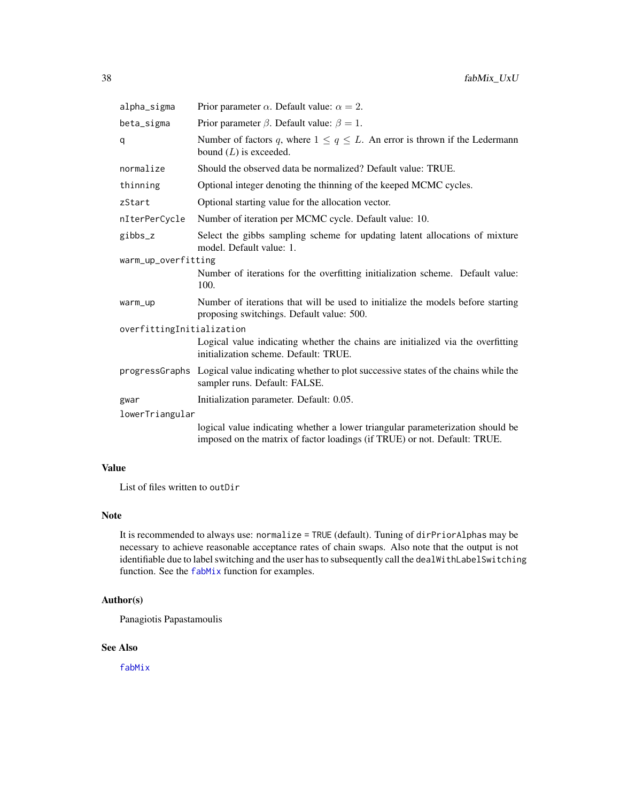| alpha_sigma               | Prior parameter $\alpha$ . Default value: $\alpha = 2$ .                                                                                                    |  |
|---------------------------|-------------------------------------------------------------------------------------------------------------------------------------------------------------|--|
| beta_sigma                | Prior parameter $\beta$ . Default value: $\beta = 1$ .                                                                                                      |  |
| q                         | Number of factors q, where $1 \leq q \leq L$ . An error is thrown if the Ledermann<br>bound $(L)$ is exceeded.                                              |  |
| normalize                 | Should the observed data be normalized? Default value: TRUE.                                                                                                |  |
| thinning                  | Optional integer denoting the thinning of the keeped MCMC cycles.                                                                                           |  |
| zStart                    | Optional starting value for the allocation vector.                                                                                                          |  |
| nIterPerCycle             | Number of iteration per MCMC cycle. Default value: 10.                                                                                                      |  |
| gibbs_z                   | Select the gibbs sampling scheme for updating latent allocations of mixture<br>model. Default value: 1.                                                     |  |
| warm_up_overfitting       |                                                                                                                                                             |  |
|                           | Number of iterations for the overfitting initialization scheme. Default value:<br>100.                                                                      |  |
| warm_up                   | Number of iterations that will be used to initialize the models before starting<br>proposing switchings. Default value: 500.                                |  |
| overfittingInitialization |                                                                                                                                                             |  |
|                           | Logical value indicating whether the chains are initialized via the overfitting<br>initialization scheme. Default: TRUE.                                    |  |
|                           | progressGraphs Logical value indicating whether to plot successive states of the chains while the<br>sampler runs. Default: FALSE.                          |  |
| gwar                      | Initialization parameter. Default: 0.05.                                                                                                                    |  |
| lowerTriangular           |                                                                                                                                                             |  |
|                           | logical value indicating whether a lower triangular parameterization should be<br>imposed on the matrix of factor loadings (if TRUE) or not. Default: TRUE. |  |

# Value

List of files written to outDir

## Note

It is recommended to always use: normalize = TRUE (default). Tuning of dirPriorAlphas may be necessary to achieve reasonable acceptance rates of chain swaps. Also note that the output is not identifiable due to label switching and the user has to subsequently call the dealWithLabelSwitching function. See the [fabMix](#page-22-0) function for examples.

### Author(s)

Panagiotis Papastamoulis

# See Also

[fabMix](#page-22-0)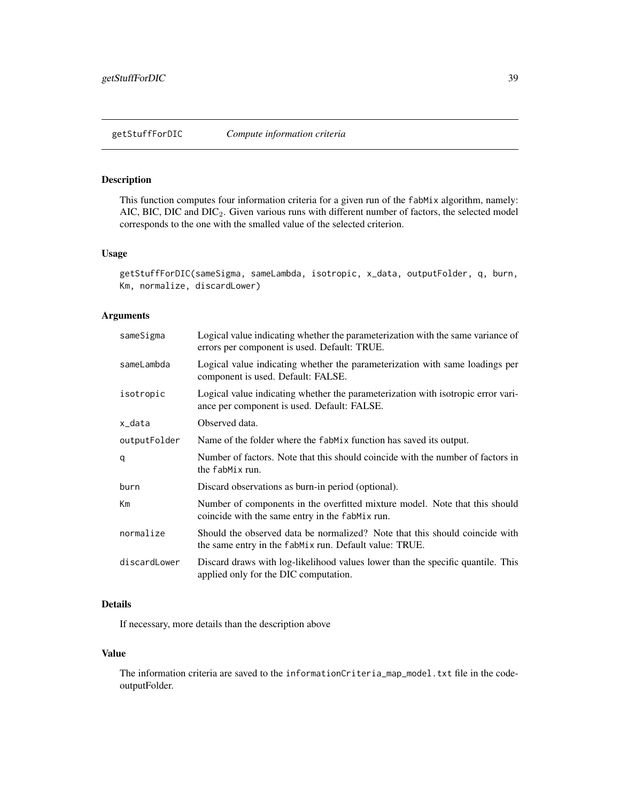### Description

This function computes four information criteria for a given run of the fabMix algorithm, namely: AIC, BIC, DIC and DIC<sub>2</sub>. Given various runs with different number of factors, the selected model corresponds to the one with the smalled value of the selected criterion.

#### Usage

```
getStuffForDIC(sameSigma, sameLambda, isotropic, x_data, outputFolder, q, burn,
Km, normalize, discardLower)
```
### Arguments

| sameSigma    | Logical value indicating whether the parameterization with the same variance of<br>errors per component is used. Default: TRUE.       |
|--------------|---------------------------------------------------------------------------------------------------------------------------------------|
| sameLambda   | Logical value indicating whether the parameterization with same loadings per<br>component is used. Default: FALSE.                    |
| isotropic    | Logical value indicating whether the parameterization with isotropic error vari-<br>ance per component is used. Default: FALSE.       |
| x_data       | Observed data.                                                                                                                        |
| outputFolder | Name of the folder where the fabMix function has saved its output.                                                                    |
| q            | Number of factors. Note that this should coincide with the number of factors in<br>the fabMix run.                                    |
| burn         | Discard observations as burn-in period (optional).                                                                                    |
| Km           | Number of components in the overfitted mixture model. Note that this should<br>coincide with the same entry in the fabMix run.        |
| normalize    | Should the observed data be normalized? Note that this should coincide with<br>the same entry in the fabMix run. Default value: TRUE. |
| discardLower | Discard draws with log-likelihood values lower than the specific quantile. This<br>applied only for the DIC computation.              |
|              |                                                                                                                                       |

## Details

If necessary, more details than the description above

### Value

The information criteria are saved to the informationCriteria\_map\_model.txt file in the codeoutputFolder.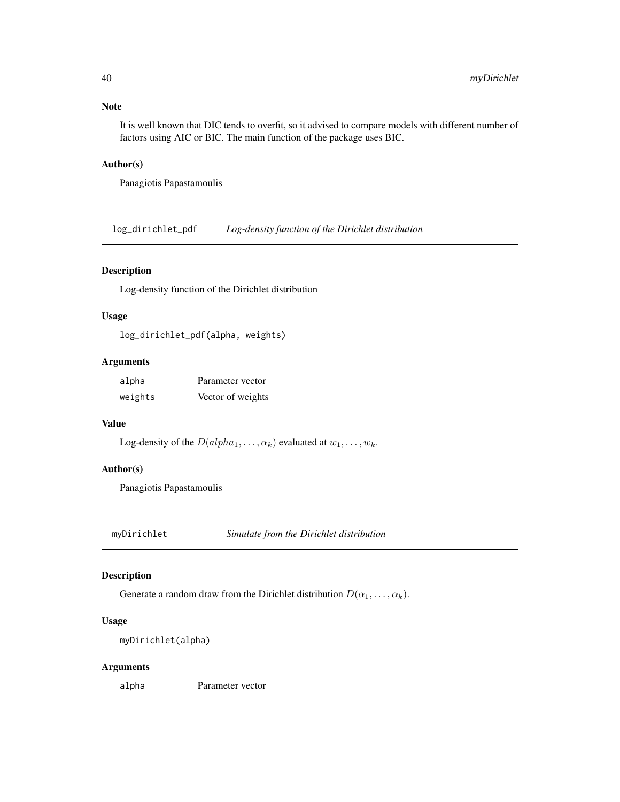#### Note

It is well known that DIC tends to overfit, so it advised to compare models with different number of factors using AIC or BIC. The main function of the package uses BIC.

### Author(s)

Panagiotis Papastamoulis

log\_dirichlet\_pdf *Log-density function of the Dirichlet distribution*

# Description

Log-density function of the Dirichlet distribution

# Usage

log\_dirichlet\_pdf(alpha, weights)

# Arguments

| alpha   | Parameter vector  |
|---------|-------------------|
| weights | Vector of weights |

# Value

```
Log-density of the D(alpha_1, \ldots, \alpha_k) evaluated at w_1, \ldots, w_k.
```
# Author(s)

Panagiotis Papastamoulis

myDirichlet *Simulate from the Dirichlet distribution*

### Description

Generate a random draw from the Dirichlet distribution  $D(\alpha_1, \ldots, \alpha_k)$ .

### Usage

myDirichlet(alpha)

### Arguments

alpha Parameter vector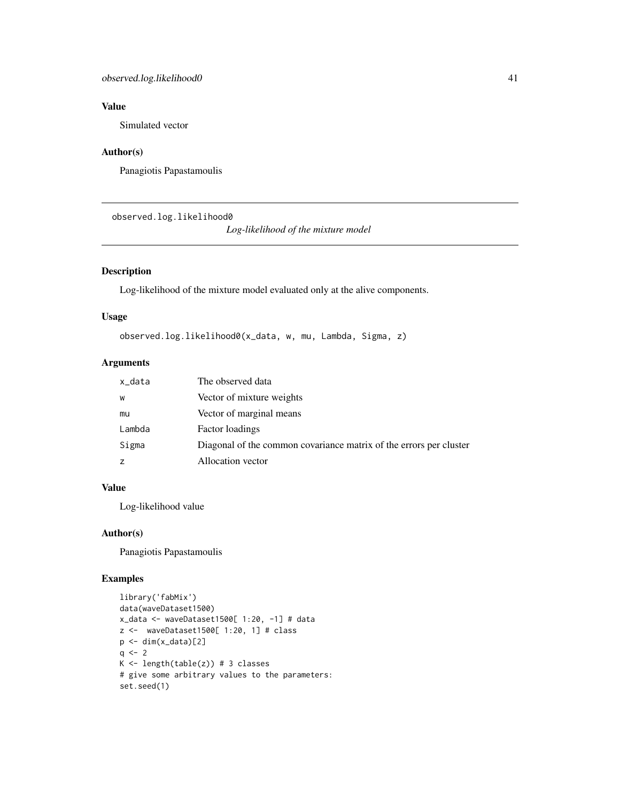# Value

Simulated vector

### Author(s)

Panagiotis Papastamoulis

observed.log.likelihood0

*Log-likelihood of the mixture model*

## Description

Log-likelihood of the mixture model evaluated only at the alive components.

#### Usage

observed.log.likelihood0(x\_data, w, mu, Lambda, Sigma, z)

# Arguments

| x_data | The observed data                                                  |
|--------|--------------------------------------------------------------------|
| W      | Vector of mixture weights                                          |
| mu     | Vector of marginal means                                           |
| Lambda | Factor loadings                                                    |
| Sigma  | Diagonal of the common covariance matrix of the errors per cluster |
| z      | Allocation vector                                                  |

### Value

Log-likelihood value

### Author(s)

Panagiotis Papastamoulis

```
library('fabMix')
data(waveDataset1500)
x_data <- waveDataset1500[ 1:20, -1] # data
z <- waveDataset1500[ 1:20, 1] # class
p \leftarrow \text{dim}(x_data)[2]q \le -2K \leftarrow length(table(z)) # 3 classes
# give some arbitrary values to the parameters:
set.seed(1)
```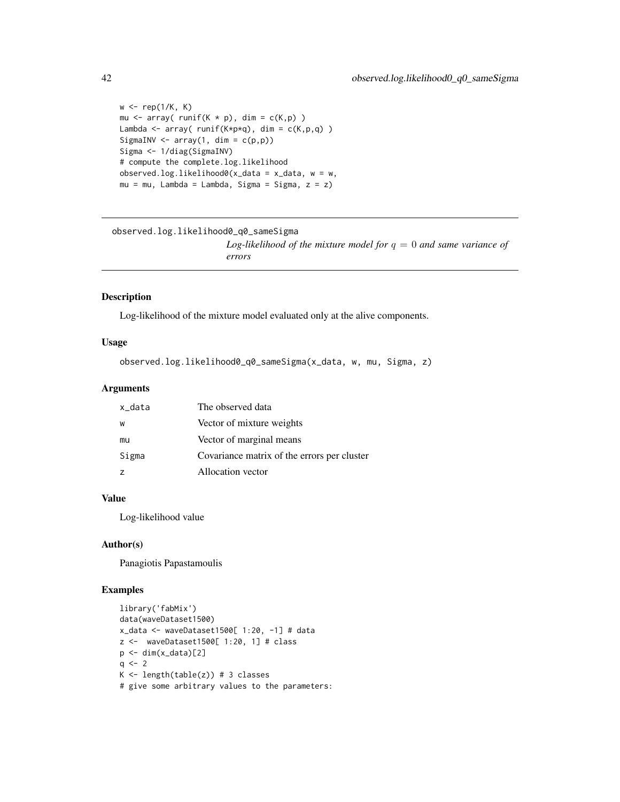```
w \leftarrow \text{rep}(1/K, K)mu \leq array( runif(K * p), dim = c(K,p))
Lambda <- array( runif(K*p*q), dim = c(K,p,q) )
SigmaINV \leq array(1, dim = c(p,p))
Sigma <- 1/diag(SigmaINV)
# compute the complete.log.likelihood
observed.log.likelihood0(x_data = x_data, w = w,
mu = mu, Lambda = Lambda, Sigma = Sigma, z = z)
```

```
observed.log.likelihood0_q0_sameSigma
                         Log-likelihood of the mixture model for q = 0 and same variance of
                         errors
```
#### Description

Log-likelihood of the mixture model evaluated only at the alive components.

#### Usage

observed.log.likelihood0\_q0\_sameSigma(x\_data, w, mu, Sigma, z)

### Arguments

| x_data | The observed data                           |
|--------|---------------------------------------------|
| W      | Vector of mixture weights                   |
| mu     | Vector of marginal means                    |
| Sigma  | Covariance matrix of the errors per cluster |
|        | Allocation vector                           |

# Value

Log-likelihood value

#### Author(s)

Panagiotis Papastamoulis

```
library('fabMix')
data(waveDataset1500)
x_data <- waveDataset1500[ 1:20, -1] # data
z <- waveDataset1500[ 1:20, 1] # class
p \leftarrow \text{dim}(x_data)[2]q \le -2K \leftarrow length(table(z)) # 3 classes
# give some arbitrary values to the parameters:
```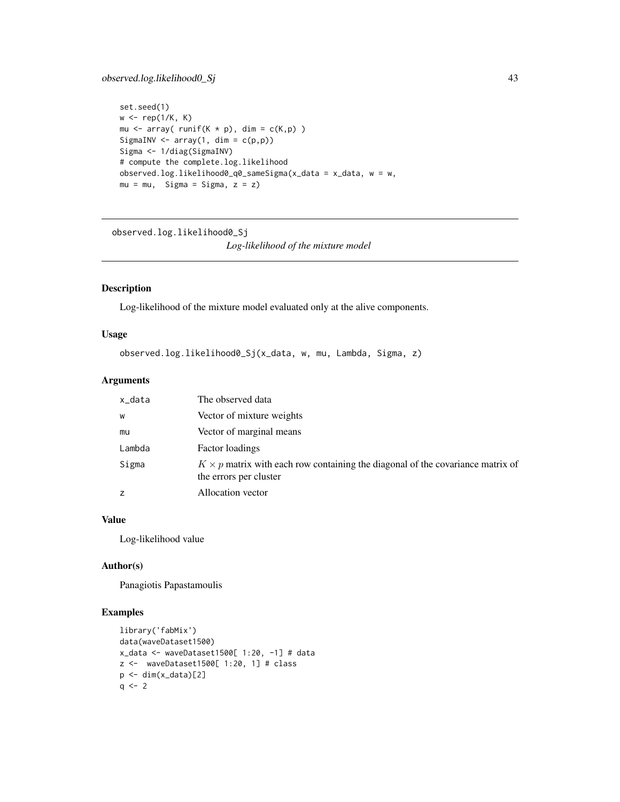# observed.log.likelihood0\_Sj 43

```
set.seed(1)
w \leftarrow \text{rep}(1/K, K)mu <- array( runif(K * p), dim = c(K,p) )
SigmaINV \leq array(1, dim = c(p,p))
Sigma <- 1/diag(SigmaINV)
# compute the complete.log.likelihood
observed.log.likelihood0_q0_sameSigma(x_data = x_data, w = w,
mu = mu, Sigma = Sigma, z = z)
```

```
observed.log.likelihood0_Sj
```
*Log-likelihood of the mixture model*

### Description

Log-likelihood of the mixture model evaluated only at the alive components.

### Usage

```
observed.log.likelihood0_Sj(x_data, w, mu, Lambda, Sigma, z)
```
### Arguments

| x_data | The observed data                                                                                               |
|--------|-----------------------------------------------------------------------------------------------------------------|
| W      | Vector of mixture weights                                                                                       |
| mu     | Vector of marginal means                                                                                        |
| Lambda | Factor loadings                                                                                                 |
| Sigma  | $K \times p$ matrix with each row containing the diagonal of the covariance matrix of<br>the errors per cluster |
|        | Allocation vector                                                                                               |

# Value

Log-likelihood value

#### Author(s)

Panagiotis Papastamoulis

```
library('fabMix')
data(waveDataset1500)
x_data <- waveDataset1500[ 1:20, -1] # data
z <- waveDataset1500[ 1:20, 1] # class
p \leftarrow \text{dim}(x_data)[2]q \le -2
```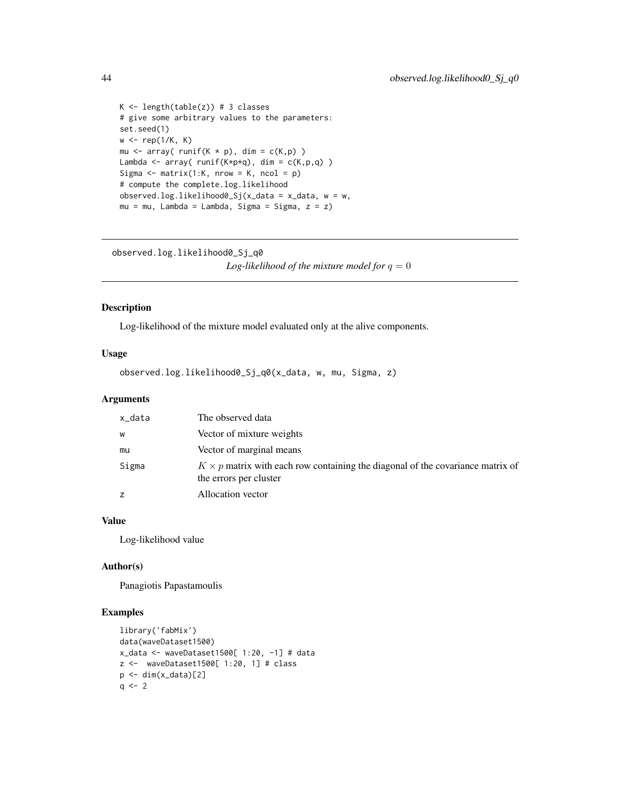```
K \leftarrow length(table(z)) # 3 classes
# give some arbitrary values to the parameters:
set.seed(1)
w \leftarrow \text{rep}(1/K, K)mu \leq array( runif(K * p), dim = c(K,p))
Lambda <- array( runif(K*p*q), dim = c(K,p,q) )
Sigma \leq matrix(1:K, nrow = K, ncol = p)
# compute the complete.log.likelihood
observed.loguikelibood0_Sj(x_data = x_data, w = w,mu = mu, Lambda = Lambda, Sigma = Sigma, z = z)
```
observed.log.likelihood0\_Sj\_q0

*Log-likelihood of the mixture model for*  $q = 0$ 

# Description

Log-likelihood of the mixture model evaluated only at the alive components.

### Usage

observed.log.likelihood0\_Sj\_q0(x\_data, w, mu, Sigma, z)

### Arguments

| x_data | The observed data                                                                                               |
|--------|-----------------------------------------------------------------------------------------------------------------|
| W      | Vector of mixture weights                                                                                       |
| mu     | Vector of marginal means                                                                                        |
| Sigma  | $K \times p$ matrix with each row containing the diagonal of the covariance matrix of<br>the errors per cluster |
|        | Allocation vector                                                                                               |

### Value

Log-likelihood value

#### Author(s)

Panagiotis Papastamoulis

```
library('fabMix')
data(waveDataset1500)
x_data <- waveDataset1500[ 1:20, -1] # data
z <- waveDataset1500[ 1:20, 1] # class
p \leftarrow \text{dim}(x_data)[2]q \le -2
```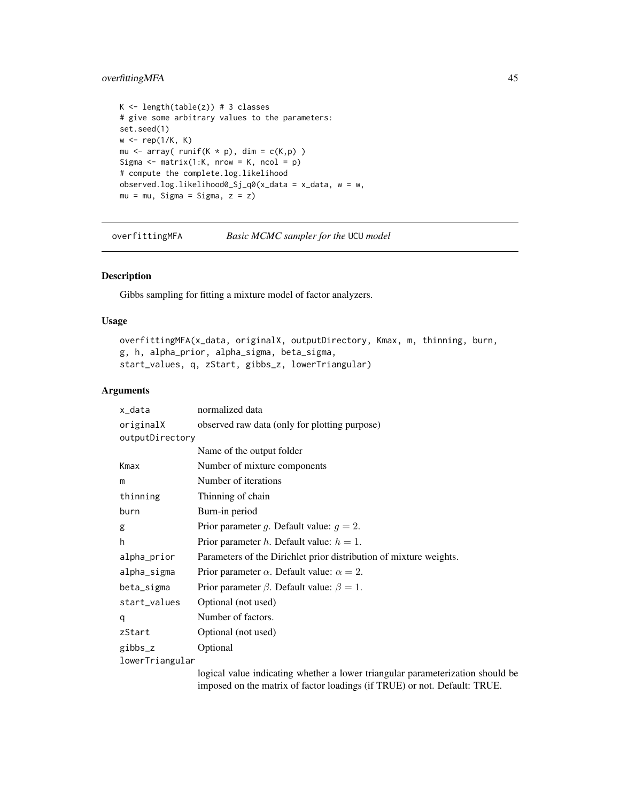# overfittingMFA 45

```
K \leftarrow length(table(z)) # 3 classes
# give some arbitrary values to the parameters:
set.seed(1)
w \leftarrow \text{rep}(1/K, K)mu \leq array( runif(K * p), dim = c(K,p))
Sigma \leq matrix(1:K, nrow = K, ncol = p)
# compute the complete.log.likelihood
observed.log.likelihood0_Sj_q0(x_data = x_data, w = w,
mu = mu, Sigma = Sigma, z = z)
```

```
overfittingMFA Basic MCMC sampler for the UCU model
```
### Description

Gibbs sampling for fitting a mixture model of factor analyzers.

### Usage

```
overfittingMFA(x_data, originalX, outputDirectory, Kmax, m, thinning, burn,
g, h, alpha_prior, alpha_sigma, beta_sigma,
start_values, q, zStart, gibbs_z, lowerTriangular)
```
# Arguments

| x_data          | normalized data                                                                |
|-----------------|--------------------------------------------------------------------------------|
| originalX       | observed raw data (only for plotting purpose)                                  |
| outputDirectory |                                                                                |
|                 | Name of the output folder                                                      |
| Kmax            | Number of mixture components                                                   |
| m               | Number of iterations                                                           |
| thinning        | Thinning of chain                                                              |
| burn            | Burn-in period                                                                 |
| g               | Prior parameter g. Default value: $q = 2$ .                                    |
| h               | Prior parameter <i>h</i> . Default value: $h = 1$ .                            |
| alpha_prior     | Parameters of the Dirichlet prior distribution of mixture weights.             |
| alpha_sigma     | Prior parameter $\alpha$ . Default value: $\alpha = 2$ .                       |
| beta_sigma      | Prior parameter $\beta$ . Default value: $\beta = 1$ .                         |
| start_values    | Optional (not used)                                                            |
| q               | Number of factors.                                                             |
| zStart          | Optional (not used)                                                            |
| gibbs_z         | Optional                                                                       |
| lowerTriangular |                                                                                |
|                 | logical value indicating whether a lower triangular parameterization should be |

imposed on the matrix of factor loadings (if TRUE) or not. Default: TRUE.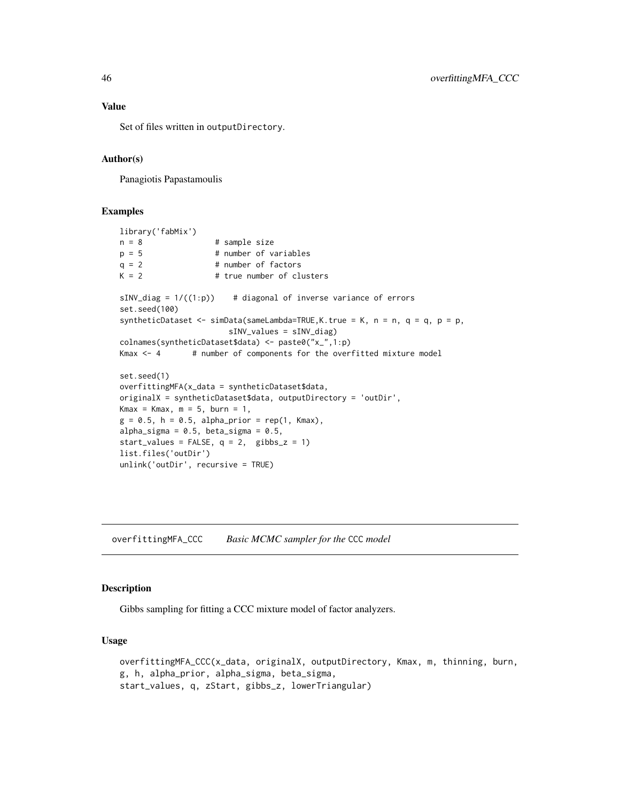Set of files written in outputDirectory.

#### Author(s)

Panagiotis Papastamoulis

# Examples

```
library('fabMix')
n = 8 # sample size
p = 5 # number of variables
q = 2 # number of factors
K = 2 # true number of clusters
sINV\_diag = 1/((1:p)) # diagonal of inverse variance of errors
set.seed(100)
syntheticDataset <- simData(sameLambda=TRUE, K.true = K, n = n, q = q, p = p,
                      sINV_values = sINV_diag)
colnames(syntheticDataset$data) <- paste0("x_",1:p)
Kmax \leq - 4 \qquad # number of components for the overfitted mixture model
set.seed(1)
overfittingMFA(x_data = syntheticDataset$data,
originalX = syntheticDataset$data, outputDirectory = 'outDir',
Kmax = Kmax, m = 5, burn = 1,
g = 0.5, h = 0.5, alpha_prior = rep(1, Kmax),
alpha_sigma = 0.5, beta_sigma = 0.5,
start_values = FALSE, q = 2, gibbs_z = 1)
list.files('outDir')
unlink('outDir', recursive = TRUE)
```
overfittingMFA\_CCC *Basic MCMC sampler for the* CCC *model*

#### Description

Gibbs sampling for fitting a CCC mixture model of factor analyzers.

#### Usage

overfittingMFA\_CCC(x\_data, originalX, outputDirectory, Kmax, m, thinning, burn, g, h, alpha\_prior, alpha\_sigma, beta\_sigma, start\_values, q, zStart, gibbs\_z, lowerTriangular)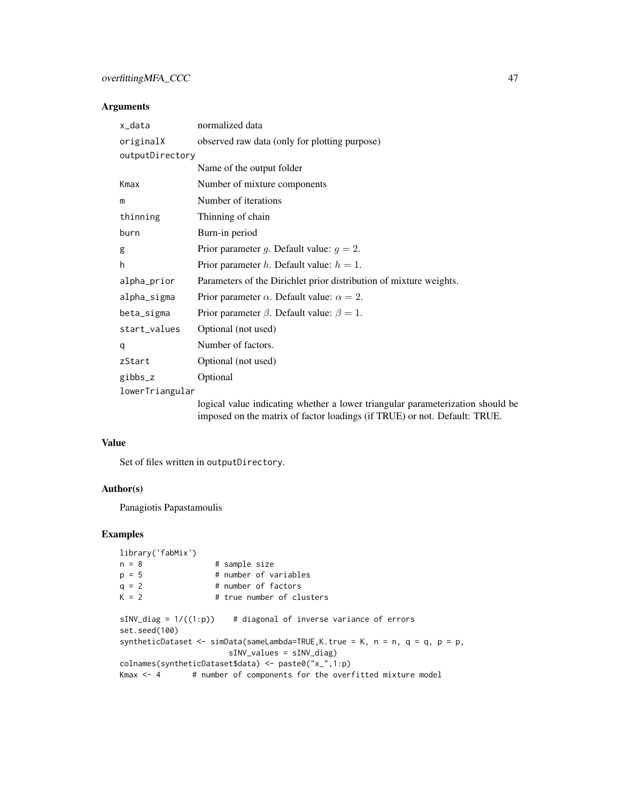# overfittingMFA\_CCC 47

## Arguments

| x_data          | normalized data                                                                |
|-----------------|--------------------------------------------------------------------------------|
| originalX       | observed raw data (only for plotting purpose)                                  |
| outputDirectory |                                                                                |
|                 | Name of the output folder                                                      |
| Kmax            | Number of mixture components                                                   |
| m               | Number of iterations                                                           |
| thinning        | Thinning of chain                                                              |
| burn            | Burn-in period                                                                 |
| g               | Prior parameter g. Default value: $g = 2$ .                                    |
| h               | Prior parameter h. Default value: $h = 1$ .                                    |
| alpha_prior     | Parameters of the Dirichlet prior distribution of mixture weights.             |
| alpha_sigma     | Prior parameter $\alpha$ . Default value: $\alpha = 2$ .                       |
| beta_sigma      | Prior parameter $\beta$ . Default value: $\beta = 1$ .                         |
| start_values    | Optional (not used)                                                            |
| q               | Number of factors.                                                             |
| zStart          | Optional (not used)                                                            |
| gibbs_z         | Optional                                                                       |
| lowerTriangular |                                                                                |
|                 | logical value indicating whether a lower triangular parameterization should be |

imposed on the matrix of factor loadings (if TRUE) or not. Default: TRUE.

#### Value

Set of files written in outputDirectory.

### Author(s)

Panagiotis Papastamoulis

```
library('fabMix')
n = 8 # sample size
p = 5 # number of variables
q = 2 # number of factors<br>K = 2 # true number of clu
                   # true number of clusters
sINV\_diag = 1/((1:p)) # diagonal of inverse variance of errors
set.seed(100)
syntheticDataset <- simData(sameLambda=TRUE,K.true = K, n = n, q = q, p = p,
                      sINV_values = sINV_diag)
colnames(syntheticDataset$data) <- paste0("x_",1:p)
Kmax \leq -4 # number of components for the overfitted mixture model
```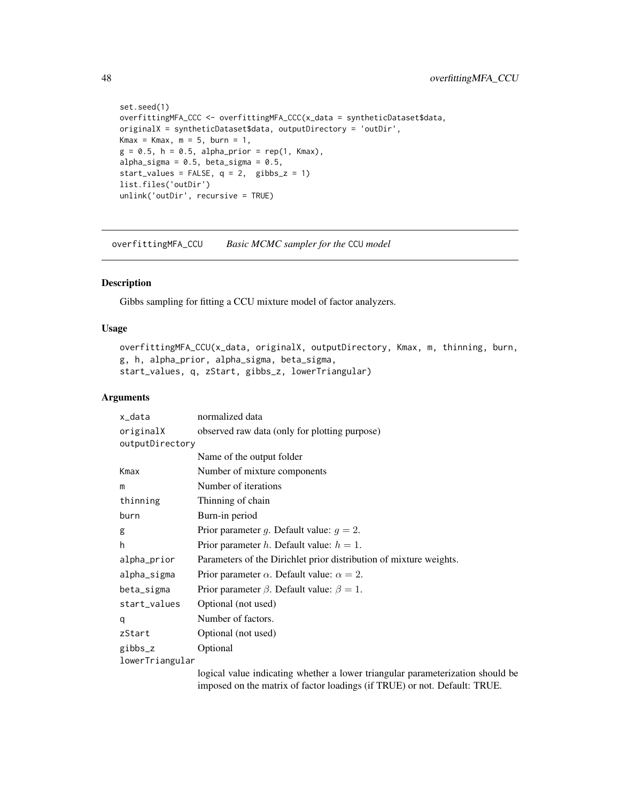```
set.seed(1)
overfittingMFA_CCC <- overfittingMFA_CCC(x_data = syntheticDataset$data,
originalX = syntheticDataset$data, outputDirectory = 'outDir',
Kmax = Kmax, m = 5, burn = 1,
g = 0.5, h = 0.5, alpha_prior = rep(1, Kmax),
alpha_sigma = 0.5, beta_sigma = 0.5,
start_values = FALSE, q = 2, gibbs_z = 1)
list.files('outDir')
unlink('outDir', recursive = TRUE)
```
overfittingMFA\_CCU *Basic MCMC sampler for the* CCU *model*

# Description

Gibbs sampling for fitting a CCU mixture model of factor analyzers.

### Usage

```
overfittingMFA_CCU(x_data, originalX, outputDirectory, Kmax, m, thinning, burn,
g, h, alpha_prior, alpha_sigma, beta_sigma,
start_values, q, zStart, gibbs_z, lowerTriangular)
```
#### Arguments

| x_data          | normalized data                                                                |
|-----------------|--------------------------------------------------------------------------------|
| originalX       | observed raw data (only for plotting purpose)                                  |
| outputDirectory |                                                                                |
|                 | Name of the output folder                                                      |
| Kmax            | Number of mixture components                                                   |
| m               | Number of iterations                                                           |
| thinning        | Thinning of chain                                                              |
| burn            | Burn-in period                                                                 |
| g               | Prior parameter g. Default value: $g = 2$ .                                    |
| h               | Prior parameter <i>h</i> . Default value: $h = 1$ .                            |
| alpha_prior     | Parameters of the Dirichlet prior distribution of mixture weights.             |
| alpha_sigma     | Prior parameter $\alpha$ . Default value: $\alpha = 2$ .                       |
| beta_sigma      | Prior parameter $\beta$ . Default value: $\beta = 1$ .                         |
| start_values    | Optional (not used)                                                            |
| q               | Number of factors.                                                             |
| zStart          | Optional (not used)                                                            |
| gibbs_z         | Optional                                                                       |
| lowerTriangular |                                                                                |
|                 | logical value indicating whether a lower triangular parameterization should be |

imposed on the matrix of factor loadings (if TRUE) or not. Default: TRUE.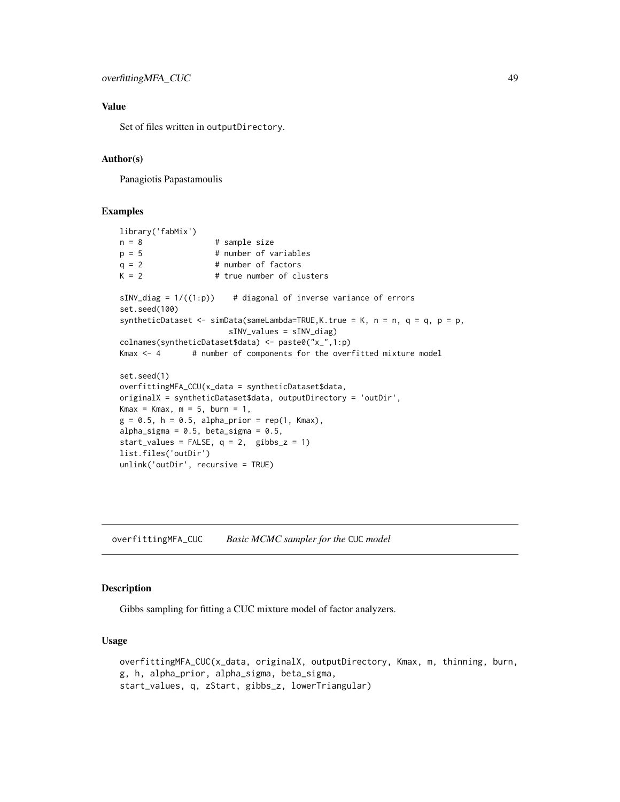### Value

Set of files written in outputDirectory.

#### Author(s)

Panagiotis Papastamoulis

# Examples

```
library('fabMix')
n = 8 # sample size
p = 5 # number of variables
q = 2 # number of factors
K = 2 # true number of clusters
sINV\_diag = 1/((1:p)) # diagonal of inverse variance of errors
set.seed(100)
syntheticDataset <- simData(sameLambda=TRUE, K.true = K, n = n, q = q, p = p,
                      sINV_values = sINV_diag)
colnames(syntheticDataset$data) <- paste0("x_",1:p)
Kmax \leq - 4 \qquad # number of components for the overfitted mixture model
set.seed(1)
overfittingMFA_CCU(x_data = syntheticDataset$data,
originalX = syntheticDataset$data, outputDirectory = 'outDir',
Kmax = Kmax, m = 5, burn = 1,
g = 0.5, h = 0.5, alpha_prior = rep(1, Kmax),
alpha_sigma = 0.5, beta_sigma = 0.5,
start_values = FALSE, q = 2, gibbs_z = 1)
list.files('outDir')
unlink('outDir', recursive = TRUE)
```
overfittingMFA\_CUC *Basic MCMC sampler for the* CUC *model*

### Description

Gibbs sampling for fitting a CUC mixture model of factor analyzers.

### Usage

overfittingMFA\_CUC(x\_data, originalX, outputDirectory, Kmax, m, thinning, burn, g, h, alpha\_prior, alpha\_sigma, beta\_sigma, start\_values, q, zStart, gibbs\_z, lowerTriangular)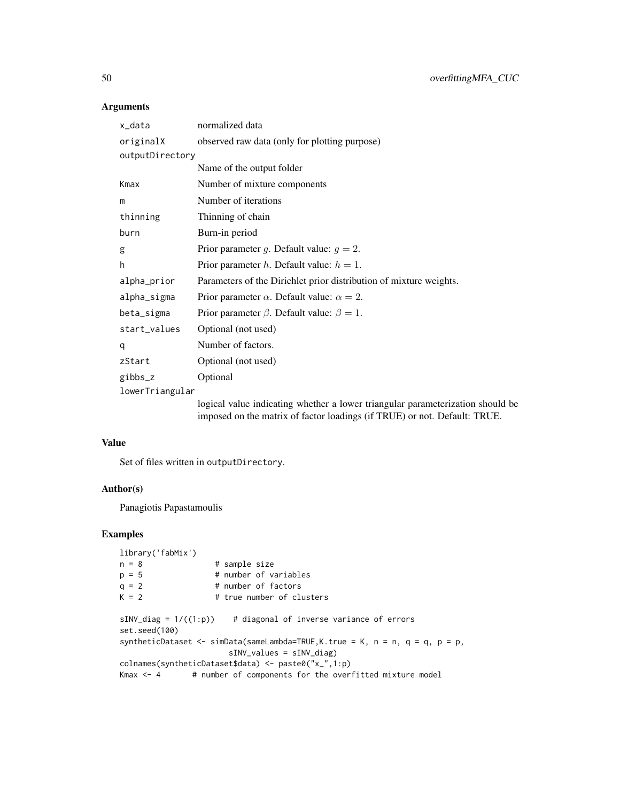# Arguments

| x_data          | normalized data                                                                |
|-----------------|--------------------------------------------------------------------------------|
| originalX       | observed raw data (only for plotting purpose)                                  |
| outputDirectory |                                                                                |
|                 | Name of the output folder                                                      |
| Kmax            | Number of mixture components                                                   |
| m               | Number of iterations                                                           |
| thinning        | Thinning of chain                                                              |
| burn            | Burn-in period                                                                 |
| g               | Prior parameter g. Default value: $g = 2$ .                                    |
| h               | Prior parameter h. Default value: $h = 1$ .                                    |
| alpha_prior     | Parameters of the Dirichlet prior distribution of mixture weights.             |
| alpha_sigma     | Prior parameter $\alpha$ . Default value: $\alpha = 2$ .                       |
| beta_sigma      | Prior parameter $\beta$ . Default value: $\beta = 1$ .                         |
| start_values    | Optional (not used)                                                            |
| q               | Number of factors.                                                             |
| zStart          | Optional (not used)                                                            |
| gibbs_z         | Optional                                                                       |
| lowerTriangular |                                                                                |
|                 | logical value indicating whether a lower triangular parameterization should be |

imposed on the matrix of factor loadings (if TRUE) or not. Default: TRUE.

#### Value

Set of files written in outputDirectory.

### Author(s)

Panagiotis Papastamoulis

```
library('fabMix')
n = 8 # sample size
p = 5 # number of variables
q = 2 # number of factors<br>K = 2 # true number of clu
                   # true number of clusters
sINV\_diag = 1/((1:p)) # diagonal of inverse variance of errors
set.seed(100)
syntheticDataset <- simData(sameLambda=TRUE,K.true = K, n = n, q = q, p = p,
                       sINV_values = sINV_diag)
colnames(syntheticDataset$data) <- paste0("x_",1:p)
Kmax \leq -4 # number of components for the overfitted mixture model
```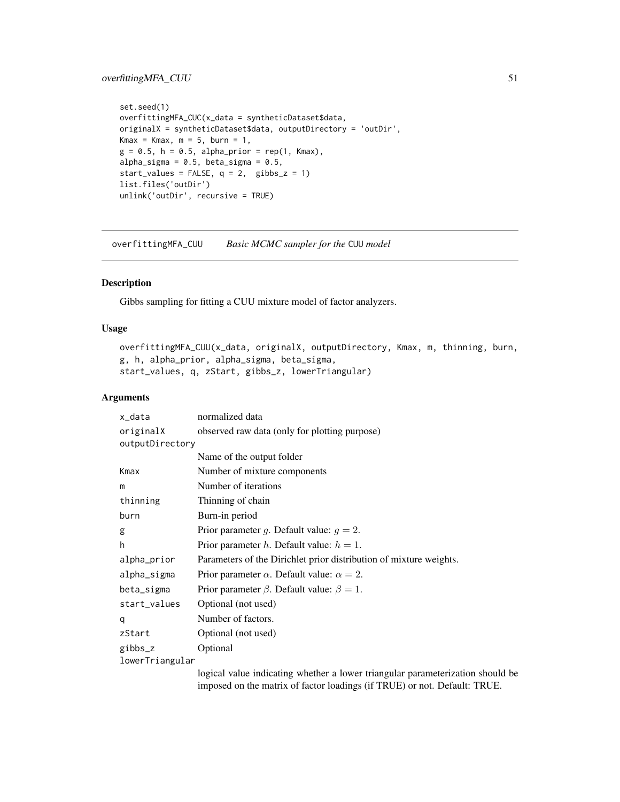```
set.seed(1)
overfittingMFA_CUC(x_data = syntheticDataset$data,
originalX = syntheticDataset$data, outputDirectory = 'outDir',
Kmax = Kmax, m = 5, burn = 1,
g = 0.5, h = 0.5, alpha_prior = rep(1, Kmax),
alpha_sigma = 0.5, beta_sigma = 0.5,
start_values = FALSE, q = 2, gibbs_z = 1)
list.files('outDir')
unlink('outDir', recursive = TRUE)
```
overfittingMFA\_CUU *Basic MCMC sampler for the* CUU *model*

### Description

Gibbs sampling for fitting a CUU mixture model of factor analyzers.

### Usage

```
overfittingMFA_CUU(x_data, originalX, outputDirectory, Kmax, m, thinning, burn,
g, h, alpha_prior, alpha_sigma, beta_sigma,
start_values, q, zStart, gibbs_z, lowerTriangular)
```
#### Arguments

| x_data          | normalized data                                                                |  |
|-----------------|--------------------------------------------------------------------------------|--|
| originalX       | observed raw data (only for plotting purpose)                                  |  |
| outputDirectory |                                                                                |  |
|                 | Name of the output folder                                                      |  |
| Kmax            | Number of mixture components                                                   |  |
| m               | Number of iterations                                                           |  |
| thinning        | Thinning of chain                                                              |  |
| burn            | Burn-in period                                                                 |  |
| g               | Prior parameter g. Default value: $g = 2$ .                                    |  |
| h               | Prior parameter h. Default value: $h = 1$ .                                    |  |
| alpha_prior     | Parameters of the Dirichlet prior distribution of mixture weights.             |  |
| alpha_sigma     | Prior parameter $\alpha$ . Default value: $\alpha = 2$ .                       |  |
| beta_sigma      | Prior parameter $\beta$ . Default value: $\beta = 1$ .                         |  |
| start_values    | Optional (not used)                                                            |  |
| q               | Number of factors.                                                             |  |
| zStart          | Optional (not used)                                                            |  |
| gibbs_z         | Optional                                                                       |  |
| lowerTriangular |                                                                                |  |
|                 | logical value indicating whether a lower triangular parameterization should be |  |

imposed on the matrix of factor loadings (if TRUE) or not. Default: TRUE.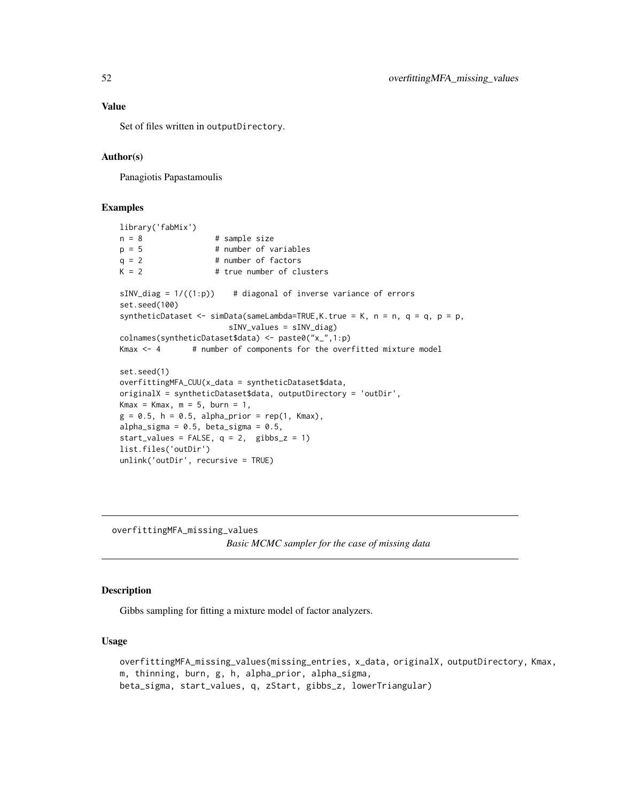Set of files written in outputDirectory.

#### Author(s)

Panagiotis Papastamoulis

#### Examples

```
library('fabMix')
n = 8 # sample size
p = 5 # number of variables
q = 2 # number of factors<br>K = 2 # true number of clu
                    # true number of clusters
sINV\_diag = 1/((1:p)) # diagonal of inverse variance of errors
set.seed(100)
syntheticDataset <- simData(sameLambda=TRUE,K.true = K, n = n, q = q, p = p,
                       sINV_values = sINV_diag)
colnames(syntheticDataset$data) <- paste0("x_",1:p)
Kmax <- 4 + number of components for the overfitted mixture model
set.seed(1)
overfittingMFA_CUU(x_data = syntheticDataset$data,
originalX = syntheticDataset$data, outputDirectory = 'outDir',
Kmax = Kmax, m = 5, burn = 1,
g = 0.5, h = 0.5, alpha_prior = rep(1, Kmax),
alpha_sigma = 0.5, beta_sigma = 0.5,
start_values = FALSE, q = 2, gibbs_z = 1)
list.files('outDir')
unlink('outDir', recursive = TRUE)
```
overfittingMFA\_missing\_values

*Basic MCMC sampler for the case of missing data*

#### Description

Gibbs sampling for fitting a mixture model of factor analyzers.

#### Usage

overfittingMFA\_missing\_values(missing\_entries, x\_data, originalX, outputDirectory, Kmax, m, thinning, burn, g, h, alpha\_prior, alpha\_sigma, beta\_sigma, start\_values, q, zStart, gibbs\_z, lowerTriangular)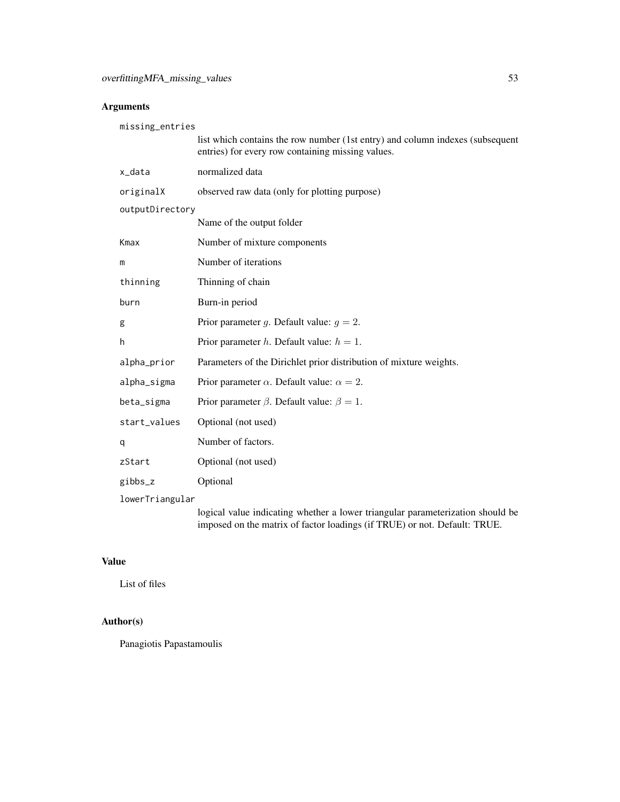# Arguments

| missing_entries |                                                                                                                                                             |  |
|-----------------|-------------------------------------------------------------------------------------------------------------------------------------------------------------|--|
|                 | list which contains the row number (1st entry) and column indexes (subsequent<br>entries) for every row containing missing values.                          |  |
| x_data          | normalized data                                                                                                                                             |  |
| originalX       | observed raw data (only for plotting purpose)                                                                                                               |  |
| outputDirectory |                                                                                                                                                             |  |
|                 | Name of the output folder                                                                                                                                   |  |
| Kmax            | Number of mixture components                                                                                                                                |  |
| m               | Number of iterations                                                                                                                                        |  |
| thinning        | Thinning of chain                                                                                                                                           |  |
| burn            | Burn-in period                                                                                                                                              |  |
| g               | Prior parameter g. Default value: $g = 2$ .                                                                                                                 |  |
| h               | Prior parameter h. Default value: $h = 1$ .                                                                                                                 |  |
| alpha_prior     | Parameters of the Dirichlet prior distribution of mixture weights.                                                                                          |  |
| alpha_sigma     | Prior parameter $\alpha$ . Default value: $\alpha = 2$ .                                                                                                    |  |
| beta_sigma      | Prior parameter $\beta$ . Default value: $\beta = 1$ .                                                                                                      |  |
| start_values    | Optional (not used)                                                                                                                                         |  |
| q               | Number of factors.                                                                                                                                          |  |
| zStart          | Optional (not used)                                                                                                                                         |  |
| gibbs_z         | Optional                                                                                                                                                    |  |
| lowerTriangular |                                                                                                                                                             |  |
|                 | logical value indicating whether a lower triangular parameterization should be<br>imposed on the matrix of factor loadings (if TRUE) or not. Default: TRUE. |  |

# Value

List of files

# Author(s)

Panagiotis Papastamoulis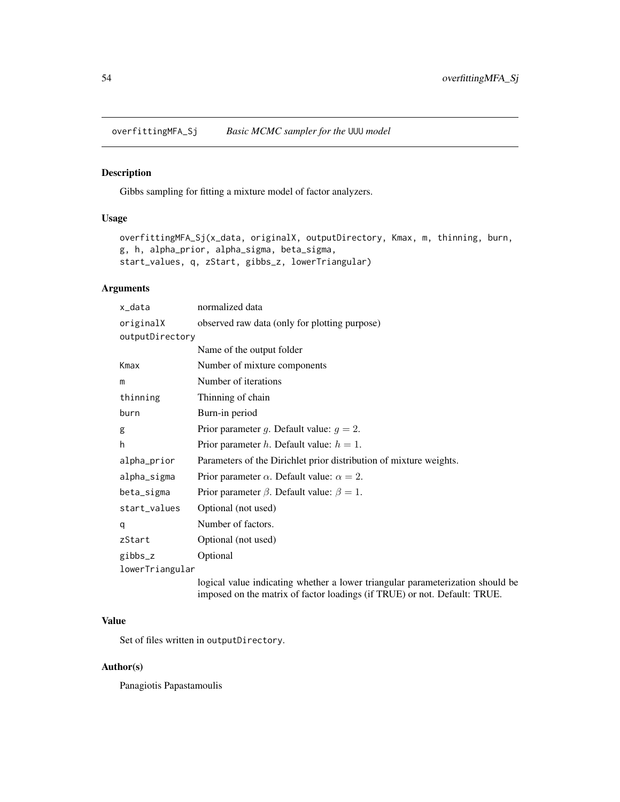overfittingMFA\_Sj *Basic MCMC sampler for the* UUU *model*

### Description

Gibbs sampling for fitting a mixture model of factor analyzers.

# Usage

```
overfittingMFA_Sj(x_data, originalX, outputDirectory, Kmax, m, thinning, burn,
g, h, alpha_prior, alpha_sigma, beta_sigma,
start_values, q, zStart, gibbs_z, lowerTriangular)
```
### Arguments

| x_data          | normalized data                                                                |  |
|-----------------|--------------------------------------------------------------------------------|--|
| originalX       | observed raw data (only for plotting purpose)                                  |  |
| outputDirectory |                                                                                |  |
|                 | Name of the output folder                                                      |  |
| Kmax            | Number of mixture components                                                   |  |
| m               | Number of iterations                                                           |  |
| thinning        | Thinning of chain                                                              |  |
| burn            | Burn-in period                                                                 |  |
| g               | Prior parameter g. Default value: $g = 2$ .                                    |  |
| h               | Prior parameter <i>h</i> . Default value: $h = 1$ .                            |  |
| alpha_prior     | Parameters of the Dirichlet prior distribution of mixture weights.             |  |
| alpha_sigma     | Prior parameter $\alpha$ . Default value: $\alpha = 2$ .                       |  |
| beta_sigma      | Prior parameter $\beta$ . Default value: $\beta = 1$ .                         |  |
| start_values    | Optional (not used)                                                            |  |
| q               | Number of factors.                                                             |  |
| zStart          | Optional (not used)                                                            |  |
| gibbs_z         | Optional                                                                       |  |
| lowerTriangular |                                                                                |  |
|                 | logical value indicating whether a lower triangular parameterization should be |  |

imposed on the matrix of factor loadings (if TRUE) or not. Default: TRUE.

# Value

Set of files written in outputDirectory.

## Author(s)

Panagiotis Papastamoulis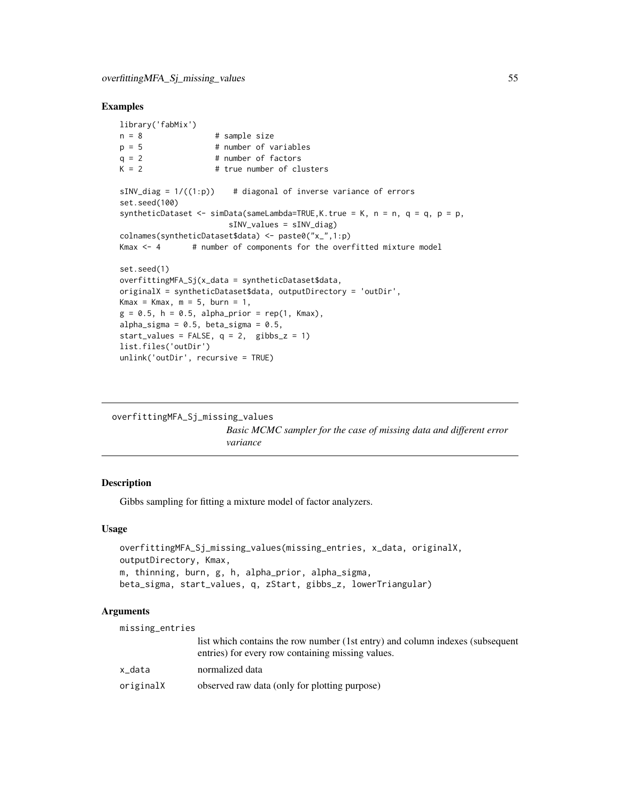#### Examples

```
library('fabMix')
n = 8 # sample size
p = 5 # number of variables
q = 2 # number of factors
K = 2 # true number of clusters
sINV\_diag = 1/((1:p)) # diagonal of inverse variance of errors
set.seed(100)
syntheticDataset \leq simData(sameLambda=TRUE, K. true = K, n = n, q = q, p = p,
                      sINV_values = sINV_diag)
colnames(syntheticDataset$data) <- paste0("x_",1:p)
Kmax \leq - 4 \qquad # number of components for the overfitted mixture model
set.seed(1)
overfittingMFA_Sj(x_data = syntheticDataset$data,
originalX = syntheticDataset$data, outputDirectory = 'outDir',
Kmax = Kmax, m = 5, burn = 1,
g = 0.5, h = 0.5, alpha_prior = rep(1, Kmax),
alpha_sigma = 0.5, beta_sigma = 0.5,
start_values = FALSE, q = 2, gibbs_z = 1)
list.files('outDir')
unlink('outDir', recursive = TRUE)
```
overfittingMFA\_Sj\_missing\_values *Basic MCMC sampler for the case of missing data and different error variance*

### Description

Gibbs sampling for fitting a mixture model of factor analyzers.

#### Usage

```
overfittingMFA_Sj_missing_values(missing_entries, x_data, originalX,
outputDirectory, Kmax,
m, thinning, burn, g, h, alpha_prior, alpha_sigma,
beta_sigma, start_values, q, zStart, gibbs_z, lowerTriangular)
```
### Arguments

| missing_entries |                                                                                                                                    |
|-----------------|------------------------------------------------------------------------------------------------------------------------------------|
|                 | list which contains the row number (1st entry) and column indexes (subsequent<br>entries) for every row containing missing values. |
| x data          | normalized data                                                                                                                    |
| originalX       | observed raw data (only for plotting purpose)                                                                                      |
|                 |                                                                                                                                    |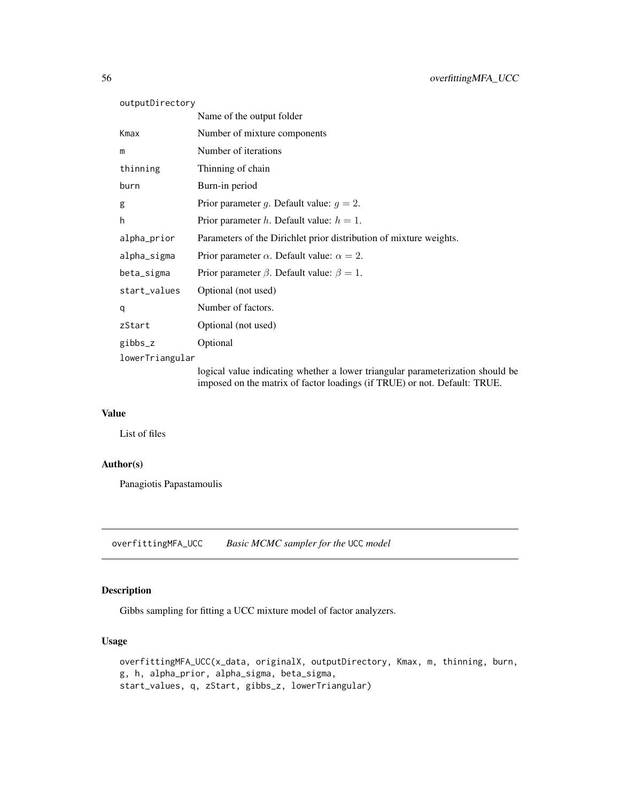| outputDirectory |                                                                                |  |
|-----------------|--------------------------------------------------------------------------------|--|
|                 | Name of the output folder                                                      |  |
| Kmax            | Number of mixture components                                                   |  |
| m               | Number of iterations                                                           |  |
| thinning        | Thinning of chain                                                              |  |
| burn            | Burn-in period                                                                 |  |
| g               | Prior parameter g. Default value: $g = 2$ .                                    |  |
| h               | Prior parameter h. Default value: $h = 1$ .                                    |  |
| alpha_prior     | Parameters of the Dirichlet prior distribution of mixture weights.             |  |
| alpha_sigma     | Prior parameter $\alpha$ . Default value: $\alpha = 2$ .                       |  |
| beta_sigma      | Prior parameter $\beta$ . Default value: $\beta = 1$ .                         |  |
| start_values    | Optional (not used)                                                            |  |
| q               | Number of factors.                                                             |  |
| zStart          | Optional (not used)                                                            |  |
| gibbs_z         | Optional                                                                       |  |
| lowerTriangular |                                                                                |  |
|                 | logical value indicating whether a lower triangular parameterization should be |  |

imposed on the matrix of factor loadings (if TRUE) or not. Default: TRUE.

# Value

List of files

# Author(s)

Panagiotis Papastamoulis

overfittingMFA\_UCC *Basic MCMC sampler for the* UCC *model*

## Description

Gibbs sampling for fitting a UCC mixture model of factor analyzers.

## Usage

overfittingMFA\_UCC(x\_data, originalX, outputDirectory, Kmax, m, thinning, burn, g, h, alpha\_prior, alpha\_sigma, beta\_sigma, start\_values, q, zStart, gibbs\_z, lowerTriangular)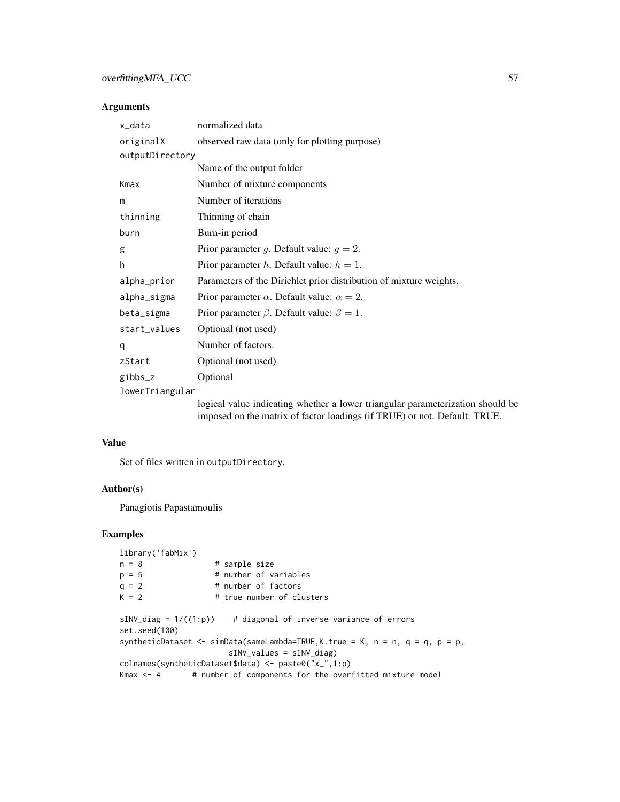# overfitting MFA\_UCC 57

## Arguments

| x_data          | normalized data                                                                |  |
|-----------------|--------------------------------------------------------------------------------|--|
| originalX       | observed raw data (only for plotting purpose)                                  |  |
| outputDirectory |                                                                                |  |
|                 | Name of the output folder                                                      |  |
| Kmax            | Number of mixture components                                                   |  |
| m               | Number of iterations                                                           |  |
| thinning        | Thinning of chain                                                              |  |
| burn            | Burn-in period                                                                 |  |
| g               | Prior parameter g. Default value: $g = 2$ .                                    |  |
| h               | Prior parameter h. Default value: $h = 1$ .                                    |  |
| alpha_prior     | Parameters of the Dirichlet prior distribution of mixture weights.             |  |
| alpha_sigma     | Prior parameter $\alpha$ . Default value: $\alpha = 2$ .                       |  |
| beta_sigma      | Prior parameter $\beta$ . Default value: $\beta = 1$ .                         |  |
| start_values    | Optional (not used)                                                            |  |
| q               | Number of factors.                                                             |  |
| zStart          | Optional (not used)                                                            |  |
| gibbs_z         | Optional                                                                       |  |
| lowerTriangular |                                                                                |  |
|                 | logical value indicating whether a lower triangular parameterization should be |  |

imposed on the matrix of factor loadings (if TRUE) or not. Default: TRUE.

#### Value

Set of files written in outputDirectory.

### Author(s)

Panagiotis Papastamoulis

```
library('fabMix')
n = 8 # sample size
p = 5 # number of variables
q = 2 # number of factors<br>K = 2 # true number of clu
                   # true number of clusters
sINV\_diag = 1/((1:p)) # diagonal of inverse variance of errors
set.seed(100)
syntheticDataset <- simData(sameLambda=TRUE,K.true = K, n = n, q = q, p = p,
                       sINV_values = sINV_diag)
colnames(syntheticDataset$data) <- paste0("x_",1:p)
Kmax \leq -4 # number of components for the overfitted mixture model
```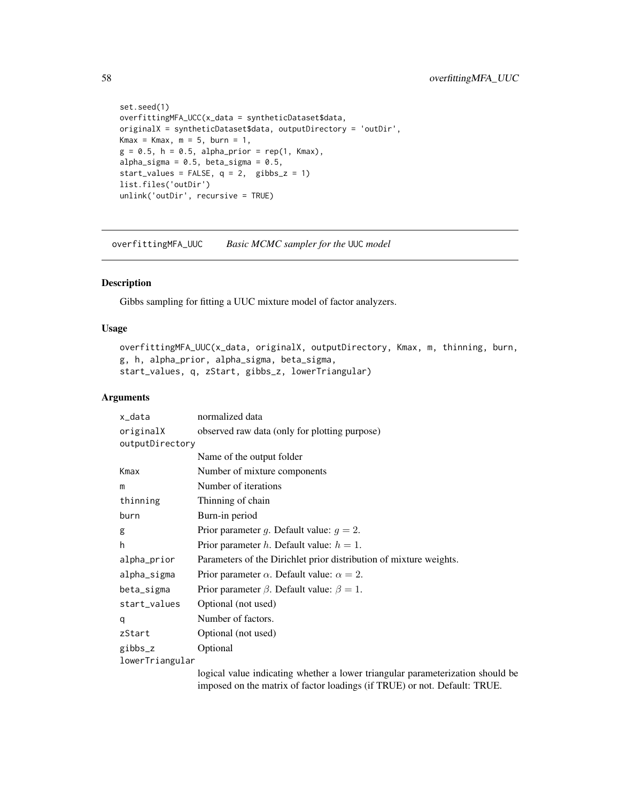```
set.seed(1)
overfittingMFA_UCC(x_data = syntheticDataset$data,
originalX = syntheticDataset$data, outputDirectory = 'outDir',
Kmax = Kmax, m = 5, burn = 1,
g = 0.5, h = 0.5, alpha_prior = rep(1, Kmax),
alpha_sigma = 0.5, beta_sigma = 0.5,
start_values = FALSE, q = 2, gibbs_z = 1)
list.files('outDir')
unlink('outDir', recursive = TRUE)
```
overfittingMFA\_UUC *Basic MCMC sampler for the* UUC *model*

# Description

Gibbs sampling for fitting a UUC mixture model of factor analyzers.

## Usage

```
overfittingMFA_UUC(x_data, originalX, outputDirectory, Kmax, m, thinning, burn,
g, h, alpha_prior, alpha_sigma, beta_sigma,
start_values, q, zStart, gibbs_z, lowerTriangular)
```
#### Arguments

| x_data          | normalized data                                                                |  |
|-----------------|--------------------------------------------------------------------------------|--|
| originalX       | observed raw data (only for plotting purpose)                                  |  |
| outputDirectory |                                                                                |  |
|                 | Name of the output folder                                                      |  |
| Kmax            | Number of mixture components                                                   |  |
| m               | Number of iterations                                                           |  |
| thinning        | Thinning of chain                                                              |  |
| burn            | Burn-in period                                                                 |  |
| g               | Prior parameter g. Default value: $g = 2$ .                                    |  |
| h               | Prior parameter h. Default value: $h = 1$ .                                    |  |
| alpha_prior     | Parameters of the Dirichlet prior distribution of mixture weights.             |  |
| alpha_sigma     | Prior parameter $\alpha$ . Default value: $\alpha = 2$ .                       |  |
| beta_sigma      | Prior parameter $\beta$ . Default value: $\beta = 1$ .                         |  |
| start_values    | Optional (not used)                                                            |  |
| q               | Number of factors.                                                             |  |
| zStart          | Optional (not used)                                                            |  |
| gibbs_z         | Optional                                                                       |  |
| lowerTriangular |                                                                                |  |
|                 | logical value indicating whether a lower triangular parameterization should be |  |

imposed on the matrix of factor loadings (if TRUE) or not. Default: TRUE.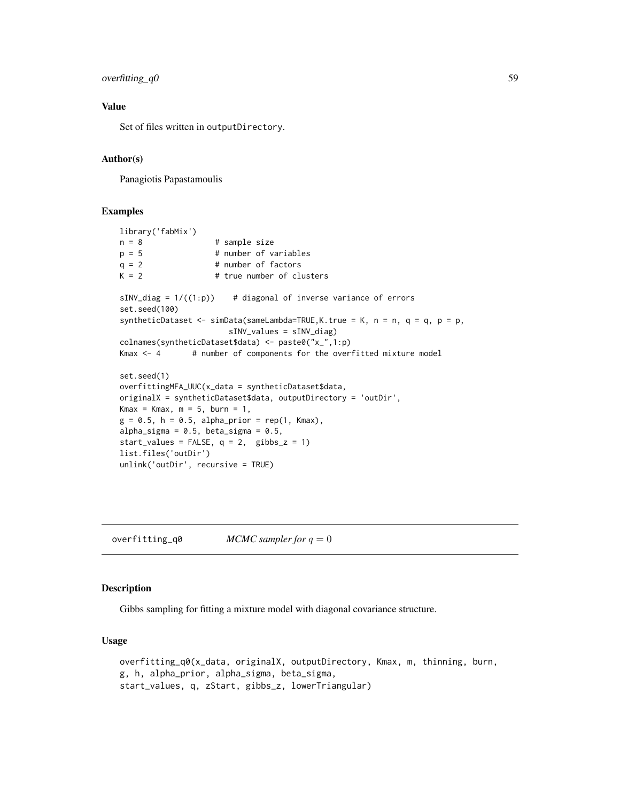### overfitting\_q0 59

### Value

Set of files written in outputDirectory.

#### Author(s)

Panagiotis Papastamoulis

# Examples

```
library('fabMix')
n = 8 # sample size
p = 5 # number of variables
q = 2 # number of factors
K = 2 # true number of clusters
sINV\_diag = 1/((1:p)) # diagonal of inverse variance of errors
set.seed(100)
syntheticDataset \le - simData(sameLambda=TRUE, K.true = K, n = n, q = q, p = p,
                      sINV_values = sINV_diag)
colnames(syntheticDataset$data) <- paste0("x_",1:p)
Kmax \leq -4 # number of components for the overfitted mixture model
set.seed(1)
overfittingMFA_UUC(x_data = syntheticDataset$data,
originalX = syntheticDataset$data, outputDirectory = 'outDir',
Kmax = Kmax, m = 5, burn = 1,
g = 0.5, h = 0.5, alpha_prior = rep(1, Kmax),
alpha_sigma = 0.5, beta_sigma = 0.5,
start_values = FALSE, q = 2, gibbs_z = 1)
list.files('outDir')
unlink('outDir', recursive = TRUE)
```
 $overfitting_q0$  *MCMC sampler for*  $q = 0$ 

#### Description

Gibbs sampling for fitting a mixture model with diagonal covariance structure.

#### Usage

```
overfitting_q0(x_data, originalX, outputDirectory, Kmax, m, thinning, burn,
g, h, alpha_prior, alpha_sigma, beta_sigma,
start_values, q, zStart, gibbs_z, lowerTriangular)
```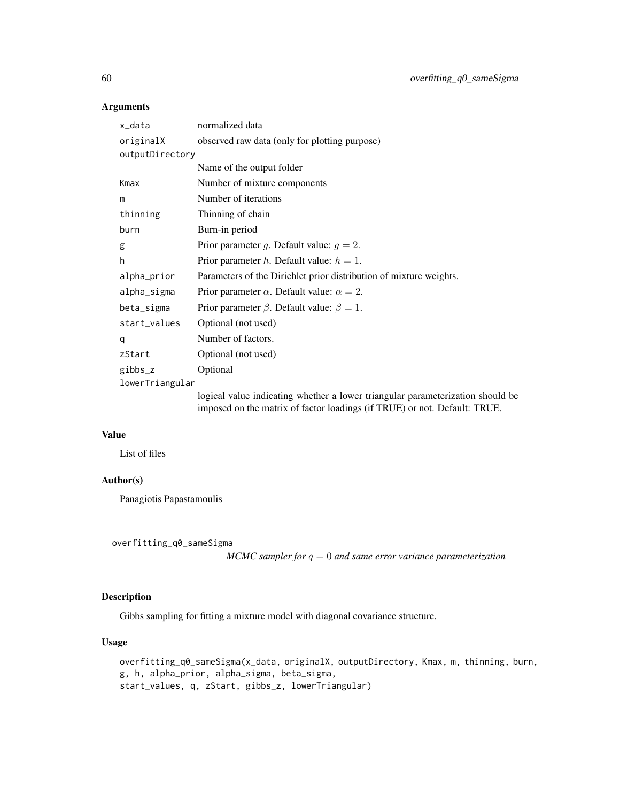# Arguments

| x_data          | normalized data                                                                                                                                             |  |
|-----------------|-------------------------------------------------------------------------------------------------------------------------------------------------------------|--|
| originalX       | observed raw data (only for plotting purpose)                                                                                                               |  |
| outputDirectory |                                                                                                                                                             |  |
|                 | Name of the output folder                                                                                                                                   |  |
| Kmax            | Number of mixture components                                                                                                                                |  |
| m               | Number of iterations                                                                                                                                        |  |
| thinning        | Thinning of chain                                                                                                                                           |  |
| burn            | Burn-in period                                                                                                                                              |  |
| g               | Prior parameter g. Default value: $g = 2$ .                                                                                                                 |  |
| h               | Prior parameter h. Default value: $h = 1$ .                                                                                                                 |  |
| alpha_prior     | Parameters of the Dirichlet prior distribution of mixture weights.                                                                                          |  |
| alpha_sigma     | Prior parameter $\alpha$ . Default value: $\alpha = 2$ .                                                                                                    |  |
| beta_sigma      | Prior parameter $\beta$ . Default value: $\beta = 1$ .                                                                                                      |  |
| start_values    | Optional (not used)                                                                                                                                         |  |
| q               | Number of factors.                                                                                                                                          |  |
| zStart          | Optional (not used)                                                                                                                                         |  |
| gibbs_z         | Optional                                                                                                                                                    |  |
| lowerTriangular |                                                                                                                                                             |  |
|                 | logical value indicating whether a lower triangular parameterization should be<br>imposed on the matrix of factor loadings (if TRUE) or not. Default: TRUE. |  |

# Value

List of files

# Author(s)

Panagiotis Papastamoulis

```
overfitting_q0_sameSigma
```
*MCMC sampler for* q = 0 *and same error variance parameterization*

# Description

Gibbs sampling for fitting a mixture model with diagonal covariance structure.

### Usage

```
overfitting_q0_sameSigma(x_data, originalX, outputDirectory, Kmax, m, thinning, burn,
g, h, alpha_prior, alpha_sigma, beta_sigma,
start_values, q, zStart, gibbs_z, lowerTriangular)
```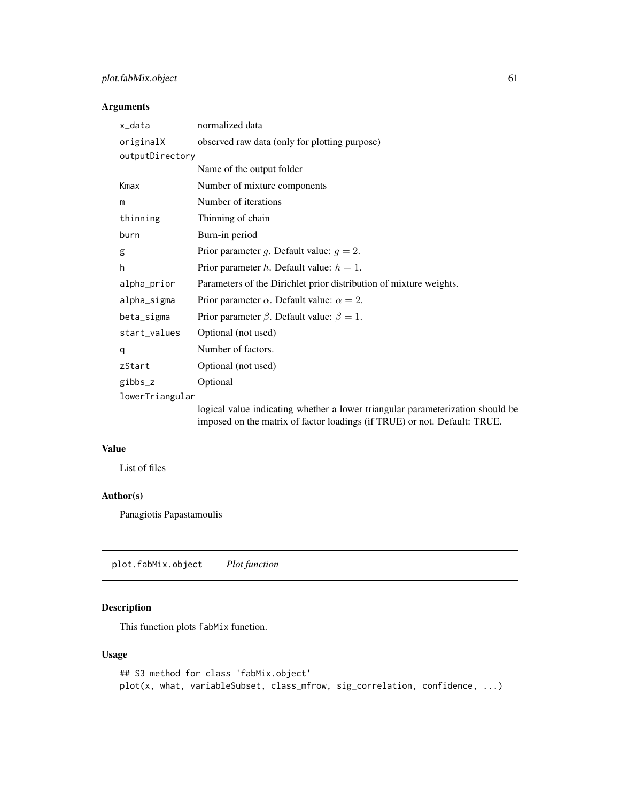# plot.fabMix.object 61

# Arguments

| x_data          | normalized data                                                                                                                                             |  |
|-----------------|-------------------------------------------------------------------------------------------------------------------------------------------------------------|--|
| originalX       | observed raw data (only for plotting purpose)                                                                                                               |  |
| outputDirectory |                                                                                                                                                             |  |
|                 | Name of the output folder                                                                                                                                   |  |
| Kmax            | Number of mixture components                                                                                                                                |  |
| m               | Number of iterations                                                                                                                                        |  |
| thinning        | Thinning of chain                                                                                                                                           |  |
| burn            | Burn-in period                                                                                                                                              |  |
| g               | Prior parameter g. Default value: $g = 2$ .                                                                                                                 |  |
| h               | Prior parameter h. Default value: $h = 1$ .                                                                                                                 |  |
| alpha_prior     | Parameters of the Dirichlet prior distribution of mixture weights.                                                                                          |  |
| alpha_sigma     | Prior parameter $\alpha$ . Default value: $\alpha = 2$ .                                                                                                    |  |
| beta_sigma      | Prior parameter $\beta$ . Default value: $\beta = 1$ .                                                                                                      |  |
| start_values    | Optional (not used)                                                                                                                                         |  |
| q               | Number of factors.                                                                                                                                          |  |
| zStart          | Optional (not used)                                                                                                                                         |  |
| gibbs_z         | Optional                                                                                                                                                    |  |
| lowerTriangular |                                                                                                                                                             |  |
|                 | logical value indicating whether a lower triangular parameterization should be<br>imposed on the matrix of factor loadings (if TRUE) or not. Default: TRUE. |  |

### Value

List of files

# Author(s)

Panagiotis Papastamoulis

plot.fabMix.object *Plot function*

# Description

This function plots fabMix function.

# Usage

```
## S3 method for class 'fabMix.object'
plot(x, what, variableSubset, class_mfrow, sig_correlation, confidence, ...)
```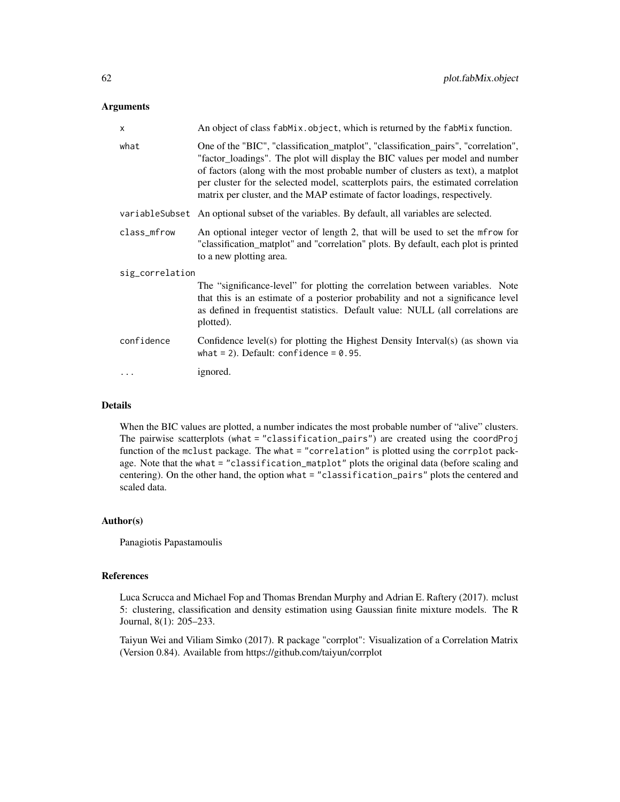#### **Arguments**

| $\boldsymbol{\mathsf{x}}$ | An object of class fabMix.object, which is returned by the fabMix function.                                                                                                                                                                                                                                                                                                                                              |  |
|---------------------------|--------------------------------------------------------------------------------------------------------------------------------------------------------------------------------------------------------------------------------------------------------------------------------------------------------------------------------------------------------------------------------------------------------------------------|--|
| what                      | One of the "BIC", "classification_matplot", "classification_pairs", "correlation",<br>"factor_loadings". The plot will display the BIC values per model and number<br>of factors (along with the most probable number of clusters as text), a matplot<br>per cluster for the selected model, scatterplots pairs, the estimated correlation<br>matrix per cluster, and the MAP estimate of factor loadings, respectively. |  |
|                           | variable Subset An optional subset of the variables. By default, all variables are selected.                                                                                                                                                                                                                                                                                                                             |  |
| class_mfrow               | An optional integer vector of length 2, that will be used to set the mfrow for<br>"classification_matplot" and "correlation" plots. By default, each plot is printed<br>to a new plotting area.                                                                                                                                                                                                                          |  |
| sig_correlation           |                                                                                                                                                                                                                                                                                                                                                                                                                          |  |
|                           | The "significance-level" for plotting the correlation between variables. Note<br>that this is an estimate of a posterior probability and not a significance level<br>as defined in frequentist statistics. Default value: NULL (all correlations are<br>plotted).                                                                                                                                                        |  |
| confidence                | Confidence level(s) for plotting the Highest Density Interval(s) (as shown via<br>what = 2). Default: confidence = $0.95$ .                                                                                                                                                                                                                                                                                              |  |
|                           | ignored.                                                                                                                                                                                                                                                                                                                                                                                                                 |  |

#### Details

When the BIC values are plotted, a number indicates the most probable number of "alive" clusters. The pairwise scatterplots (what = "classification\_pairs") are created using the coordProj function of the mclust package. The what = "correlation" is plotted using the corrplot package. Note that the what = "classification\_matplot" plots the original data (before scaling and centering). On the other hand, the option what = "classification\_pairs" plots the centered and scaled data.

#### Author(s)

Panagiotis Papastamoulis

### References

Luca Scrucca and Michael Fop and Thomas Brendan Murphy and Adrian E. Raftery (2017). mclust 5: clustering, classification and density estimation using Gaussian finite mixture models. The R Journal, 8(1): 205–233.

Taiyun Wei and Viliam Simko (2017). R package "corrplot": Visualization of a Correlation Matrix (Version 0.84). Available from https://github.com/taiyun/corrplot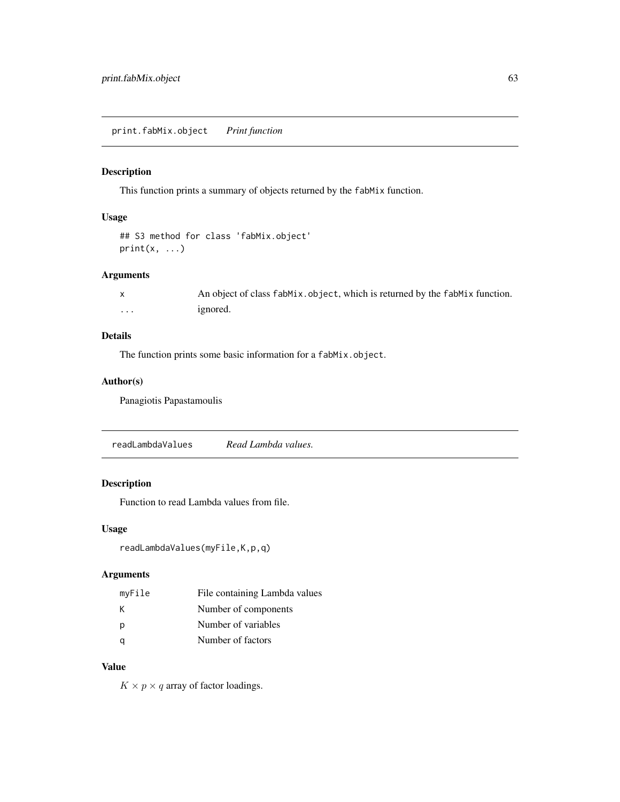print.fabMix.object *Print function*

# Description

This function prints a summary of objects returned by the fabMix function.

# Usage

```
## S3 method for class 'fabMix.object'
print(x, \ldots)
```
### Arguments

|          | An object of class fabMix.object, which is returned by the fabMix function. |
|----------|-----------------------------------------------------------------------------|
| $\cdots$ | ignored.                                                                    |

### Details

The function prints some basic information for a fabMix.object.

### Author(s)

Panagiotis Papastamoulis

readLambdaValues *Read Lambda values.*

### Description

Function to read Lambda values from file.

### Usage

readLambdaValues(myFile,K,p,q)

### Arguments

| myFile | File containing Lambda values |
|--------|-------------------------------|
| к      | Number of components          |
| p      | Number of variables           |
|        | Number of factors             |

## Value

 $K \times p \times q$  array of factor loadings.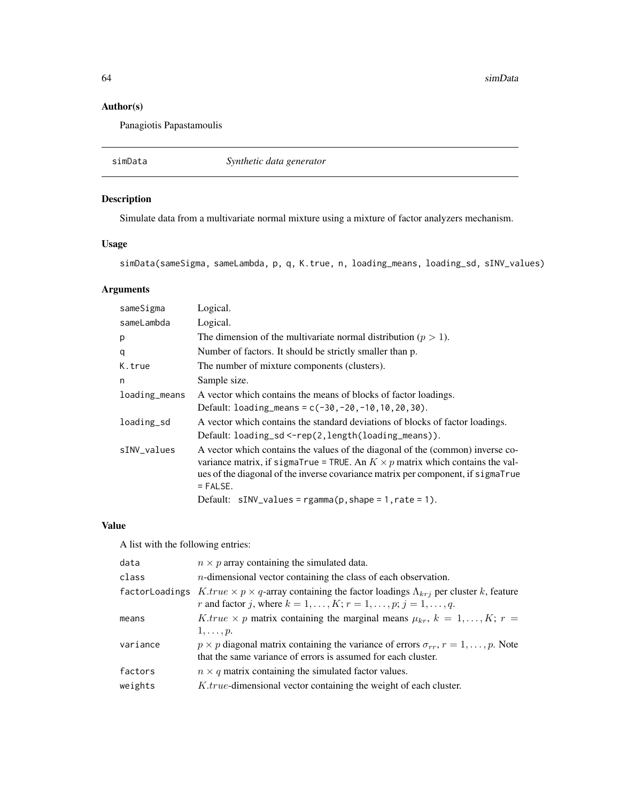64 simData

# Author(s)

Panagiotis Papastamoulis

simData *Synthetic data generator*

# Description

Simulate data from a multivariate normal mixture using a mixture of factor analyzers mechanism.

# Usage

simData(sameSigma, sameLambda, p, q, K.true, n, loading\_means, loading\_sd, sINV\_values)

# Arguments

| sameSigma     | Logical.                                                                                                                                                                                                                                                                 |
|---------------|--------------------------------------------------------------------------------------------------------------------------------------------------------------------------------------------------------------------------------------------------------------------------|
| sameLambda    | Logical.                                                                                                                                                                                                                                                                 |
| p             | The dimension of the multivariate normal distribution ( $p > 1$ ).                                                                                                                                                                                                       |
| q             | Number of factors. It should be strictly smaller than p.                                                                                                                                                                                                                 |
| K.true        | The number of mixture components (clusters).                                                                                                                                                                                                                             |
| n             | Sample size.                                                                                                                                                                                                                                                             |
| loading_means | A vector which contains the means of blocks of factor loadings.                                                                                                                                                                                                          |
|               | Default: $loading_means = c(-30, -20, -10, 10, 20, 30)$ .                                                                                                                                                                                                                |
| loading_sd    | A vector which contains the standard deviations of blocks of factor loadings.                                                                                                                                                                                            |
|               | Default: loading_sd <-rep(2, length(loading_means)).                                                                                                                                                                                                                     |
| sINV_values   | A vector which contains the values of the diagonal of the (common) inverse co-<br>variance matrix, if sigmaTrue = TRUE. An $K \times p$ matrix which contains the val-<br>ues of the diagonal of the inverse covariance matrix per component, if sigmaTrue<br>$=$ FALSE. |
|               | Default: $sINV_value s = rgamma(p, shape = 1, rate = 1).$                                                                                                                                                                                                                |

# Value

A list with the following entries:

| data     | $n \times p$ array containing the simulated data.                                                                                                                                                         |
|----------|-----------------------------------------------------------------------------------------------------------------------------------------------------------------------------------------------------------|
| class    | $n$ -dimensional vector containing the class of each observation.                                                                                                                                         |
|          | factor Loadings $K,true \times p \times q$ -array containing the factor loadings $\Lambda_{krj}$ per cluster k, feature<br>r and factor j, where $k = 1, \ldots, K; r = 1, \ldots, p; j = 1, \ldots, q$ . |
| means    | K true $\times$ p matrix containing the marginal means $\mu_{kr}$ , $k = 1, , K$ ; $r =$                                                                                                                  |
|          | $1,\ldots,p.$                                                                                                                                                                                             |
| variance | $p \times p$ diagonal matrix containing the variance of errors $\sigma_{rr}$ , $r = 1, \ldots, p$ . Note<br>that the same variance of errors is assumed for each cluster.                                 |
| factors  | $n \times q$ matrix containing the simulated factor values.                                                                                                                                               |
| weights  | <i>K.true-dimensional vector containing the weight of each cluster.</i>                                                                                                                                   |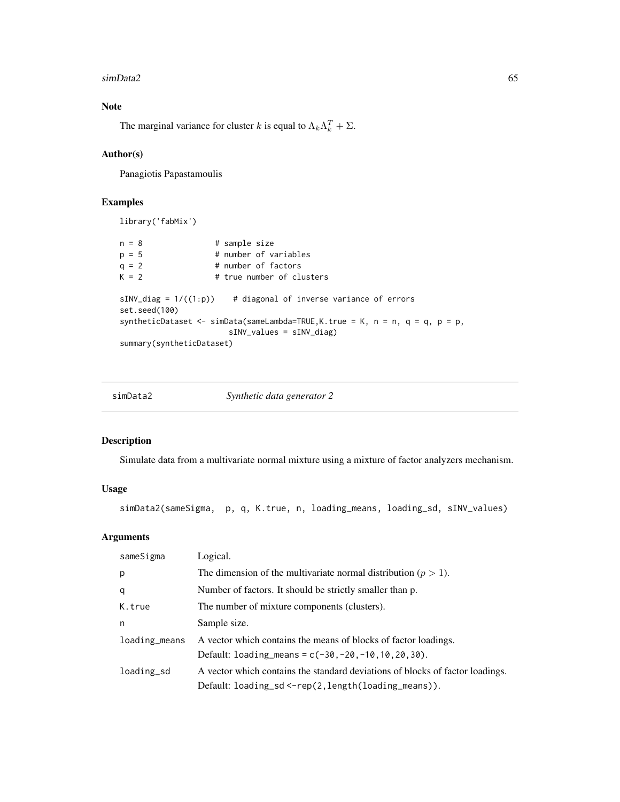#### simData2 65

# Note

The marginal variance for cluster k is equal to  $\Lambda_k \Lambda_k^T + \Sigma$ .

### Author(s)

Panagiotis Papastamoulis

#### Examples

library('fabMix')

```
n = 8 # sample size
p = 5 # number of variables
q = 2 # number of factors<br>K = 2 # true number of clu
                   # true number of clusters
sINV\_diag = 1/((1:p)) # diagonal of inverse variance of errors
set.seed(100)
syntheticDataset <- simData(sameLambda=TRUE, K.true = K, n = n, q = q, p = p,
                      sINV_values = sINV_diag)
summary(syntheticDataset)
```

| simData2 | Synthetic data generator 2 |
|----------|----------------------------|
|          |                            |

### Description

Simulate data from a multivariate normal mixture using a mixture of factor analyzers mechanism.

### Usage

```
simData2(sameSigma, p, q, K.true, n, loading_means, loading_sd, sINV_values)
```
#### Arguments

| sameSigma     | Logical.                                                                      |
|---------------|-------------------------------------------------------------------------------|
| p             | The dimension of the multivariate normal distribution ( $p > 1$ ).            |
| q             | Number of factors. It should be strictly smaller than p.                      |
| K.true        | The number of mixture components (clusters).                                  |
| n             | Sample size.                                                                  |
| loading_means | A vector which contains the means of blocks of factor loadings.               |
|               | Default: $loading_means = c(-30, -20, -10, 10, 20, 30)$ .                     |
| loading_sd    | A vector which contains the standard deviations of blocks of factor loadings. |
|               | $Default:$ $loading_s d \leftarrow rep(2, length(loading_means)).$            |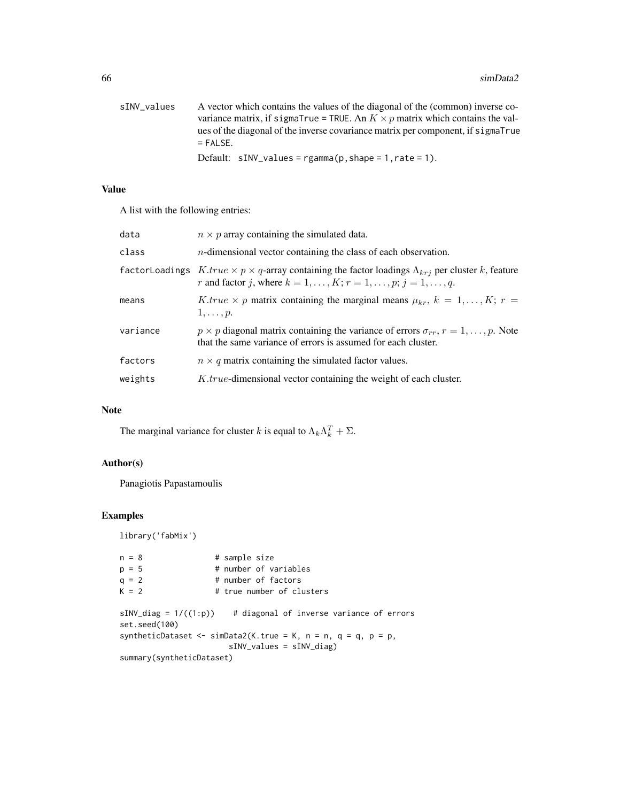| sINV_values | A vector which contains the values of the diagonal of the (common) inverse co-       |
|-------------|--------------------------------------------------------------------------------------|
|             | variance matrix, if sigmaTrue = TRUE. An $K \times p$ matrix which contains the val- |
|             | ues of the diagonal of the inverse covariance matrix per component, if sigmaTrue     |
|             | $=$ FAI SF.                                                                          |
|             | Default: $sINV_values = rgamma(p, shape = 1, rate = 1).$                             |

# Value

A list with the following entries:

| data     | $n \times p$ array containing the simulated data.                                                                                                                                                         |
|----------|-----------------------------------------------------------------------------------------------------------------------------------------------------------------------------------------------------------|
| class    | $n$ -dimensional vector containing the class of each observation.                                                                                                                                         |
|          | factor Loadings $K,true \times p \times q$ -array containing the factor loadings $\Lambda_{krj}$ per cluster k, feature<br>r and factor j, where $k = 1, \ldots, K; r = 1, \ldots, p; j = 1, \ldots, q$ . |
| means    | K true $\times$ p matrix containing the marginal means $\mu_{kr}$ , $k = 1,, K$ ; $r =$<br>$1,\ldots,p.$                                                                                                  |
| variance | $p \times p$ diagonal matrix containing the variance of errors $\sigma_{rr}$ , $r = 1, \dots, p$ . Note<br>that the same variance of errors is assumed for each cluster.                                  |
| factors  | $n \times q$ matrix containing the simulated factor values.                                                                                                                                               |
| weights  | <i>K.true-dimensional vector containing the weight of each cluster.</i>                                                                                                                                   |

# Note

The marginal variance for cluster k is equal to  $\Lambda_k \Lambda_k^T + \Sigma$ .

# Author(s)

Panagiotis Papastamoulis

```
library('fabMix')
```

| $n = 8$                                   | # sample size                                                 |
|-------------------------------------------|---------------------------------------------------------------|
| $p = 5$                                   | # number of variables                                         |
| $q = 2$                                   | # number of factors                                           |
| $K = 2$                                   | # true number of clusters                                     |
| $sINV\_diag = 1/((1:p))$<br>set.seed(100) | # diagonal of inverse variance of errors                      |
|                                           | syntheticDataset <- simData2(K.true = K, n = n, q = q, p = p, |
|                                           | $sINV_value s = sINV-diag)$                                   |
| summary(syntheticDataset)                 |                                                               |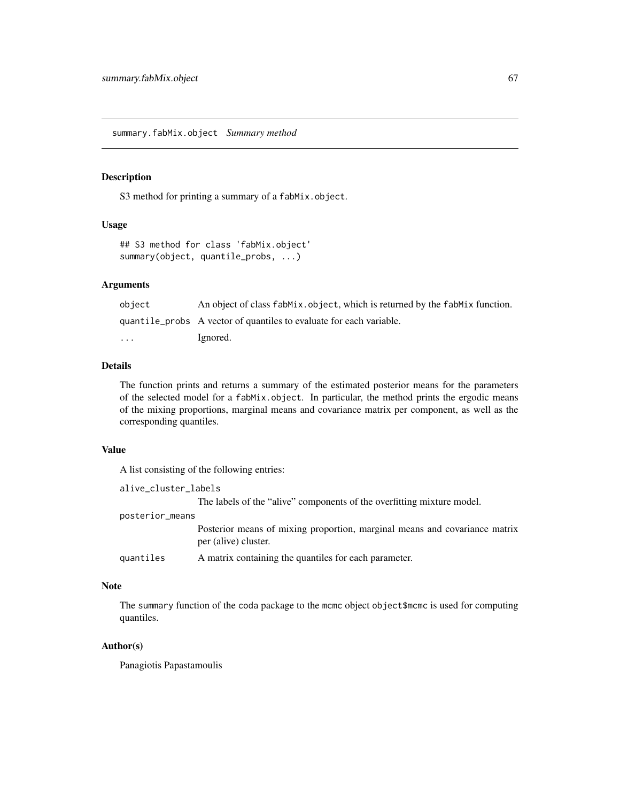summary.fabMix.object *Summary method*

### Description

S3 method for printing a summary of a fabMix.object.

#### Usage

```
## S3 method for class 'fabMix.object'
summary(object, quantile_probs, ...)
```
# Arguments

| object                  | An object of class fabMix.object, which is returned by the fabMix function. |
|-------------------------|-----------------------------------------------------------------------------|
|                         | quantile probs A vector of quantiles to evaluate for each variable.         |
| $\cdot$ $\cdot$ $\cdot$ | Ignored.                                                                    |

#### Details

The function prints and returns a summary of the estimated posterior means for the parameters of the selected model for a fabMix.object. In particular, the method prints the ergodic means of the mixing proportions, marginal means and covariance matrix per component, as well as the corresponding quantiles.

### Value

A list consisting of the following entries:

```
alive_cluster_labels
                 The labels of the "alive" components of the overfitting mixture model.
posterior_means
                 Posterior means of mixing proportion, marginal means and covariance matrix
                 per (alive) cluster.
quantiles A matrix containing the quantiles for each parameter.
```
### Note

The summary function of the coda package to the mcmc object object \$mcmc is used for computing quantiles.

### Author(s)

Panagiotis Papastamoulis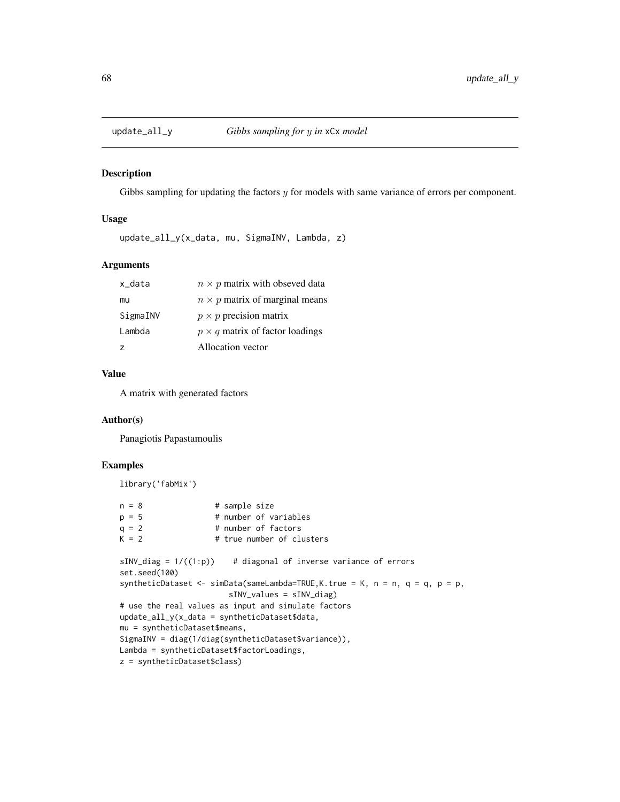#### Description

Gibbs sampling for updating the factors  $y$  for models with same variance of errors per component.

#### Usage

update\_all\_y(x\_data, mu, SigmaINV, Lambda, z)

### Arguments

| $n \times p$ matrix with obseved data  |
|----------------------------------------|
| $n \times p$ matrix of marginal means  |
| $p \times p$ precision matrix          |
| $p \times q$ matrix of factor loadings |
| Allocation vector                      |
|                                        |

# Value

A matrix with generated factors

#### Author(s)

Panagiotis Papastamoulis

```
library('fabMix')
n = 8 # sample size
p = 5 # number of variables
q = 2 # number of factors
K = 2 # true number of clusters
sINV\_diag = 1/((1:p)) # diagonal of inverse variance of errors
set.seed(100)
syntheticDataset <- simData(sameLambda=TRUE,K.true = K, n = n, q = q, p = p,
                     sINV_values = sINV_diag)
# use the real values as input and simulate factors
update_all_y(x_data = syntheticDataset$data,
mu = syntheticDataset$means,
SigmaINV = diag(1/diag(syntheticDataset$variance)),
Lambda = syntheticDataset$factorLoadings,
z = syntheticDataset$class)
```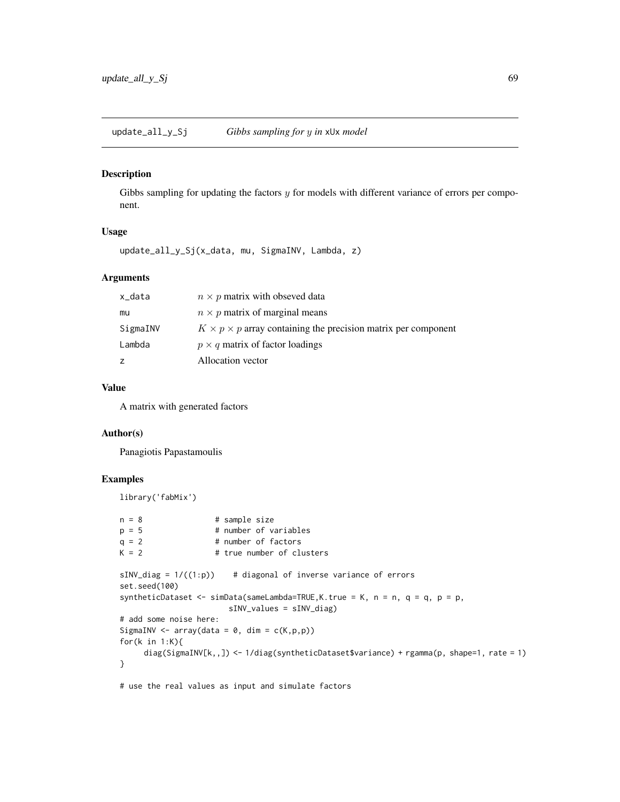update\_all\_y\_Sj *Gibbs sampling for* y *in* xUx *model*

#### Description

Gibbs sampling for updating the factors  $y$  for models with different variance of errors per component.

### Usage

update\_all\_y\_Sj(x\_data, mu, SigmaINV, Lambda, z)

# Arguments

| x_data   | $n \times p$ matrix with obseved data                                     |
|----------|---------------------------------------------------------------------------|
| mu       | $n \times p$ matrix of marginal means                                     |
| SigmaINV | $K \times p \times p$ array containing the precision matrix per component |
| Lambda   | $p \times q$ matrix of factor loadings                                    |
| z        | Allocation vector                                                         |

### Value

A matrix with generated factors

### Author(s)

Panagiotis Papastamoulis

## Examples

```
library('fabMix')
n = 8 # sample size
p = 5 # number of variables
q = 2 # number of factors
K = 2 # true number of clusters
sINV\_diag = 1/((1:p)) # diagonal of inverse variance of errors
set.seed(100)
syntheticDataset <- simData(sameLambda=TRUE,K.true = K, n = n, q = q, p = p,
                     sINV_values = sINV_diag)
# add some noise here:
SigmaINV <- array(data = 0, dim = c(K, p, p))
for(k in 1:K){
    diag(SigmaINV[k,,]) <- 1/diag(syntheticDataset$variance) + rgamma(p, shape=1, rate = 1)
}
```
# use the real values as input and simulate factors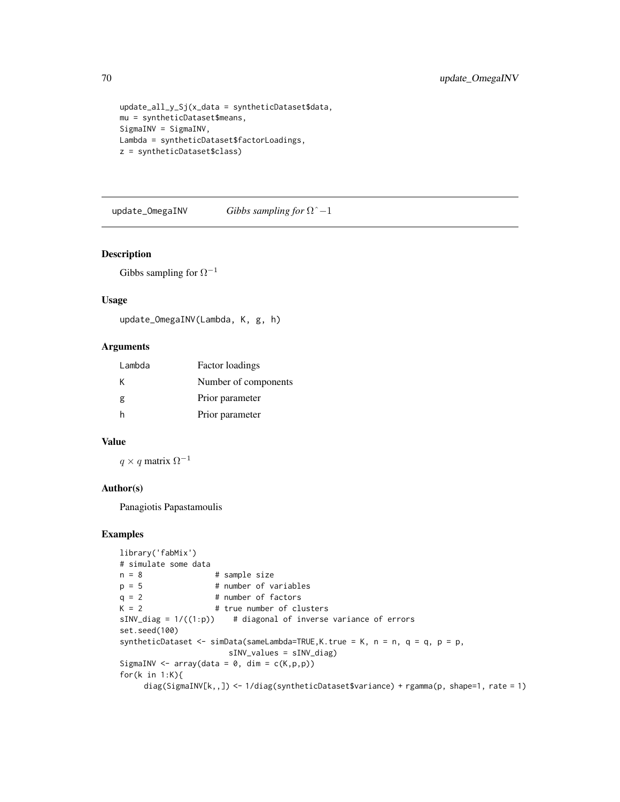```
update_all_y_Sj(x_data = syntheticDataset$data,
mu = syntheticDataset$means,
SigmaINV = SigmaINV,
Lambda = syntheticDataset$factorLoadings,
z = syntheticDataset$class)
```
update\_OmegaINV *Gibbs sampling for* Ωˆ−1

#### Description

Gibbs sampling for  $\Omega^{-1}$ 

### Usage

```
update_OmegaINV(Lambda, K, g, h)
```
#### Arguments

| Lambda | Factor loadings      |
|--------|----------------------|
| К      | Number of components |
| g      | Prior parameter      |
| h      | Prior parameter      |

#### Value

 $q \times q$  matrix  $\Omega^{-1}$ 

### Author(s)

Panagiotis Papastamoulis

```
library('fabMix')
# simulate some data
n = 8 # sample size<br>p = 5 # number of va
p = 5 # number of variables<br>q = 2 # number of factors
                     # number of factors
K = 2 # true number of clusters
sINV\_diag = 1/((1:p)) # diagonal of inverse variance of errors
set.seed(100)
syntheticDataset <- simData(sameLambda=TRUE,K.true = K, n = n, q = q, p = p,
                        sINV_values = sINV_diag)
SigmaINV <- array(data = 0, dim = c(K,p,p))for(k in 1:K){
     diag(SigmaINV[k,,]) <- 1/diag(syntheticDataset$variance) + rgamma(p, shape=1, rate = 1)
```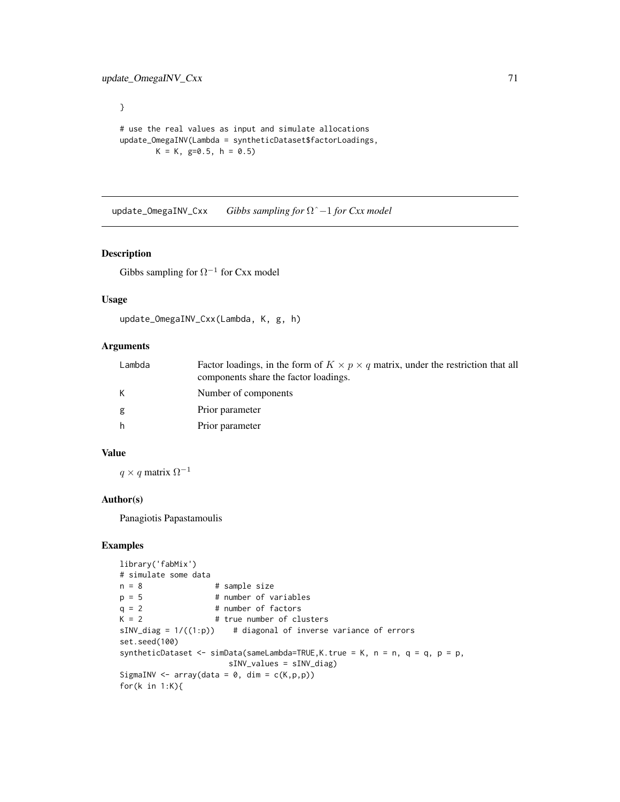# use the real values as input and simulate allocations update\_OmegaINV(Lambda = syntheticDataset\$factorLoadings,  $K = K$ , g=0.5, h = 0.5)

update\_OmegaINV\_Cxx *Gibbs sampling for* Ωˆ−1 *for Cxx model*

### Description

}

Gibbs sampling for  $\Omega^{-1}$  for Cxx model

### Usage

```
update_OmegaINV_Cxx(Lambda, K, g, h)
```
# Arguments

| Lambda | Factor loadings, in the form of $K \times p \times q$ matrix, under the restriction that all<br>components share the factor loadings. |
|--------|---------------------------------------------------------------------------------------------------------------------------------------|
|        | Number of components                                                                                                                  |
| g      | Prior parameter                                                                                                                       |
| h      | Prior parameter                                                                                                                       |

## Value

 $q \times q$  matrix  $\Omega^{-1}$ 

#### Author(s)

Panagiotis Papastamoulis

```
library('fabMix')
# simulate some data
n = 8 # sample size
p = 5 # number of variables
q = 2 # number of factors
K = 2 # true number of clusters
sINV\_diag = 1/((1:p)) # diagonal of inverse variance of errors
set.seed(100)
syntheticDataset \leq simData(sameLambda=TRUE, K.true = K, n = n, q = q, p = p,
                    sINV_values = sINV_diag)
SigmaINV <- array(data = 0, dim = c(K, p, p))for(k in 1:K){
```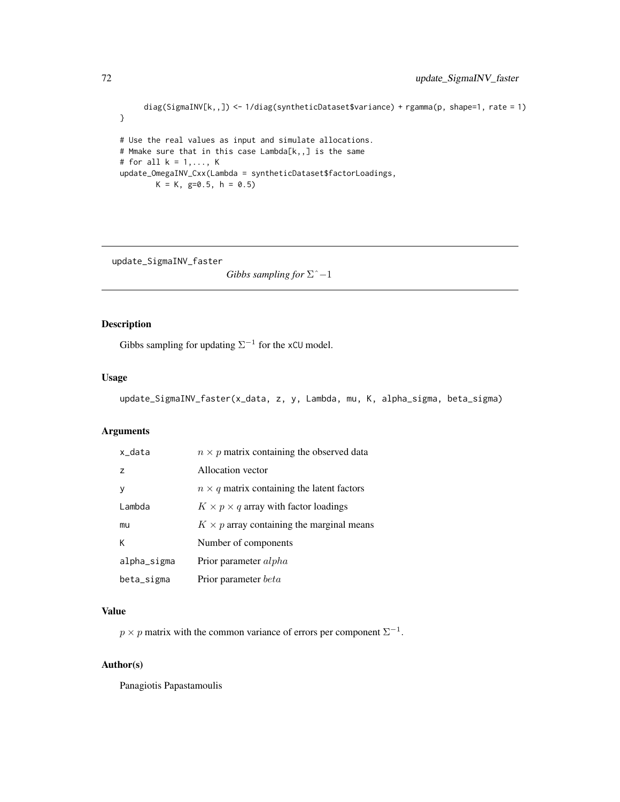```
diag(SigmaINV[k,,]) <- 1/diag(syntheticDataset$variance) + rgamma(p, shape=1, rate = 1)
}
# Use the real values as input and simulate allocations.
# Mmake sure that in this case Lambda[k,,] is the same
# for all k = 1, \ldots, Kupdate_OmegaINV_Cxx(Lambda = syntheticDataset$factorLoadings,
       K = K, g=0.5, h = 0.5)
```
update\_SigmaINV\_faster

*Gibbs sampling for* Σˆ−1

### Description

Gibbs sampling for updating  $\Sigma^{-1}$  for the xCU model.

#### Usage

```
update_SigmaINV_faster(x_data, z, y, Lambda, mu, K, alpha_sigma, beta_sigma)
```
# Arguments

| x_data         | $n \times p$ matrix containing the observed data  |
|----------------|---------------------------------------------------|
| $\overline{z}$ | Allocation vector                                 |
| v              | $n \times q$ matrix containing the latent factors |
| Lambda         | $K \times p \times q$ array with factor loadings  |
| mu             | $K \times p$ array containing the marginal means  |
| К              | Number of components                              |
| alpha_sigma    | Prior parameter <i>alpha</i>                      |
| beta_sigma     | Prior parameter <i>beta</i>                       |

### Value

 $p \times p$  matrix with the common variance of errors per component  $\Sigma^{-1}$ .

## Author(s)

Panagiotis Papastamoulis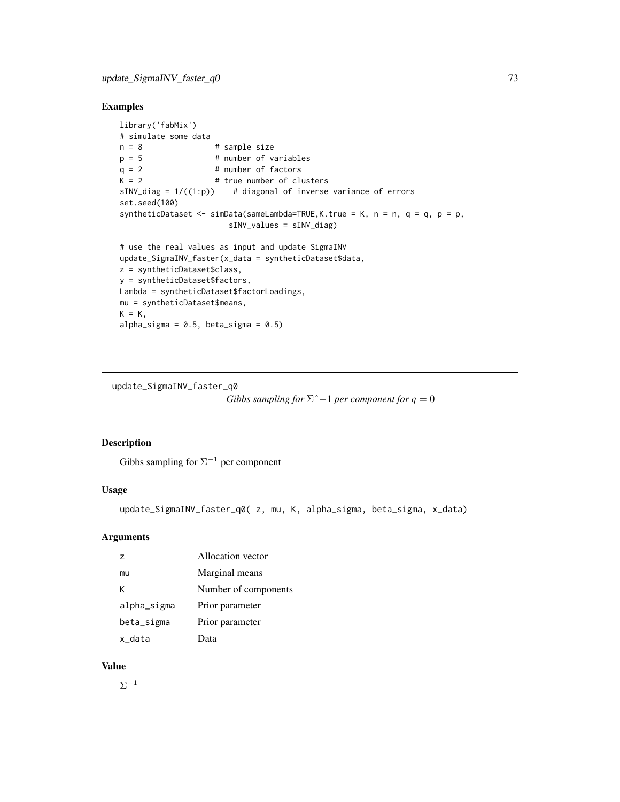## <span id="page-72-0"></span>Examples

```
library('fabMix')
# simulate some data
n = 8 # sample size
p = 5 # number of variables<br>q = 2 # number of factors
q = 2 # number of factors<br>K = 2 # true number of cl
                     # true number of clusters
sINV\_diag = 1/((1:p)) # diagonal of inverse variance of errors
set.seed(100)
syntheticDataset \le - simData(sameLambda=TRUE, K.true = K, n = n, q = q, p = p,
                        sINV_values = sINV_diag)
# use the real values as input and update SigmaINV
update_SigmaINV_faster(x_data = syntheticDataset$data,
z = syntheticDataset$class,
y = syntheticDataset$factors,
Lambda = syntheticDataset$factorLoadings,
mu = syntheticDataset$means,
K = K,
alpha_sigma = 0.5, beta_sigma = 0.5)
```
update\_SigmaINV\_faster\_q0

```
Gibbs sampling for \Sigma<sup>\hat{}</sup> −1 per component for q = 0
```
## Description

Gibbs sampling for  $\Sigma^{-1}$  per component

# Usage

```
update_SigmaINV_faster_q0( z, mu, K, alpha_sigma, beta_sigma, x_data)
```
#### Arguments

| 7           | Allocation vector    |
|-------------|----------------------|
| mu          | Marginal means       |
| K           | Number of components |
| alpha_sigma | Prior parameter      |
| beta_sigma  | Prior parameter      |
| x data      | Data                 |

#### Value

 $\Sigma^{-1}$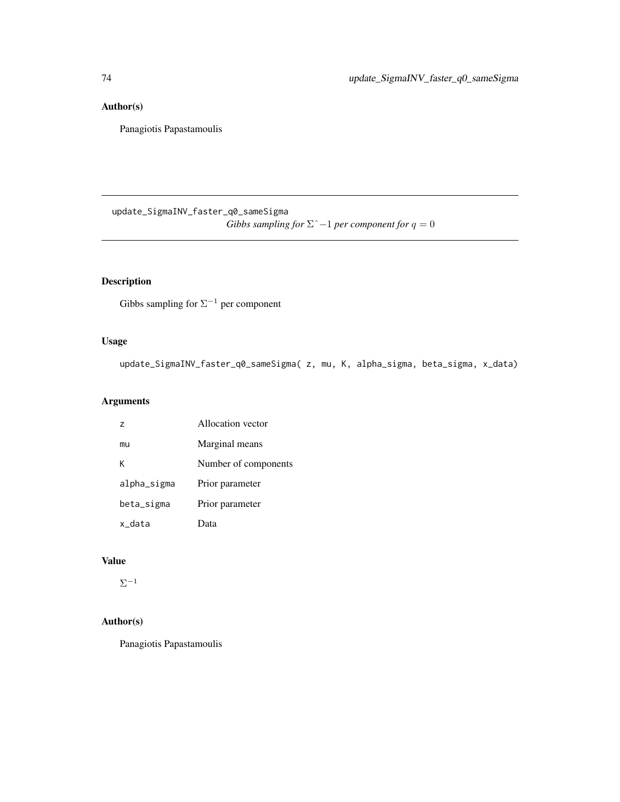# <span id="page-73-0"></span>Author(s)

Panagiotis Papastamoulis

update\_SigmaINV\_faster\_q0\_sameSigma *Gibbs sampling for*  $\Sigma$ <sup> $\hat{}$ </sup> −1 *per component for*  $q = 0$ 

# Description

Gibbs sampling for  $\Sigma^{-1}$  per component

## Usage

update\_SigmaINV\_faster\_q0\_sameSigma( z, mu, K, alpha\_sigma, beta\_sigma, x\_data)

# Arguments

| $\overline{z}$ | Allocation vector    |
|----------------|----------------------|
| mu             | Marginal means       |
| к              | Number of components |
| alpha_sigma    | Prior parameter      |
| beta_sigma     | Prior parameter      |
| x data         | Data                 |

## Value

 $\Sigma^{-1}$ 

## Author(s)

Panagiotis Papastamoulis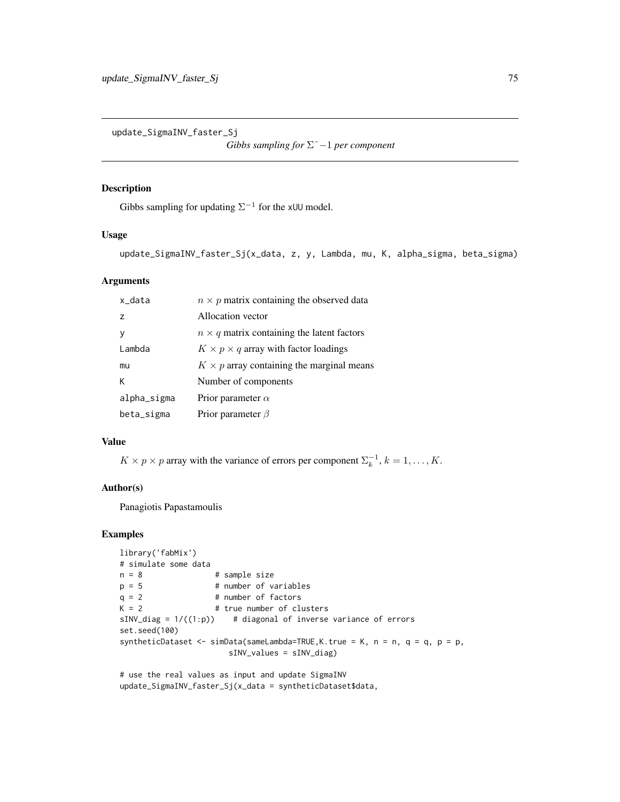<span id="page-74-0"></span>update\_SigmaINV\_faster\_Sj

*Gibbs sampling for* Σˆ−1 *per component*

## Description

Gibbs sampling for updating  $\Sigma^{-1}$  for the xUU model.

#### Usage

update\_SigmaINV\_faster\_Sj(x\_data, z, y, Lambda, mu, K, alpha\_sigma, beta\_sigma)

#### Arguments

| x data         | $n \times p$ matrix containing the observed data  |
|----------------|---------------------------------------------------|
| $\overline{z}$ | Allocation vector                                 |
|                | $n \times q$ matrix containing the latent factors |
| Lambda         | $K \times p \times q$ array with factor loadings  |
| mu             | $K \times p$ array containing the marginal means  |
| К              | Number of components                              |
| alpha_sigma    | Prior parameter $\alpha$                          |
| beta_sigma     | Prior parameter $\beta$                           |

## Value

 $K \times p \times p$  array with the variance of errors per component  $\Sigma_k^{-1}$ ,  $k = 1, ..., K$ .

#### Author(s)

Panagiotis Papastamoulis

## Examples

```
library('fabMix')
# simulate some data
n = 8 # sample size<br>p = 5 # number of va
p = 5 # number of variables<br>q = 2 # number of factors
                     # number of factors
K = 2 # true number of clusters
sINV\_diag = 1/((1:p)) # diagonal of inverse variance of errors
set.seed(100)
syntheticDataset <- simData(sameLambda=TRUE, K.true = K, n = n, q = q, p = p,
                        sINV_values = sINV_diag)
```
# use the real values as input and update SigmaINV update\_SigmaINV\_faster\_Sj(x\_data = syntheticDataset\$data,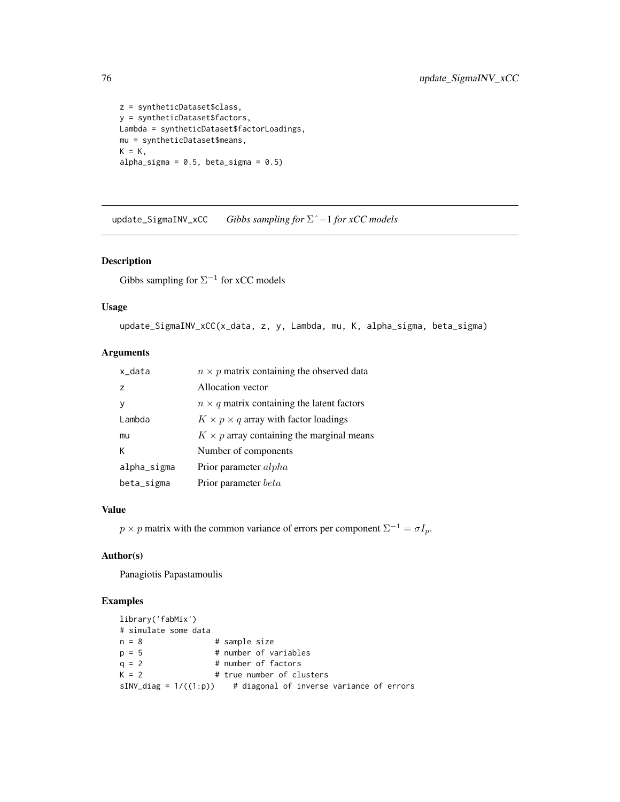```
z = syntheticDataset$class,
y = syntheticDataset$factors,
Lambda = syntheticDataset$factorLoadings,
mu = syntheticDataset$means,
K = K,
alpha_sigma = 0.5, beta_sigma = 0.5)
```
update\_SigmaINV\_xCC *Gibbs sampling for* Σˆ−1 *for xCC models*

#### Description

Gibbs sampling for  $\Sigma^{-1}$  for xCC models

## Usage

```
update_SigmaINV_xCC(x_data, z, y, Lambda, mu, K, alpha_sigma, beta_sigma)
```
## Arguments

| x_data         | $n \times p$ matrix containing the observed data  |
|----------------|---------------------------------------------------|
| $\overline{z}$ | Allocation vector                                 |
| <b>V</b>       | $n \times q$ matrix containing the latent factors |
| Lambda         | $K \times p \times q$ array with factor loadings  |
| mu             | $K \times p$ array containing the marginal means  |
| К              | Number of components                              |
| alpha_sigma    | Prior parameter alpha                             |
| beta_sigma     | Prior parameter <i>beta</i>                       |

#### Value

 $p \times p$  matrix with the common variance of errors per component  $\Sigma^{-1} = \sigma I_p$ .

#### Author(s)

Panagiotis Papastamoulis

## Examples

```
library('fabMix')
# simulate some data
n = 8 # sample size
p = 5 # number of variables
q = 2 # number of factors<br>K = 2 # true number of cl
                   # true number of clusters
sINV\_diag = 1/((1:p)) # diagonal of inverse variance of errors
```
<span id="page-75-0"></span>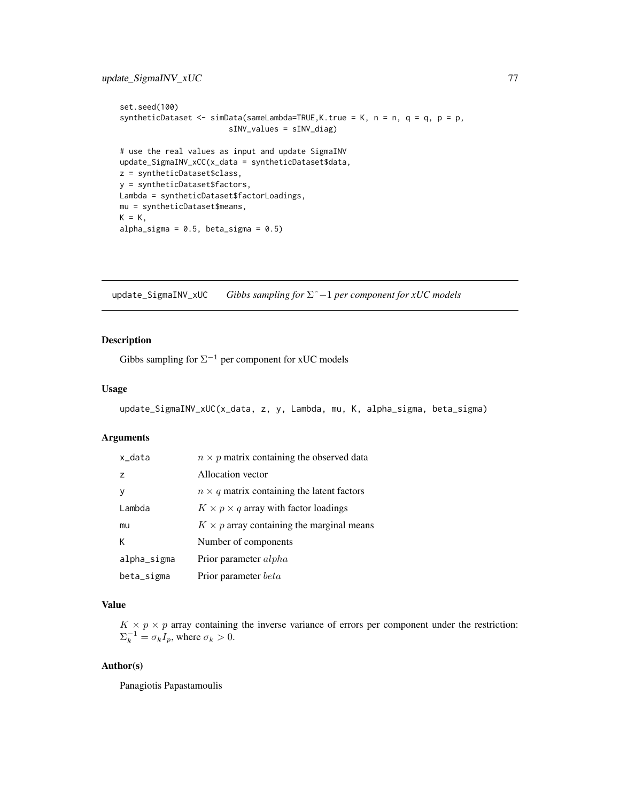```
set.seed(100)
syntheticDataset <- simData(sameLambda=TRUE,K.true = K, n = n, q = q, p = p,
                        sINV_values = sINV_diag)
# use the real values as input and update SigmaINV
update_SigmaINV_xCC(x_data = syntheticDataset$data,
z = syntheticDataset$class,
y = syntheticDataset$factors,
Lambda = syntheticDataset$factorLoadings,
mu = syntheticDataset$means,
K = K,
alpha_sigma = 0.5, beta_sigma = 0.5)
```
update\_SigmaINV\_xUC *Gibbs sampling for* Σˆ−1 *per component for xUC models*

## Description

Gibbs sampling for  $\Sigma^{-1}$  per component for xUC models

#### Usage

```
update_SigmaINV_xUC(x_data, z, y, Lambda, mu, K, alpha_sigma, beta_sigma)
```
#### Arguments

| x_data         | $n \times p$ matrix containing the observed data  |
|----------------|---------------------------------------------------|
| $\overline{z}$ | Allocation vector                                 |
| v              | $n \times q$ matrix containing the latent factors |
| Lambda         | $K \times p \times q$ array with factor loadings  |
| mu             | $K \times p$ array containing the marginal means  |
| К              | Number of components                              |
| alpha_sigma    | Prior parameter <i>alpha</i>                      |
| beta_sigma     | Prior parameter <i>beta</i>                       |

## Value

 $K \times p \times p$  array containing the inverse variance of errors per component under the restriction:  $\Sigma_k^{-1} = \sigma_k I_p$ , where  $\sigma_k > 0$ .

#### Author(s)

Panagiotis Papastamoulis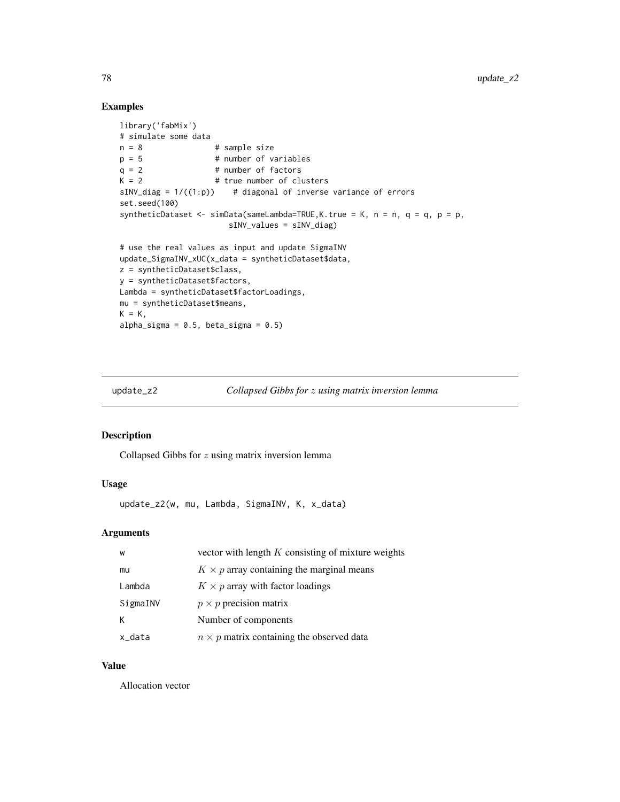## Examples

```
library('fabMix')
# simulate some data
n = 8 # sample size
p = 5 # number of variables<br>q = 2 # number of factors
                    # number of factors
K = 2 # true number of clusters
sINV\_diag = 1/((1:p)) # diagonal of inverse variance of errors
set.seed(100)
syntheticDataset <- simData(sameLambda=TRUE,K.true = K, n = n, q = q, p = p,
                       sINV_values = sINV_diag)
# use the real values as input and update SigmaINV
update_SigmaINV_xUC(x_data = syntheticDataset$data,
z = syntheticDataset$class,
y = syntheticDataset$factors,
Lambda = syntheticDataset$factorLoadings,
mu = syntheticDataset$means,
K = K,
alpha_sigma = 0.5, beta_sigma = 0.5)
```

```
update_z2 Collapsed Gibbs for z using matrix inversion lemma
```
## Description

Collapsed Gibbs for  $z$  using matrix inversion lemma

## Usage

update\_z2(w, mu, Lambda, SigmaINV, K, x\_data)

#### Arguments

| W        | vector with length $K$ consisting of mixture weights |
|----------|------------------------------------------------------|
| mu       | $K \times p$ array containing the marginal means     |
| Lambda   | $K \times p$ array with factor loadings              |
| SigmaINV | $p \times p$ precision matrix                        |
|          | Number of components                                 |
| x_data   | $n \times p$ matrix containing the observed data     |

#### Value

Allocation vector

<span id="page-77-0"></span>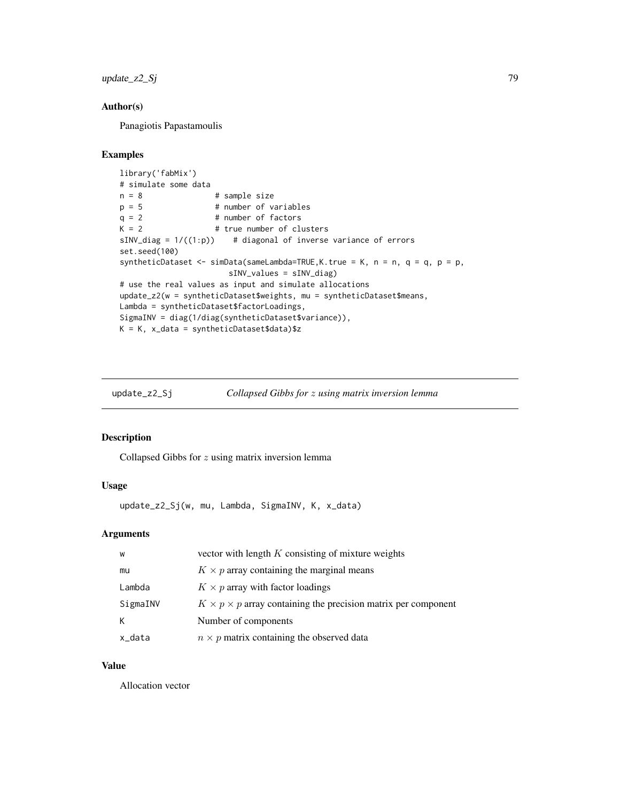<span id="page-78-0"></span> $update_z2_Sj$  79

## Author(s)

Panagiotis Papastamoulis

#### Examples

```
library('fabMix')
# simulate some data
n = 8 # sample size
p = 5 # number of variables<br>q = 2 # number of factors
q = 2 # number of factors<br>K = 2 # true number of cl
                     # true number of clusters
sINV\_diag = 1/((1:p)) # diagonal of inverse variance of errors
set.seed(100)
syntheticDataset <- simData(sameLambda=TRUE, K.true = K, n = n, q = q, p = p,
                        sINV_values = sINV_diag)
# use the real values as input and simulate allocations
update_z2(w = syntheticDataset$weights, mu = syntheticDataset$means,
Lambda = syntheticDataset$factorLoadings,
SigmaINV = diag(1/diag(syntheticDataset$variance)),
K = K, x_data = syntheticDataset$data)$z
```

| $update_z2_Sj$ | Collapsed Gibbs for z using matrix inversion lemma |  |  |
|----------------|----------------------------------------------------|--|--|
|                |                                                    |  |  |

#### Description

Collapsed Gibbs for  $z$  using matrix inversion lemma

## Usage

update\_z2\_Sj(w, mu, Lambda, SigmaINV, K, x\_data)

## Arguments

| W        | vector with length $K$ consisting of mixture weights                      |
|----------|---------------------------------------------------------------------------|
| mu       | $K \times p$ array containing the marginal means                          |
| Lambda   | $K \times p$ array with factor loadings                                   |
| SigmaINV | $K \times p \times p$ array containing the precision matrix per component |
|          | Number of components                                                      |
| x data   | $n \times p$ matrix containing the observed data                          |

#### Value

Allocation vector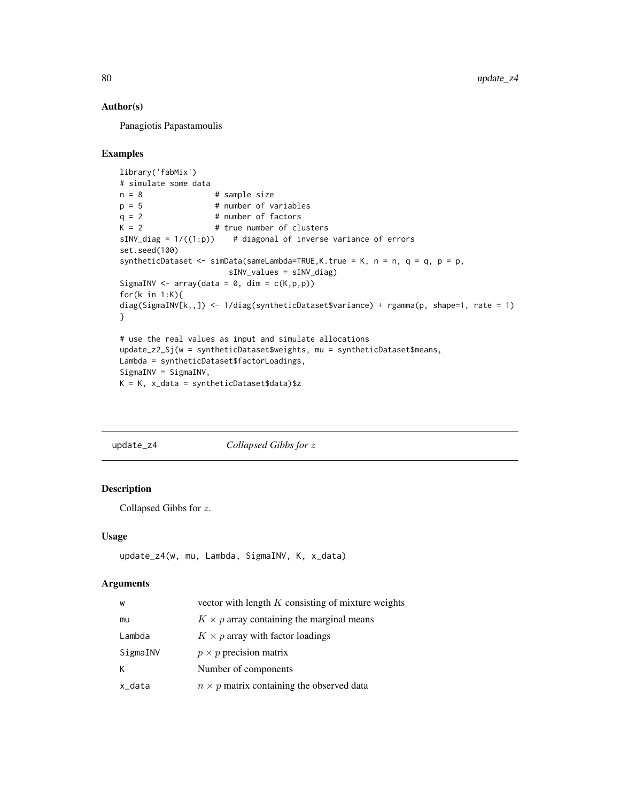#### Author(s)

Panagiotis Papastamoulis

#### Examples

```
library('fabMix')
# simulate some data
n = 8 # sample size
p = 5 # number of variables<br>q = 2 # number of factors
                    # number of factors
K = 2 # true number of clusters
sINV\_diag = 1/((1:p)) # diagonal of inverse variance of errors
set.seed(100)
syntheticDataset <- simData(sameLambda=TRUE,K.true = K, n = n, q = q, p = p,
                       sINV_values = sINV_diag)
SigmaINV <- array(data = 0, dim = c(K, p, p))for(k in 1:K){
diag(SigmaINV[k,,]) <- 1/diag(syntheticDataset$variance) + rgamma(p, shape=1, rate = 1)
}
# use the real values as input and simulate allocations
update_z2_Sj(w = syntheticDataset$weights, mu = syntheticDataset$means,
Lambda = syntheticDataset$factorLoadings,
SigmaINV = SigmaINV,
K = K, x_data = syntheticDataset$data)$z
```

| update_z4 | Collapsed Gibbs for z |
|-----------|-----------------------|
|-----------|-----------------------|

#### Description

Collapsed Gibbs for z.

#### Usage

```
update_z4(w, mu, Lambda, SigmaINV, K, x_data)
```

| W        | vector with length $K$ consisting of mixture weights |
|----------|------------------------------------------------------|
| mu       | $K \times p$ array containing the marginal means     |
| Lambda   | $K \times p$ array with factor loadings              |
| SigmaINV | $p \times p$ precision matrix                        |
| К        | Number of components                                 |
| x_data   | $n \times p$ matrix containing the observed data     |

<span id="page-79-0"></span>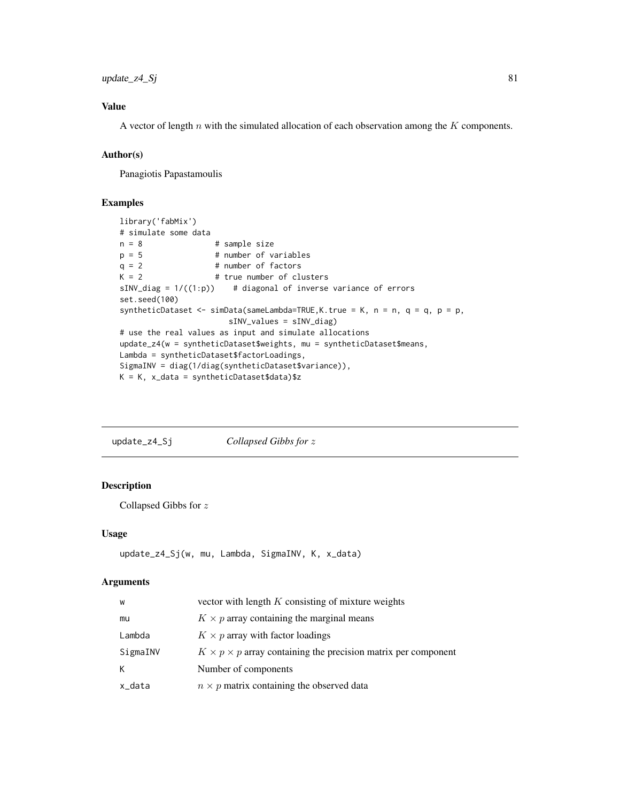<span id="page-80-0"></span> $update_z = 4_S$ j 81

## Value

A vector of length  $n$  with the simulated allocation of each observation among the  $K$  components.

### Author(s)

Panagiotis Papastamoulis

#### Examples

```
library('fabMix')
# simulate some data
n = 8 # sample size
p = 5 # number of variables
q = 2 # number of factors
K = 2 # true number of clusters
sINV\_diag = 1/((1:p)) # diagonal of inverse variance of errors
set.seed(100)
syntheticDataset <- simData(sameLambda=TRUE, K.true = K, n = n, q = q, p = p,
                     sINV_values = sINV_diag)
# use the real values as input and simulate allocations
update_z4(w = syntheticDataset$weights, mu = syntheticDataset$means,
Lambda = syntheticDataset$factorLoadings,
SigmaINV = diag(1/diag(syntheticDataset$variance)),
K = K, x_data = syntheticDataset$data)$z
```

| update_z4_Sj | Collapsed Gibbs for z |
|--------------|-----------------------|
|              |                       |

## Description

Collapsed Gibbs for z

#### Usage

update\_z4\_Sj(w, mu, Lambda, SigmaINV, K, x\_data)

| W        | vector with length $K$ consisting of mixture weights                      |
|----------|---------------------------------------------------------------------------|
| mu       | $K \times p$ array containing the marginal means                          |
| Lambda   | $K \times p$ array with factor loadings                                   |
| SigmaINV | $K \times p \times p$ array containing the precision matrix per component |
| K        | Number of components                                                      |
| x_data   | $n \times p$ matrix containing the observed data                          |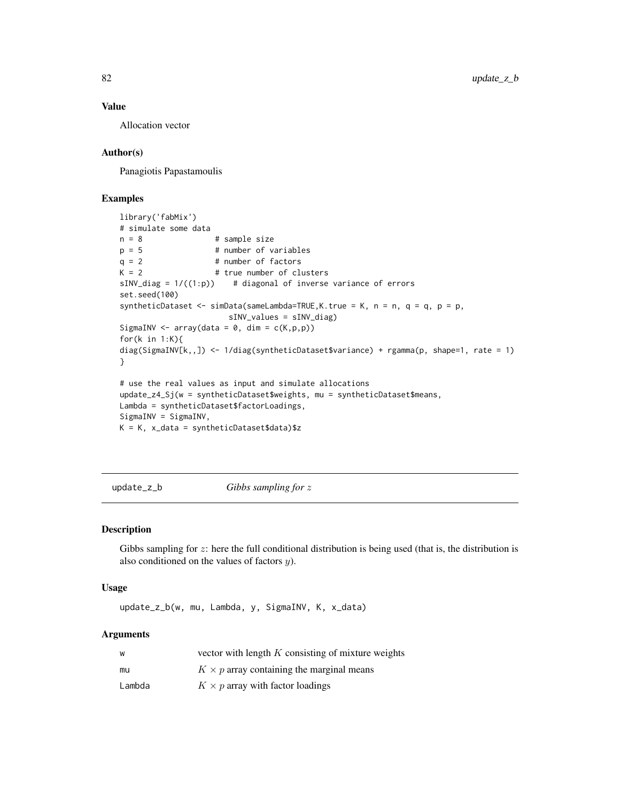#### Value

Allocation vector

## Author(s)

Panagiotis Papastamoulis

#### Examples

```
library('fabMix')
# simulate some data
n = 8 # sample size<br>p = 5 # number of va
                    # number of variables
q = 2 # number of factors
K = 2 # true number of clusters
sINV\_diag = 1/((1:p)) # diagonal of inverse variance of errors
set.seed(100)
syntheticDataset <- simData(sameLambda=TRUE, K.true = K, n = n, q = q, p = p,
                       sINV_values = sINV_diag)
SigmaINV <- array(data = 0, dim = c(K, p, p))for(k in 1:K){
diag(SigmaINV[k,,]) <- 1/diag(syntheticDataset$variance) + rgamma(p, shape=1, rate = 1)
}
# use the real values as input and simulate allocations
update_z4_Sj(w = syntheticDataset$weights, mu = syntheticDataset$means,
Lambda = syntheticDataset$factorLoadings,
SigmaINV = SigmaINV,
K = K, x_data = syntheticDataset$data)$z
```
update\_z\_b *Gibbs sampling for* z

#### Description

Gibbs sampling for  $z$ : here the full conditional distribution is being used (that is, the distribution is also conditioned on the values of factors y).

#### Usage

update\_z\_b(w, mu, Lambda, y, SigmaINV, K, x\_data)

| W      | vector with length $K$ consisting of mixture weights |
|--------|------------------------------------------------------|
| mu     | $K \times p$ array containing the marginal means     |
| Lambda | $K \times p$ array with factor loadings              |

<span id="page-81-0"></span>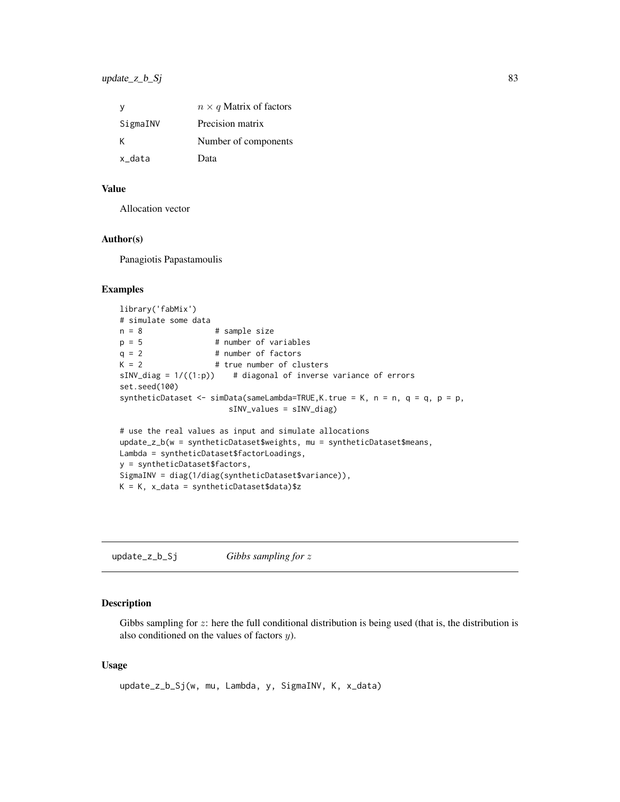<span id="page-82-0"></span>

| v        | $n \times q$ Matrix of factors |
|----------|--------------------------------|
| SigmaINV | Precision matrix               |
| ĸ        | Number of components           |
| x data   | Data                           |

## Value

Allocation vector

# Author(s)

Panagiotis Papastamoulis

## Examples

```
library('fabMix')
# simulate some data
n = 8 # sample size
p = 5 # number of variables
q = 2 # number of factors
K = 2 # true number of clusters
sINV\_diag = 1/((1:p)) # diagonal of inverse variance of errors
set.seed(100)
syntheticDataset <- simData(sameLambda=TRUE, K.true = K, n = n, q = q, p = p,
                      sINV_values = sINV_diag)
# use the real values as input and simulate allocations
update_z_b(w = syntheticDataset$weights, mu = syntheticDataset$means,
Lambda = syntheticDataset$factorLoadings,
y = syntheticDataset$factors,
SigmaINV = diag(1/diag(syntheticDataset$variance)),
K = K, x_data = syntheticDataset$data)$z
```
update\_z\_b\_Sj *Gibbs sampling for* z

## Description

Gibbs sampling for z: here the full conditional distribution is being used (that is, the distribution is also conditioned on the values of factors y).

#### Usage

update\_z\_b\_Sj(w, mu, Lambda, y, SigmaINV, K, x\_data)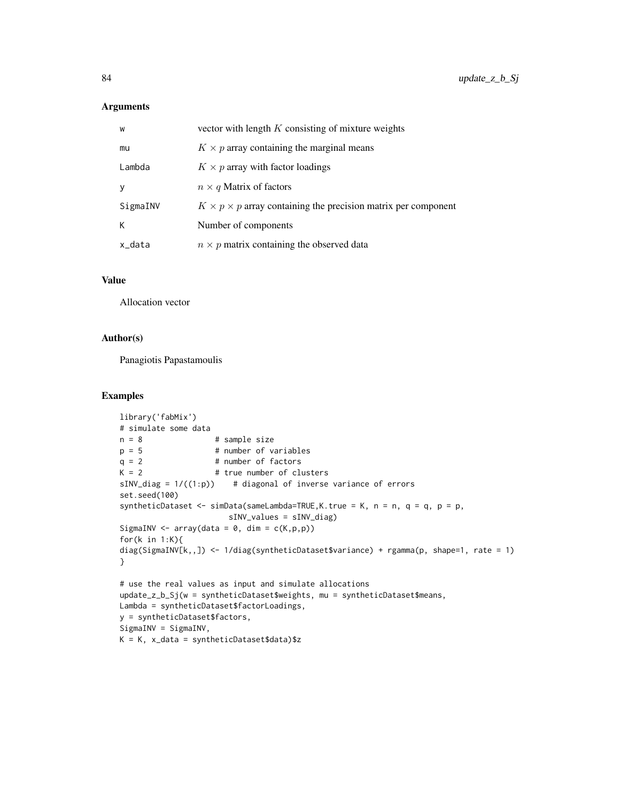#### Arguments

| W        | vector with length $K$ consisting of mixture weights                      |
|----------|---------------------------------------------------------------------------|
| mu       | $K \times p$ array containing the marginal means                          |
| Lambda   | $K \times p$ array with factor loadings                                   |
| V        | $n \times q$ Matrix of factors                                            |
| SigmaINV | $K \times p \times p$ array containing the precision matrix per component |
| К        | Number of components                                                      |
| x_data   | $n \times p$ matrix containing the observed data                          |

#### Value

Allocation vector

#### Author(s)

Panagiotis Papastamoulis

## Examples

```
library('fabMix')
# simulate some data<br>n = 8n = 8 # sample size<br>p = 5 # number of va
                    # number of variables
q = 2 # number of factors
K = 2 # true number of clusters
sINV\_diag = 1/((1:p)) # diagonal of inverse variance of errors
set.seed(100)
syntheticDataset <- simData(sameLambda=TRUE, K.true = K, n = n, q = q, p = p,
                       sINV_values = sINV_diag)
SigmaINV \leq array(data = 0, dim = c(K, p, p))
for(k in 1:K){
diag(SigmaINV[k,,]) <- 1/diag(syntheticDataset$variance) + rgamma(p, shape=1, rate = 1)
}
# use the real values as input and simulate allocations
update_z_b_Sj(w = syntheticDataset$weights, mu = syntheticDataset$means,
Lambda = syntheticDataset$factorLoadings,
y = syntheticDataset$factors,
SigmaINV = SigmaINV,
K = K, x_data = syntheticDataset$data)$z
```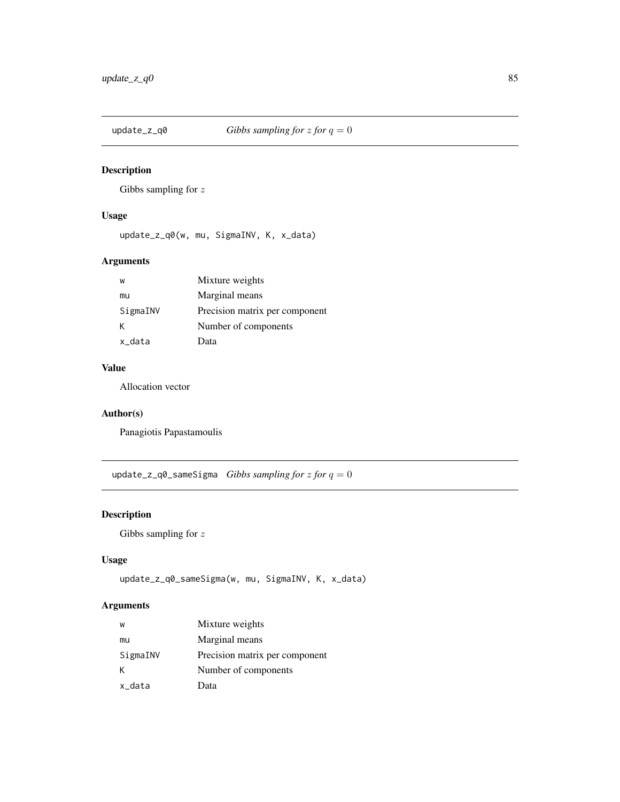<span id="page-84-0"></span>

## Description

Gibbs sampling for  $z$ 

## Usage

update\_z\_q0(w, mu, SigmaINV, K, x\_data)

## Arguments

| W        | Mixture weights                |
|----------|--------------------------------|
| mu       | Marginal means                 |
| SigmaINV | Precision matrix per component |
| κ        | Number of components           |
| x data   | Data                           |

# Value

Allocation vector

# Author(s)

Panagiotis Papastamoulis

update\_z\_q0\_sameSigma *Gibbs sampling for* z *for* q = 0

# Description

Gibbs sampling for  $z$ 

## Usage

```
update_z_q0_sameSigma(w, mu, SigmaINV, K, x_data)
```

| W        | Mixture weights                |
|----------|--------------------------------|
| mu       | Marginal means                 |
| SigmaINV | Precision matrix per component |
| К        | Number of components           |
| x_data   | Data                           |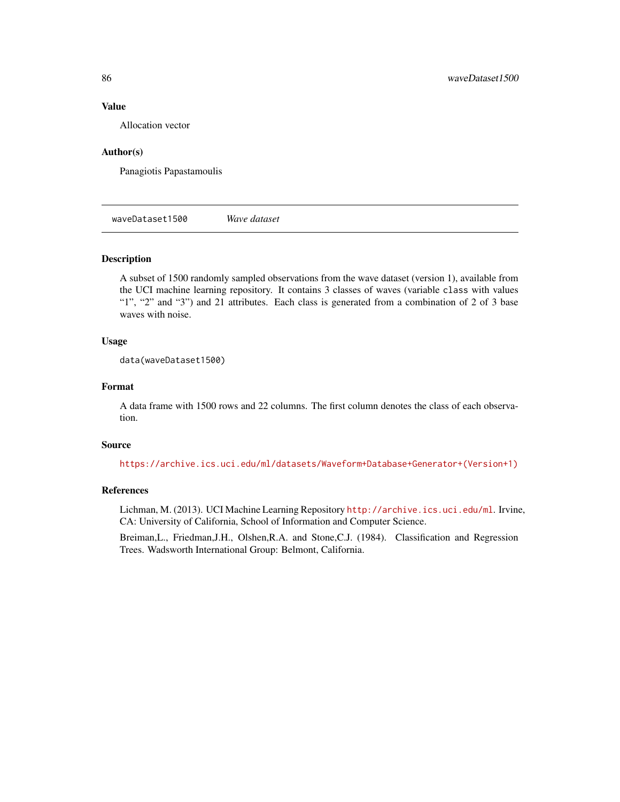#### Value

Allocation vector

#### Author(s)

Panagiotis Papastamoulis

waveDataset1500 *Wave dataset*

#### Description

A subset of 1500 randomly sampled observations from the wave dataset (version 1), available from the UCI machine learning repository. It contains 3 classes of waves (variable class with values "1", "2" and "3") and 21 attributes. Each class is generated from a combination of 2 of 3 base waves with noise.

#### Usage

data(waveDataset1500)

#### Format

A data frame with 1500 rows and 22 columns. The first column denotes the class of each observation.

## Source

[https://archive.ics.uci.edu/ml/datasets/Waveform+Database+Generator+\(Version+1\)](https://archive.ics.uci.edu/ml/datasets/Waveform+Database+Generator+(Version+1))

# References

Lichman, M. (2013). UCI Machine Learning Repository <http://archive.ics.uci.edu/ml>. Irvine, CA: University of California, School of Information and Computer Science.

Breiman,L., Friedman,J.H., Olshen,R.A. and Stone,C.J. (1984). Classification and Regression Trees. Wadsworth International Group: Belmont, California.

<span id="page-85-0"></span>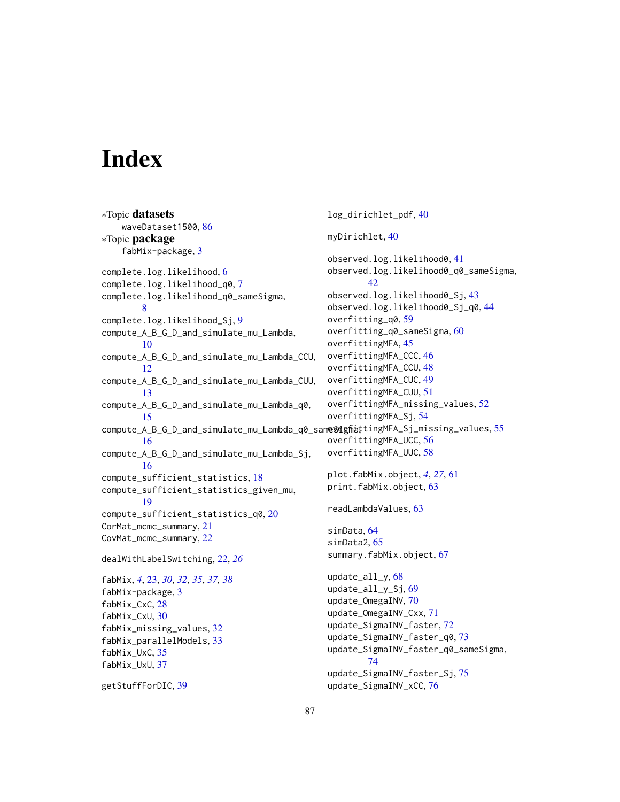# **Index**

∗Topic datasets waveDataset1500, [86](#page-85-0) ∗Topic package fabMix-package, [3](#page-2-0) complete.log.likelihood, [6](#page-5-0) complete.log.likelihood\_q0, [7](#page-6-0) complete.log.likelihood\_q0\_sameSigma, [8](#page-7-0) complete.log.likelihood\_Sj, [9](#page-8-0) compute\_A\_B\_G\_D\_and\_simulate\_mu\_Lambda, [10](#page-9-0) compute\_A\_B\_G\_D\_and\_simulate\_mu\_Lambda\_CCU, [12](#page-11-0) compute\_A\_B\_G\_D\_and\_simulate\_mu\_Lambda\_CUU, [13](#page-12-0) compute\_A\_B\_G\_D\_and\_simulate\_mu\_Lambda\_q0, [15](#page-14-0) compute\_A\_B\_G\_D\_and\_simulate\_mu\_Lambda\_q0\_sam@%dgfhattingMFA\_Sj\_missing\_values,[55](#page-54-0) [16](#page-15-0) compute\_A\_B\_G\_D\_and\_simulate\_mu\_Lambda\_Sj, [16](#page-15-0) compute\_sufficient\_statistics, [18](#page-17-0) compute\_sufficient\_statistics\_given\_mu, [19](#page-18-0) compute\_sufficient\_statistics\_q0, [20](#page-19-0) CorMat\_mcmc\_summary, [21](#page-20-0) CovMat\_mcmc\_summary, [22](#page-21-0) dealWithLabelSwitching, [22,](#page-21-0) *[26](#page-25-0)* fabMix, *[4](#page-3-0)*, [23,](#page-22-0) *[30](#page-29-0)*, *[32](#page-31-0)*, *[35](#page-34-0)*, *[37,](#page-36-0) [38](#page-37-0)* fabMix-package, [3](#page-2-0) fabMix\_CxC, [28](#page-27-0) fabMix\_CxU, [30](#page-29-0) fabMix\_missing\_values, [32](#page-31-0) fabMix\_parallelModels, [33](#page-32-0) fabMix\_UxC, [35](#page-34-0) fabMix\_UxU, [37](#page-36-0) getStuffForDIC, [39](#page-38-0) log\_dirichlet\_pdf, [40](#page-39-0) myDirichlet, [40](#page-39-0) observed.log.likelihood0, [41](#page-40-0) observed.log.likelihood0\_q0\_sameSigma, [42](#page-41-0) observed.log.likelihood0\_Sj, [43](#page-42-0) observed.log.likelihood0\_Sj\_q0, [44](#page-43-0) overfitting\_q0, [59](#page-58-0) overfitting\_q0\_sameSigma, [60](#page-59-0) overfittingMFA, [45](#page-44-0) overfittingMFA\_CCC, [46](#page-45-0) overfittingMFA\_CCU, [48](#page-47-0) overfittingMFA\_CUC, [49](#page-48-0) overfittingMFA\_CUU, [51](#page-50-0) overfittingMFA\_missing\_values, [52](#page-51-0) overfittingMFA\_Sj, [54](#page-53-0) overfittingMFA\_UCC, [56](#page-55-0) overfittingMFA\_UUC, [58](#page-57-0) plot.fabMix.object, *[4](#page-3-0)*, *[27](#page-26-0)*, [61](#page-60-0) print.fabMix.object, [63](#page-62-0) readLambdaValues, [63](#page-62-0) simData, [64](#page-63-0) simData2, [65](#page-64-0) summary.fabMix.object, [67](#page-66-0) update\_all\_y, [68](#page-67-0) update\_all\_y\_Sj, [69](#page-68-0) update\_OmegaINV, [70](#page-69-0) update\_OmegaINV\_Cxx, [71](#page-70-0) update\_SigmaINV\_faster, [72](#page-71-0) update\_SigmaINV\_faster\_q0, [73](#page-72-0) update\_SigmaINV\_faster\_q0\_sameSigma, [74](#page-73-0) update\_SigmaINV\_faster\_Sj, [75](#page-74-0) update\_SigmaINV\_xCC, [76](#page-75-0)